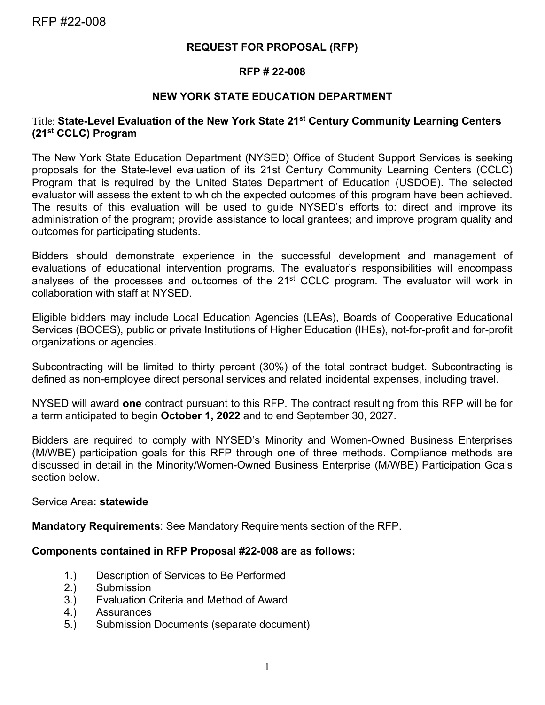#### **REQUEST FOR PROPOSAL (RFP)**

#### **RFP # 22-008**

#### **NEW YORK STATE EDUCATION DEPARTMENT**

#### Title: **State-Level Evaluation of the New York State 21st Century Community Learning Centers (21st CCLC) Program**

The New York State Education Department (NYSED) Office of Student Support Services is seeking proposals for the State-level evaluation of its 21st Century Community Learning Centers (CCLC) Program that is required by the United States Department of Education (USDOE). The selected evaluator will assess the extent to which the expected outcomes of this program have been achieved. The results of this evaluation will be used to guide NYSED's efforts to: direct and improve its administration of the program; provide assistance to local grantees; and improve program quality and outcomes for participating students.

Bidders should demonstrate experience in the successful development and management of evaluations of educational intervention programs. The evaluator's responsibilities will encompass analyses of the processes and outcomes of the  $21<sup>st</sup>$  CCLC program. The evaluator will work in collaboration with staff at NYSED.

Eligible bidders may include Local Education Agencies (LEAs), Boards of Cooperative Educational Services (BOCES), public or private Institutions of Higher Education (IHEs), not-for-profit and for-profit organizations or agencies.

Subcontracting will be limited to thirty percent (30%) of the total contract budget. Subcontracting is defined as non-employee direct personal services and related incidental expenses, including travel.

NYSED will award **one** contract pursuant to this RFP. The contract resulting from this RFP will be for a term anticipated to begin **October 1, 2022** and to end September 30, 2027.

Bidders are required to comply with NYSED's Minority and Women-Owned Business Enterprises (M/WBE) participation goals for this RFP through one of three methods. Compliance methods are discussed in detail in the Minority/Women-Owned Business Enterprise (M/WBE) Participation Goals section below.

#### Service Area**: statewide**

**Mandatory Requirements**: See Mandatory Requirements section of the RFP.

#### **Components contained in RFP Proposal #22-008 are as follows:**

- 1.) Description of Services to Be Performed<br>2.) Submission
- **Submission**
- 3.) Evaluation Criteria and Method of Award
- 4.) Assurances
- 5.) Submission Documents (separate document)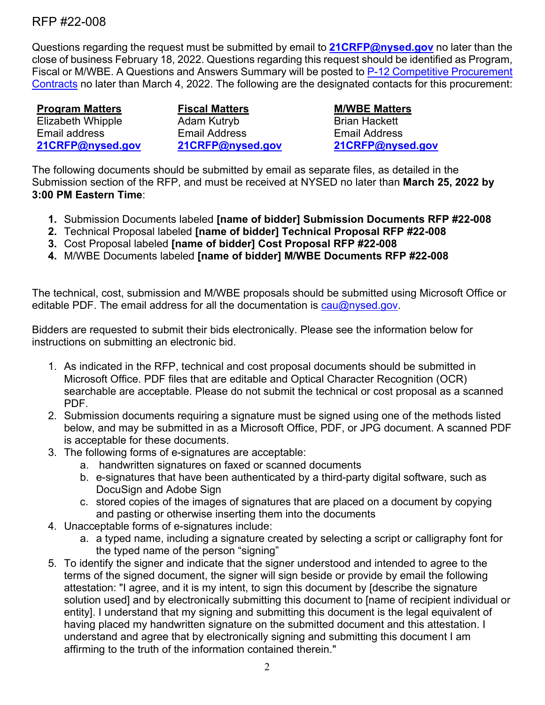Questions regarding the request must be submitted by email to **[21CRFP@nysed.gov](mailto:21CRFP@nysed.gov)** no later than the close of business February 18, 2022. Questions regarding this request should be identified as Program, Fiscal or M/WBE. A Questions and Answers Summary will be posted to [P-12 Competitive Procurement](http://www.p12.nysed.gov/compcontracts/compcontracts.html)  [Contracts](http://www.p12.nysed.gov/compcontracts/compcontracts.html) no later than March 4, 2022. The following are the designated contacts for this procurement:

**Program Matters** Elizabeth Whipple Email address **[21CRFP@nysed.gov](mailto:21CRFP@nysed.gov)**

**Fiscal Matters** Adam Kutryb Email Address **[21CRFP@nysed.gov](mailto:21CRFP@nysed.gov)**

**M/WBE Matters** Brian Hackett Email Address **[21CRFP@nysed.gov](mailto:21CRFP@nysed.gov)**

The following documents should be submitted by email as separate files, as detailed in the Submission section of the RFP, and must be received at NYSED no later than **March 25, 2022 by 3:00 PM Eastern Time**:

- **1.** Submission Documents labeled **[name of bidder] Submission Documents RFP #22-008**
- **2.** Technical Proposal labeled **[name of bidder] Technical Proposal RFP #22-008**
- **3.** Cost Proposal labeled **[name of bidder] Cost Proposal RFP #22-008**
- **4.** M/WBE Documents labeled **[name of bidder] M/WBE Documents RFP #22-008**

The technical, cost, submission and M/WBE proposals should be submitted using Microsoft Office or editable PDF. The email address for all the documentation is  $cau@nvsed.gov$ .

Bidders are requested to submit their bids electronically. Please see the information below for instructions on submitting an electronic bid.

- 1. As indicated in the RFP, technical and cost proposal documents should be submitted in Microsoft Office. PDF files that are editable and Optical Character Recognition (OCR) searchable are acceptable. Please do not submit the technical or cost proposal as a scanned PDF.
- 2. Submission documents requiring a signature must be signed using one of the methods listed below, and may be submitted in as a Microsoft Office, PDF, or JPG document. A scanned PDF is acceptable for these documents.
- 3. The following forms of e-signatures are acceptable:
	- a. handwritten signatures on faxed or scanned documents
	- b. e-signatures that have been authenticated by a third-party digital software, such as DocuSign and Adobe Sign
	- c. stored copies of the images of signatures that are placed on a document by copying and pasting or otherwise inserting them into the documents
- 4. Unacceptable forms of e-signatures include:
	- a. a typed name, including a signature created by selecting a script or calligraphy font for the typed name of the person "signing"
- 5. To identify the signer and indicate that the signer understood and intended to agree to the terms of the signed document, the signer will sign beside or provide by email the following attestation: "I agree, and it is my intent, to sign this document by [describe the signature solution used] and by electronically submitting this document to [name of recipient individual or entity]. I understand that my signing and submitting this document is the legal equivalent of having placed my handwritten signature on the submitted document and this attestation. I understand and agree that by electronically signing and submitting this document I am affirming to the truth of the information contained therein."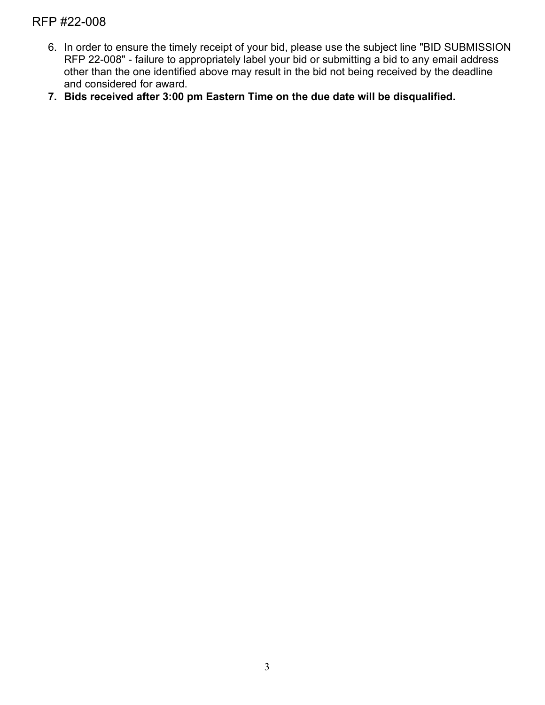- 6. In order to ensure the timely receipt of your bid, please use the subject line "BID SUBMISSION RFP 22-008" - failure to appropriately label your bid or submitting a bid to any email address other than the one identified above may result in the bid not being received by the deadline and considered for award.
- **7. Bids received after 3:00 pm Eastern Time on the due date will be disqualified.**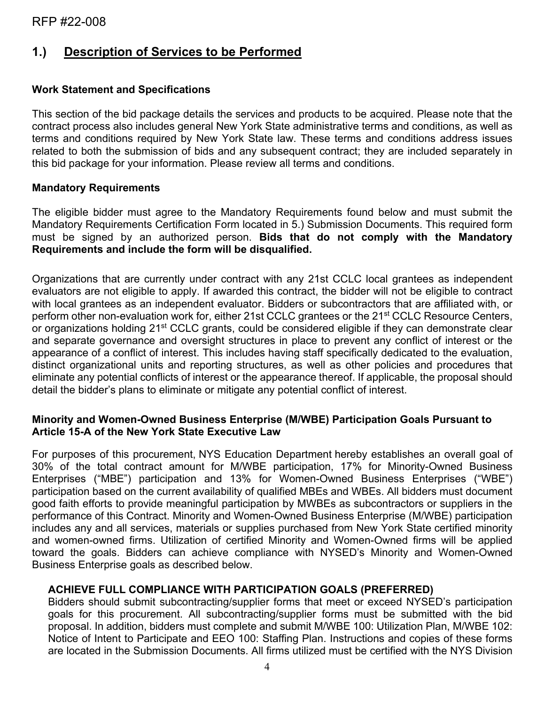# **1.) Description of Services to be Performed**

### **Work Statement and Specifications**

This section of the bid package details the services and products to be acquired. Please note that the contract process also includes general New York State administrative terms and conditions, as well as terms and conditions required by New York State law. These terms and conditions address issues related to both the submission of bids and any subsequent contract; they are included separately in this bid package for your information. Please review all terms and conditions.

#### **Mandatory Requirements**

The eligible bidder must agree to the Mandatory Requirements found below and must submit the Mandatory Requirements Certification Form located in 5.) Submission Documents. This required form must be signed by an authorized person. **Bids that do not comply with the Mandatory Requirements and include the form will be disqualified.**

Organizations that are currently under contract with any 21st CCLC local grantees as independent evaluators are not eligible to apply. If awarded this contract, the bidder will not be eligible to contract with local grantees as an independent evaluator. Bidders or subcontractors that are affiliated with, or perform other non-evaluation work for, either 21st CCLC grantees or the 21<sup>st</sup> CCLC Resource Centers, or organizations holding 21<sup>st</sup> CCLC grants, could be considered eligible if they can demonstrate clear and separate governance and oversight structures in place to prevent any conflict of interest or the appearance of a conflict of interest. This includes having staff specifically dedicated to the evaluation, distinct organizational units and reporting structures, as well as other policies and procedures that eliminate any potential conflicts of interest or the appearance thereof. If applicable, the proposal should detail the bidder's plans to eliminate or mitigate any potential conflict of interest.

#### **Minority and Women-Owned Business Enterprise (M/WBE) Participation Goals Pursuant to Article 15-A of the New York State Executive Law**

For purposes of this procurement, NYS Education Department hereby establishes an overall goal of 30% of the total contract amount for M/WBE participation, 17% for Minority-Owned Business Enterprises ("MBE") participation and 13% for Women-Owned Business Enterprises ("WBE") participation based on the current availability of qualified MBEs and WBEs. All bidders must document good faith efforts to provide meaningful participation by MWBEs as subcontractors or suppliers in the performance of this Contract. Minority and Women-Owned Business Enterprise (M/WBE) participation includes any and all services, materials or supplies purchased from New York State certified minority and women-owned firms. Utilization of certified Minority and Women-Owned firms will be applied toward the goals. Bidders can achieve compliance with NYSED's Minority and Women-Owned Business Enterprise goals as described below.

#### **ACHIEVE FULL COMPLIANCE WITH PARTICIPATION GOALS (PREFERRED)**

Bidders should submit subcontracting/supplier forms that meet or exceed NYSED's participation goals for this procurement. All subcontracting/supplier forms must be submitted with the bid proposal. In addition, bidders must complete and submit M/WBE 100: Utilization Plan, M/WBE 102: Notice of Intent to Participate and EEO 100: Staffing Plan. Instructions and copies of these forms are located in the Submission Documents. All firms utilized must be certified with the NYS Division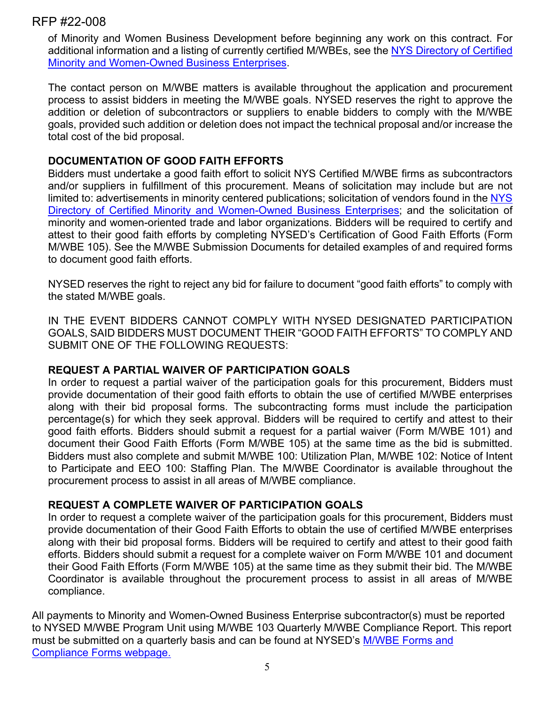of Minority and Women Business Development before beginning any work on this contract. For additional information and a listing of currently certified M/WBEs, see the [NYS Directory of Certified](https://ny.newnycontracts.com/FrontEnd/VendorSearchPublic.asp?TN=ny&XID=4687)  [Minority and Women-Owned Business Enterprises.](https://ny.newnycontracts.com/FrontEnd/VendorSearchPublic.asp?TN=ny&XID=4687)

The contact person on M/WBE matters is available throughout the application and procurement process to assist bidders in meeting the M/WBE goals. NYSED reserves the right to approve the addition or deletion of subcontractors or suppliers to enable bidders to comply with the M/WBE goals, provided such addition or deletion does not impact the technical proposal and/or increase the total cost of the bid proposal.

### **DOCUMENTATION OF GOOD FAITH EFFORTS**

Bidders must undertake a good faith effort to solicit NYS Certified M/WBE firms as subcontractors and/or suppliers in fulfillment of this procurement. Means of solicitation may include but are not limited to: advertisements in minority centered publications; solicitation of vendors found in the [NYS](https://ny.newnycontracts.com/FrontEnd/VendorSearchPublic.asp?TN=ny&XID=4687)  [Directory of Certified Minority and Women-Owned Business Enterprises;](https://ny.newnycontracts.com/FrontEnd/VendorSearchPublic.asp?TN=ny&XID=4687) and the solicitation of minority and women-oriented trade and labor organizations. Bidders will be required to certify and attest to their good faith efforts by completing NYSED's Certification of Good Faith Efforts (Form M/WBE 105). See the M/WBE Submission Documents for detailed examples of and required forms to document good faith efforts.

NYSED reserves the right to reject any bid for failure to document "good faith efforts" to comply with the stated M/WBE goals.

IN THE EVENT BIDDERS CANNOT COMPLY WITH NYSED DESIGNATED PARTICIPATION GOALS, SAID BIDDERS MUST DOCUMENT THEIR "GOOD FAITH EFFORTS" TO COMPLY AND SUBMIT ONE OF THE FOLLOWING REQUESTS:

#### **REQUEST A PARTIAL WAIVER OF PARTICIPATION GOALS**

In order to request a partial waiver of the participation goals for this procurement, Bidders must provide documentation of their good faith efforts to obtain the use of certified M/WBE enterprises along with their bid proposal forms. The subcontracting forms must include the participation percentage(s) for which they seek approval. Bidders will be required to certify and attest to their good faith efforts. Bidders should submit a request for a partial waiver (Form M/WBE 101) and document their Good Faith Efforts (Form M/WBE 105) at the same time as the bid is submitted. Bidders must also complete and submit M/WBE 100: Utilization Plan, M/WBE 102: Notice of Intent to Participate and EEO 100: Staffing Plan. The M/WBE Coordinator is available throughout the procurement process to assist in all areas of M/WBE compliance.

# **REQUEST A COMPLETE WAIVER OF PARTICIPATION GOALS**

In order to request a complete waiver of the participation goals for this procurement, Bidders must provide documentation of their Good Faith Efforts to obtain the use of certified M/WBE enterprises along with their bid proposal forms. Bidders will be required to certify and attest to their good faith efforts. Bidders should submit a request for a complete waiver on Form M/WBE 101 and document their Good Faith Efforts (Form M/WBE 105) at the same time as they submit their bid. The M/WBE Coordinator is available throughout the procurement process to assist in all areas of M/WBE compliance.

All payments to Minority and Women-Owned Business Enterprise subcontractor(s) must be reported to NYSED M/WBE Program Unit using M/WBE 103 Quarterly M/WBE Compliance Report. This report must be submitted on a quarterly basis and can be found at NYSED's [M/WBE Forms and](http://www.oms.nysed.gov/fiscal/MWBE/Forms.html)  [Compliance Forms](http://www.oms.nysed.gov/fiscal/MWBE/Forms.html) webpage.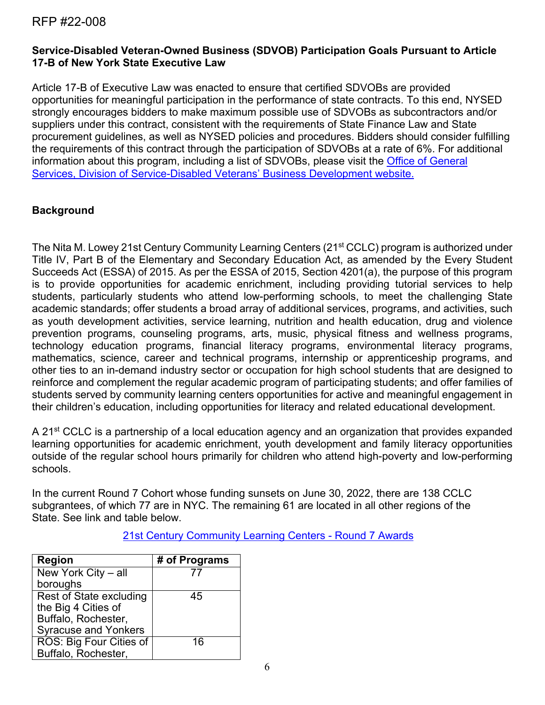# **Service-Disabled Veteran-Owned Business (SDVOB) Participation Goals Pursuant to Article 17-B of New York State Executive Law**

Article 17-B of Executive Law was enacted to ensure that certified SDVOBs are provided opportunities for meaningful participation in the performance of state contracts. To this end, NYSED strongly encourages bidders to make maximum possible use of SDVOBs as subcontractors and/or suppliers under this contract, consistent with the requirements of State Finance Law and State procurement guidelines, as well as NYSED policies and procedures. Bidders should consider fulfilling the requirements of this contract through the participation of SDVOBs at a rate of 6%. For additional information about this program, including a list of SDVOBs, please visit the [Office of General](https://www.ogs.ny.gov/veterans)  [Services, Division of Service-Disabled Veterans' Business Development website.](https://www.ogs.ny.gov/veterans)

# **Background**

The Nita M. Lowey 21st Century Community Learning Centers (21<sup>st</sup> CCLC) program is authorized under Title IV, Part B of the Elementary and Secondary Education Act, as amended by the Every Student Succeeds Act (ESSA) of 2015. As per the ESSA of 2015, Section 4201(a), the purpose of this program is to provide opportunities for academic enrichment, including providing tutorial services to help students, particularly students who attend low-performing schools, to meet the challenging State academic standards; offer students a broad array of additional services, programs, and activities, such as youth development activities, service learning, nutrition and health education, drug and violence prevention programs, counseling programs, arts, music, physical fitness and wellness programs, technology education programs, financial literacy programs, environmental literacy programs, mathematics, science, career and technical programs, internship or apprenticeship programs, and other ties to an in-demand industry sector or occupation for high school students that are designed to reinforce and complement the regular academic program of participating students; and offer families of students served by community learning centers opportunities for active and meaningful engagement in their children's education, including opportunities for literacy and related educational development.

A 21<sup>st</sup> CCLC is a partnership of a local education agency and an organization that provides expanded learning opportunities for academic enrichment, youth development and family literacy opportunities outside of the regular school hours primarily for children who attend high-poverty and low-performing schools.

In the current Round 7 Cohort whose funding sunsets on June 30, 2022, there are 138 CCLC subgrantees, of which 77 are in NYC. The remaining 61 are located in all other regions of the State. See link and table below.

[21st Century Community Learning Centers -](http://www.p12.nysed.gov/sss/documents/21stCCround7ADA.pdf) Round 7 Awards

| <b>Region</b>                  | # of Programs |
|--------------------------------|---------------|
| New York City - all            | 77            |
| boroughs                       |               |
| <b>Rest of State excluding</b> | 45            |
| the Big 4 Cities of            |               |
| Buffalo, Rochester,            |               |
| <b>Syracuse and Yonkers</b>    |               |
| ROS: Big Four Cities of        | 16            |
| Buffalo, Rochester,            |               |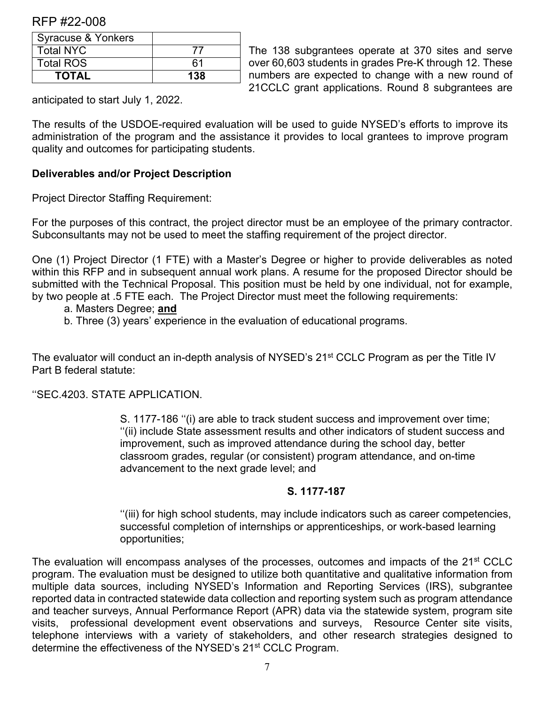| Syracuse & Yonkers |     |
|--------------------|-----|
| <b>Total NYC</b>   |     |
| <b>Total ROS</b>   | հ1  |
| <b>TOTAL</b>       | 138 |

The 138 subgrantees operate at 370 sites and serve over 60,603 students in grades Pre-K through 12. These numbers are expected to change with a new round of 21CCLC grant applications. Round 8 subgrantees are

anticipated to start July 1, 2022.

The results of the USDOE-required evaluation will be used to guide NYSED's efforts to improve its administration of the program and the assistance it provides to local grantees to improve program quality and outcomes for participating students.

#### **Deliverables and/or Project Description**

Project Director Staffing Requirement:

For the purposes of this contract, the project director must be an employee of the primary contractor. Subconsultants may not be used to meet the staffing requirement of the project director.

One (1) Project Director (1 FTE) with a Master's Degree or higher to provide deliverables as noted within this RFP and in subsequent annual work plans. A resume for the proposed Director should be submitted with the Technical Proposal. This position must be held by one individual, not for example, by two people at .5 FTE each. The Project Director must meet the following requirements:

# a. Masters Degree; **and**

b. Three (3) years' experience in the evaluation of educational programs.

The evaluator will conduct an in-depth analysis of NYSED's 21<sup>st</sup> CCLC Program as per the Title IV Part B federal statute:

''SEC.4203. STATE APPLICATION.

S. 1177-186 ''(i) are able to track student success and improvement over time; ''(ii) include State assessment results and other indicators of student success and improvement, such as improved attendance during the school day, better classroom grades, regular (or consistent) program attendance, and on-time advancement to the next grade level; and

#### **S. 1177-187**

''(iii) for high school students, may include indicators such as career competencies, successful completion of internships or apprenticeships, or work-based learning opportunities;

The evaluation will encompass analyses of the processes, outcomes and impacts of the 21<sup>st</sup> CCLC program. The evaluation must be designed to utilize both quantitative and qualitative information from multiple data sources, including NYSED's Information and Reporting Services (IRS), subgrantee reported data in contracted statewide data collection and reporting system such as program attendance and teacher surveys, Annual Performance Report (APR) data via the statewide system, program site visits, professional development event observations and surveys, Resource Center site visits, telephone interviews with a variety of stakeholders, and other research strategies designed to determine the effectiveness of the NYSED's 21st CCLC Program.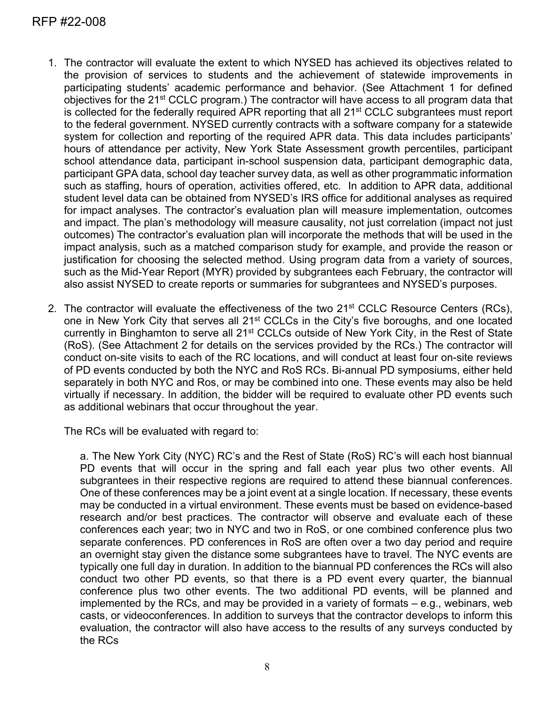- 1. The contractor will evaluate the extent to which NYSED has achieved its objectives related to the provision of services to students and the achievement of statewide improvements in participating students' academic performance and behavior. (See Attachment 1 for defined objectives for the 21st CCLC program.) The contractor will have access to all program data that is collected for the federally required APR reporting that all 21<sup>st</sup> CCLC subgrantees must report to the federal government. NYSED currently contracts with a software company for a statewide system for collection and reporting of the required APR data. This data includes participants' hours of attendance per activity, New York State Assessment growth percentiles, participant school attendance data, participant in-school suspension data, participant demographic data, participant GPA data, school day teacher survey data, as well as other programmatic information such as staffing, hours of operation, activities offered, etc. In addition to APR data, additional student level data can be obtained from NYSED's IRS office for additional analyses as required for impact analyses. The contractor's evaluation plan will measure implementation, outcomes and impact. The plan's methodology will measure causality, not just correlation (impact not just outcomes) The contractor's evaluation plan will incorporate the methods that will be used in the impact analysis, such as a matched comparison study for example, and provide the reason or justification for choosing the selected method. Using program data from a variety of sources, such as the Mid-Year Report (MYR) provided by subgrantees each February, the contractor will also assist NYSED to create reports or summaries for subgrantees and NYSED's purposes.
- 2. The contractor will evaluate the effectiveness of the two 21<sup>st</sup> CCLC Resource Centers (RCs), one in New York City that serves all 21<sup>st</sup> CCLCs in the City's five boroughs, and one located currently in Binghamton to serve all 21<sup>st</sup> CCLCs outside of New York City, in the Rest of State (RoS). (See Attachment 2 for details on the services provided by the RCs.) The contractor will conduct on-site visits to each of the RC locations, and will conduct at least four on-site reviews of PD events conducted by both the NYC and RoS RCs. Bi-annual PD symposiums, either held separately in both NYC and Ros, or may be combined into one. These events may also be held virtually if necessary. In addition, the bidder will be required to evaluate other PD events such as additional webinars that occur throughout the year.

The RCs will be evaluated with regard to:

a. The New York City (NYC) RC's and the Rest of State (RoS) RC's will each host biannual PD events that will occur in the spring and fall each year plus two other events. All subgrantees in their respective regions are required to attend these biannual conferences. One of these conferences may be a joint event at a single location. If necessary, these events may be conducted in a virtual environment. These events must be based on evidence-based research and/or best practices. The contractor will observe and evaluate each of these conferences each year; two in NYC and two in RoS, or one combined conference plus two separate conferences. PD conferences in RoS are often over a two day period and require an overnight stay given the distance some subgrantees have to travel. The NYC events are typically one full day in duration. In addition to the biannual PD conferences the RCs will also conduct two other PD events, so that there is a PD event every quarter, the biannual conference plus two other events. The two additional PD events, will be planned and implemented by the RCs, and may be provided in a variety of formats – e.g., webinars, web casts, or videoconferences. In addition to surveys that the contractor develops to inform this evaluation, the contractor will also have access to the results of any surveys conducted by the RCs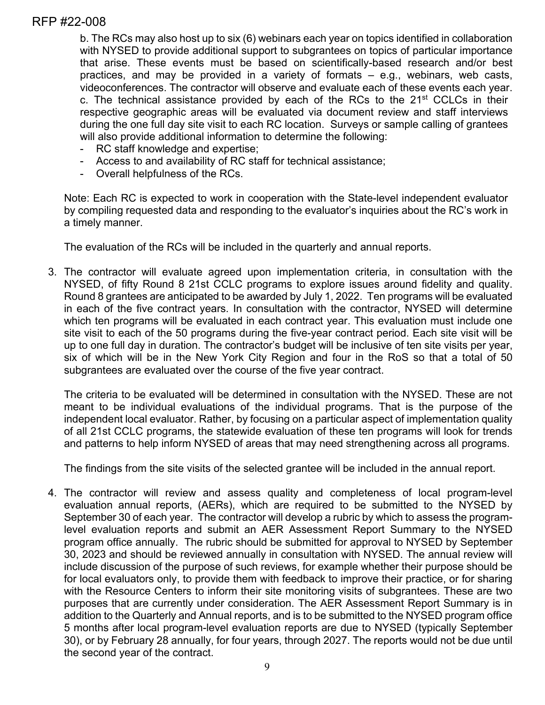b. The RCs may also host up to six (6) webinars each year on topics identified in collaboration with NYSED to provide additional support to subgrantees on topics of particular importance that arise. These events must be based on scientifically-based research and/or best practices, and may be provided in a variety of formats – e.g., webinars, web casts, videoconferences. The contractor will observe and evaluate each of these events each year. c. The technical assistance provided by each of the RCs to the  $21<sup>st</sup>$  CCLCs in their respective geographic areas will be evaluated via document review and staff interviews during the one full day site visit to each RC location. Surveys or sample calling of grantees will also provide additional information to determine the following:

- RC staff knowledge and expertise;
- Access to and availability of RC staff for technical assistance;
- Overall helpfulness of the RCs.

Note: Each RC is expected to work in cooperation with the State-level independent evaluator by compiling requested data and responding to the evaluator's inquiries about the RC's work in a timely manner.

The evaluation of the RCs will be included in the quarterly and annual reports.

3. The contractor will evaluate agreed upon implementation criteria, in consultation with the NYSED, of fifty Round 8 21st CCLC programs to explore issues around fidelity and quality. Round 8 grantees are anticipated to be awarded by July 1, 2022. Ten programs will be evaluated in each of the five contract years. In consultation with the contractor, NYSED will determine which ten programs will be evaluated in each contract year. This evaluation must include one site visit to each of the 50 programs during the five-year contract period. Each site visit will be up to one full day in duration. The contractor's budget will be inclusive of ten site visits per year, six of which will be in the New York City Region and four in the RoS so that a total of 50 subgrantees are evaluated over the course of the five year contract.

The criteria to be evaluated will be determined in consultation with the NYSED. These are not meant to be individual evaluations of the individual programs. That is the purpose of the independent local evaluator. Rather, by focusing on a particular aspect of implementation quality of all 21st CCLC programs, the statewide evaluation of these ten programs will look for trends and patterns to help inform NYSED of areas that may need strengthening across all programs.

The findings from the site visits of the selected grantee will be included in the annual report.

4. The contractor will review and assess quality and completeness of local program-level evaluation annual reports, (AERs), which are required to be submitted to the NYSED by September 30 of each year. The contractor will develop a rubric by which to assess the programlevel evaluation reports and submit an AER Assessment Report Summary to the NYSED program office annually. The rubric should be submitted for approval to NYSED by September 30, 2023 and should be reviewed annually in consultation with NYSED. The annual review will include discussion of the purpose of such reviews, for example whether their purpose should be for local evaluators only, to provide them with feedback to improve their practice, or for sharing with the Resource Centers to inform their site monitoring visits of subgrantees. These are two purposes that are currently under consideration. The AER Assessment Report Summary is in addition to the Quarterly and Annual reports, and is to be submitted to the NYSED program office 5 months after local program-level evaluation reports are due to NYSED (typically September 30), or by February 28 annually, for four years, through 2027. The reports would not be due until the second year of the contract.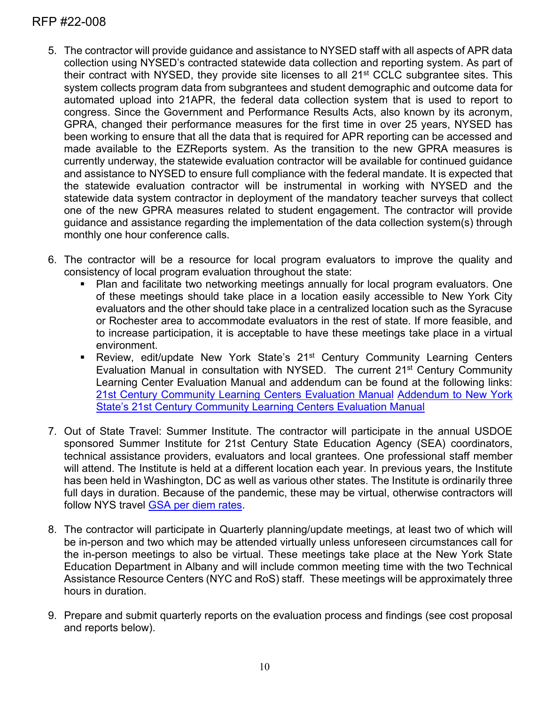- 5. The contractor will provide guidance and assistance to NYSED staff with all aspects of APR data collection using NYSED's contracted statewide data collection and reporting system. As part of their contract with NYSED, they provide site licenses to all 21st CCLC subgrantee sites. This system collects program data from subgrantees and student demographic and outcome data for automated upload into 21APR, the federal data collection system that is used to report to congress. Since the Government and Performance Results Acts, also known by its acronym, GPRA, changed their performance measures for the first time in over 25 years, NYSED has been working to ensure that all the data that is required for APR reporting can be accessed and made available to the EZReports system. As the transition to the new GPRA measures is currently underway, the statewide evaluation contractor will be available for continued guidance and assistance to NYSED to ensure full compliance with the federal mandate. It is expected that the statewide evaluation contractor will be instrumental in working with NYSED and the statewide data system contractor in deployment of the mandatory teacher surveys that collect one of the new GPRA measures related to student engagement. The contractor will provide guidance and assistance regarding the implementation of the data collection system(s) through monthly one hour conference calls.
- 6. The contractor will be a resource for local program evaluators to improve the quality and consistency of local program evaluation throughout the state:
	- Plan and facilitate two networking meetings annually for local program evaluators. One of these meetings should take place in a location easily accessible to New York City evaluators and the other should take place in a centralized location such as the Syracuse or Rochester area to accommodate evaluators in the rest of state. If more feasible, and to increase participation, it is acceptable to have these meetings take place in a virtual environment.
	- **EXECT** Review, edit/update New York State's 21<sup>st</sup> Century Community Learning Centers Evaluation Manual in consultation with NYSED. The current 21<sup>st</sup> Century Community Learning Center Evaluation Manual and addendum can be found at the following links: [21st Century Community Learning Centers Evaluation Manual](https://www.p12.nysed.gov/sss/documents/NYSEvaluationManual.pdf.) [Addendum to New York](https://www.p12.nysed.gov/sss/documents/AddendumtoNYSEvaluationManual4-27-21.pdf)  [State's 21st Century Community Learning Centers Evaluation Manual](https://www.p12.nysed.gov/sss/documents/AddendumtoNYSEvaluationManual4-27-21.pdf)
- 7. Out of State Travel: Summer Institute. The contractor will participate in the annual USDOE sponsored Summer Institute for 21st Century State Education Agency (SEA) coordinators, technical assistance providers, evaluators and local grantees. One professional staff member will attend. The Institute is held at a different location each year. In previous years, the Institute has been held in Washington, DC as well as various other states. The Institute is ordinarily three full days in duration. Because of the pandemic, these may be virtual, otherwise contractors will follow NYS travel [GSA per diem rates.](https://www.gsa.gov/travel/plan-book/per-diem-rates)
- 8. The contractor will participate in Quarterly planning/update meetings, at least two of which will be in-person and two which may be attended virtually unless unforeseen circumstances call for the in-person meetings to also be virtual. These meetings take place at the New York State Education Department in Albany and will include common meeting time with the two Technical Assistance Resource Centers (NYC and RoS) staff. These meetings will be approximately three hours in duration.
- 9. Prepare and submit quarterly reports on the evaluation process and findings (see cost proposal and reports below).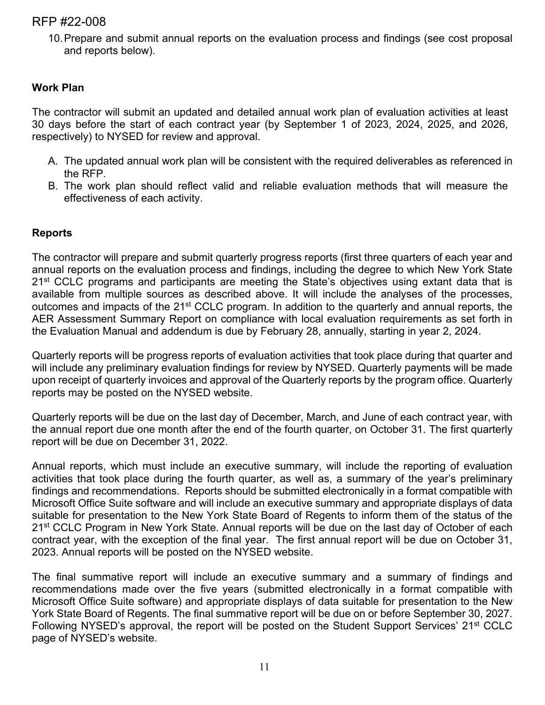10.Prepare and submit annual reports on the evaluation process and findings (see cost proposal and reports below).

# **Work Plan**

The contractor will submit an updated and detailed annual work plan of evaluation activities at least 30 days before the start of each contract year (by September 1 of 2023, 2024, 2025, and 2026, respectively) to NYSED for review and approval.

- A. The updated annual work plan will be consistent with the required deliverables as referenced in the RFP.
- B. The work plan should reflect valid and reliable evaluation methods that will measure the effectiveness of each activity.

#### **Reports**

The contractor will prepare and submit quarterly progress reports (first three quarters of each year and annual reports on the evaluation process and findings, including the degree to which New York State  $21<sup>st</sup>$  CCLC programs and participants are meeting the State's objectives using extant data that is available from multiple sources as described above. It will include the analyses of the processes, outcomes and impacts of the 21st CCLC program. In addition to the quarterly and annual reports, the AER Assessment Summary Report on compliance with local evaluation requirements as set forth in the Evaluation Manual and addendum is due by February 28, annually, starting in year 2, 2024.

Quarterly reports will be progress reports of evaluation activities that took place during that quarter and will include any preliminary evaluation findings for review by NYSED. Quarterly payments will be made upon receipt of quarterly invoices and approval of the Quarterly reports by the program office. Quarterly reports may be posted on the NYSED website.

Quarterly reports will be due on the last day of December, March, and June of each contract year, with the annual report due one month after the end of the fourth quarter, on October 31. The first quarterly report will be due on December 31, 2022.

Annual reports, which must include an executive summary, will include the reporting of evaluation activities that took place during the fourth quarter, as well as, a summary of the year's preliminary findings and recommendations. Reports should be submitted electronically in a format compatible with Microsoft Office Suite software and will include an executive summary and appropriate displays of data suitable for presentation to the New York State Board of Regents to inform them of the status of the 21<sup>st</sup> CCLC Program in New York State. Annual reports will be due on the last day of October of each contract year, with the exception of the final year. The first annual report will be due on October 31, 2023. Annual reports will be posted on the NYSED website.

The final summative report will include an executive summary and a summary of findings and recommendations made over the five years (submitted electronically in a format compatible with Microsoft Office Suite software) and appropriate displays of data suitable for presentation to the New York State Board of Regents. The final summative report will be due on or before September 30, 2027. Following NYSED's approval, the report will be posted on the Student Support Services' 21st CCLC page of NYSED's website.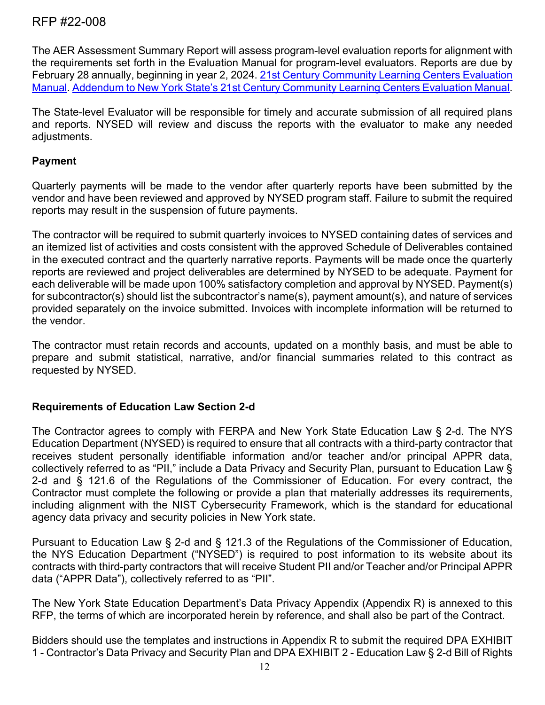The AER Assessment Summary Report will assess program-level evaluation reports for alignment with the requirements set forth in the Evaluation Manual for program-level evaluators. Reports are due by February 28 annually, beginning in year 2, 2024. [21st Century Community Learning Centers Evaluation](https://www.p12.nysed.gov/sss/documents/NYSEvaluationManual.pdf)  [Manual.](https://www.p12.nysed.gov/sss/documents/NYSEvaluationManual.pdf) [Addendum to New York State's 21st Century Community Learning Centers Evaluation Manual.](https://www.p12.nysed.gov/sss/documents/AddendumtoNYSEvaluationManual4-27-21.pdf)

The State-level Evaluator will be responsible for timely and accurate submission of all required plans and reports. NYSED will review and discuss the reports with the evaluator to make any needed adjustments.

## **Payment**

Quarterly payments will be made to the vendor after quarterly reports have been submitted by the vendor and have been reviewed and approved by NYSED program staff. Failure to submit the required reports may result in the suspension of future payments.

The contractor will be required to submit quarterly invoices to NYSED containing dates of services and an itemized list of activities and costs consistent with the approved Schedule of Deliverables contained in the executed contract and the quarterly narrative reports. Payments will be made once the quarterly reports are reviewed and project deliverables are determined by NYSED to be adequate. Payment for each deliverable will be made upon 100% satisfactory completion and approval by NYSED. Payment(s) for subcontractor(s) should list the subcontractor's name(s), payment amount(s), and nature of services provided separately on the invoice submitted. Invoices with incomplete information will be returned to the vendor.

The contractor must retain records and accounts, updated on a monthly basis, and must be able to prepare and submit statistical, narrative, and/or financial summaries related to this contract as requested by NYSED.

# **Requirements of Education Law Section 2-d**

The Contractor agrees to comply with FERPA and New York State Education Law § 2-d. The NYS Education Department (NYSED) is required to ensure that all contracts with a third-party contractor that receives student personally identifiable information and/or teacher and/or principal APPR data, collectively referred to as "PII," include a Data Privacy and Security Plan, pursuant to Education Law § 2-d and § 121.6 of the Regulations of the Commissioner of Education. For every contract, the Contractor must complete the following or provide a plan that materially addresses its requirements, including alignment with the NIST Cybersecurity Framework, which is the standard for educational agency data privacy and security policies in New York state.

Pursuant to Education Law § 2-d and § 121.3 of the Regulations of the Commissioner of Education, the NYS Education Department ("NYSED") is required to post information to its website about its contracts with third-party contractors that will receive Student PII and/or Teacher and/or Principal APPR data ("APPR Data"), collectively referred to as "PII".

The New York State Education Department's Data Privacy Appendix (Appendix R) is annexed to this RFP, the terms of which are incorporated herein by reference, and shall also be part of the Contract.

Bidders should use the templates and instructions in Appendix R to submit the required DPA EXHIBIT 1 - Contractor's Data Privacy and Security Plan and DPA EXHIBIT 2 - Education Law § 2-d Bill of Rights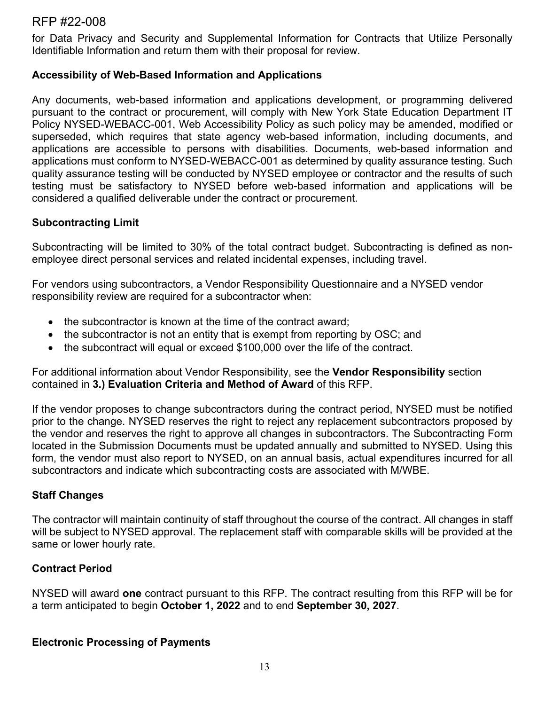for Data Privacy and Security and Supplemental Information for Contracts that Utilize Personally Identifiable Information and return them with their proposal for review.

### **Accessibility of Web-Based Information and Applications**

Any documents, web-based information and applications development, or programming delivered pursuant to the contract or procurement, will comply with New York State Education Department IT Policy NYSED-WEBACC-001, Web Accessibility Policy as such policy may be amended, modified or superseded, which requires that state agency web-based information, including documents, and applications are accessible to persons with disabilities. Documents, web-based information and applications must conform to NYSED-WEBACC-001 as determined by quality assurance testing. Such quality assurance testing will be conducted by NYSED employee or contractor and the results of such testing must be satisfactory to NYSED before web-based information and applications will be considered a qualified deliverable under the contract or procurement.

## **Subcontracting Limit**

Subcontracting will be limited to 30% of the total contract budget. Subcontracting is defined as nonemployee direct personal services and related incidental expenses, including travel.

For vendors using subcontractors, a Vendor Responsibility Questionnaire and a NYSED vendor responsibility review are required for a subcontractor when:

- the subcontractor is known at the time of the contract award;
- the subcontractor is not an entity that is exempt from reporting by OSC; and
- the subcontract will equal or exceed \$100,000 over the life of the contract.

For additional information about Vendor Responsibility, see the **Vendor Responsibility** section contained in **3.) Evaluation Criteria and Method of Award** of this RFP.

If the vendor proposes to change subcontractors during the contract period, NYSED must be notified prior to the change. NYSED reserves the right to reject any replacement subcontractors proposed by the vendor and reserves the right to approve all changes in subcontractors. The Subcontracting Form located in the Submission Documents must be updated annually and submitted to NYSED. Using this form, the vendor must also report to NYSED, on an annual basis, actual expenditures incurred for all subcontractors and indicate which subcontracting costs are associated with M/WBE.

# **Staff Changes**

The contractor will maintain continuity of staff throughout the course of the contract. All changes in staff will be subject to NYSED approval. The replacement staff with comparable skills will be provided at the same or lower hourly rate.

# **Contract Period**

NYSED will award **one** contract pursuant to this RFP. The contract resulting from this RFP will be for a term anticipated to begin **October 1, 2022** and to end **September 30, 2027**.

#### **Electronic Processing of Payments**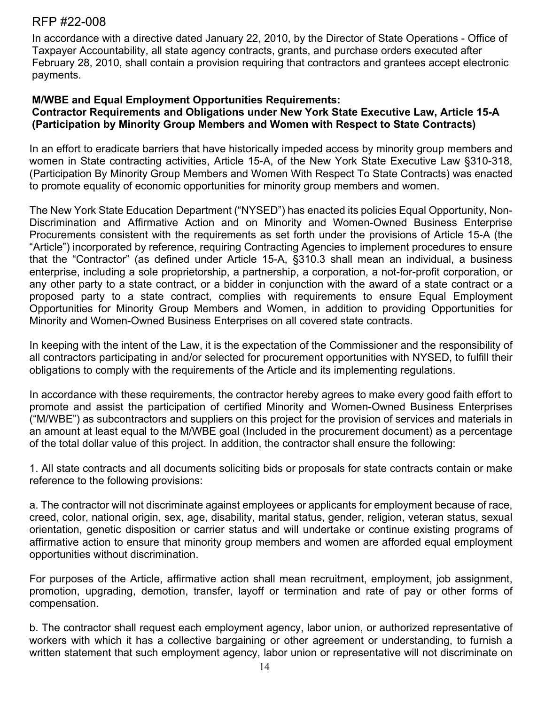In accordance with a directive dated January 22, 2010, by the Director of State Operations - Office of Taxpayer Accountability, all state agency contracts, grants, and purchase orders executed after February 28, 2010, shall contain a provision requiring that contractors and grantees accept electronic payments.

## **M/WBE and Equal Employment Opportunities Requirements:**

## **Contractor Requirements and Obligations under New York State Executive Law, Article 15-A (Participation by Minority Group Members and Women with Respect to State Contracts)**

In an effort to eradicate barriers that have historically impeded access by minority group members and women in State contracting activities, Article 15-A, of the New York State Executive Law §310-318, (Participation By Minority Group Members and Women With Respect To State Contracts) was enacted to promote equality of economic opportunities for minority group members and women.

The New York State Education Department ("NYSED") has enacted its policies Equal Opportunity, Non-Discrimination and Affirmative Action and on Minority and Women-Owned Business Enterprise Procurements consistent with the requirements as set forth under the provisions of Article 15-A (the "Article") incorporated by reference, requiring Contracting Agencies to implement procedures to ensure that the "Contractor" (as defined under Article 15-A, §310.3 shall mean an individual, a business enterprise, including a sole proprietorship, a partnership, a corporation, a not-for-profit corporation, or any other party to a state contract, or a bidder in conjunction with the award of a state contract or a proposed party to a state contract, complies with requirements to ensure Equal Employment Opportunities for Minority Group Members and Women, in addition to providing Opportunities for Minority and Women-Owned Business Enterprises on all covered state contracts.

In keeping with the intent of the Law, it is the expectation of the Commissioner and the responsibility of all contractors participating in and/or selected for procurement opportunities with NYSED, to fulfill their obligations to comply with the requirements of the Article and its implementing regulations.

In accordance with these requirements, the contractor hereby agrees to make every good faith effort to promote and assist the participation of certified Minority and Women-Owned Business Enterprises ("M/WBE") as subcontractors and suppliers on this project for the provision of services and materials in an amount at least equal to the M/WBE goal (Included in the procurement document) as a percentage of the total dollar value of this project. In addition, the contractor shall ensure the following:

1. All state contracts and all documents soliciting bids or proposals for state contracts contain or make reference to the following provisions:

a. The contractor will not discriminate against employees or applicants for employment because of race, creed, color, national origin, sex, age, disability, marital status, gender, religion, veteran status, sexual orientation, genetic disposition or carrier status and will undertake or continue existing programs of affirmative action to ensure that minority group members and women are afforded equal employment opportunities without discrimination.

For purposes of the Article, affirmative action shall mean recruitment, employment, job assignment, promotion, upgrading, demotion, transfer, layoff or termination and rate of pay or other forms of compensation.

b. The contractor shall request each employment agency, labor union, or authorized representative of workers with which it has a collective bargaining or other agreement or understanding, to furnish a written statement that such employment agency, labor union or representative will not discriminate on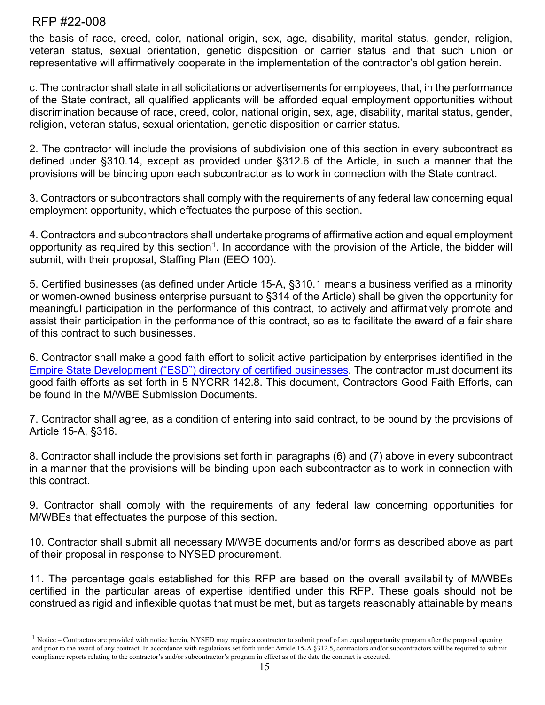the basis of race, creed, color, national origin, sex, age, disability, marital status, gender, religion, veteran status, sexual orientation, genetic disposition or carrier status and that such union or representative will affirmatively cooperate in the implementation of the contractor's obligation herein.

c. The contractor shall state in all solicitations or advertisements for employees, that, in the performance of the State contract, all qualified applicants will be afforded equal employment opportunities without discrimination because of race, creed, color, national origin, sex, age, disability, marital status, gender, religion, veteran status, sexual orientation, genetic disposition or carrier status.

2. The contractor will include the provisions of subdivision one of this section in every subcontract as defined under §310.14, except as provided under §312.6 of the Article, in such a manner that the provisions will be binding upon each subcontractor as to work in connection with the State contract.

3. Contractors or subcontractors shall comply with the requirements of any federal law concerning equal employment opportunity, which effectuates the purpose of this section.

4. Contractors and subcontractors shall undertake programs of affirmative action and equal employment opportunity as required by this section<sup>1</sup>. In accordance with the provision of the Article, the bidder will submit, with their proposal, Staffing Plan (EEO 100).

5. Certified businesses (as defined under Article 15-A, §310.1 means a business verified as a minority or women-owned business enterprise pursuant to §314 of the Article) shall be given the opportunity for meaningful participation in the performance of this contract, to actively and affirmatively promote and assist their participation in the performance of this contract, so as to facilitate the award of a fair share of this contract to such businesses.

6. Contractor shall make a good faith effort to solicit active participation by enterprises identified in the [Empire State Development \("ESD"\) directory of certified businesses.](https://ny.newnycontracts.com/FrontEnd/VendorSearchPublic.asp?TN=ny&XID=4687) The contractor must document its good faith efforts as set forth in 5 NYCRR 142.8. This document, Contractors Good Faith Efforts, can be found in the M/WBE Submission Documents.

7. Contractor shall agree, as a condition of entering into said contract, to be bound by the provisions of Article 15-A, §316.

8. Contractor shall include the provisions set forth in paragraphs (6) and (7) above in every subcontract in a manner that the provisions will be binding upon each subcontractor as to work in connection with this contract.

9. Contractor shall comply with the requirements of any federal law concerning opportunities for M/WBEs that effectuates the purpose of this section.

10. Contractor shall submit all necessary M/WBE documents and/or forms as described above as part of their proposal in response to NYSED procurement.

11. The percentage goals established for this RFP are based on the overall availability of M/WBEs certified in the particular areas of expertise identified under this RFP. These goals should not be construed as rigid and inflexible quotas that must be met, but as targets reasonably attainable by means

<span id="page-14-0"></span> $<sup>1</sup>$  Notice – Contractors are provided with notice herein, NYSED may require a contractor to submit proof of an equal opportunity program after the proposal opening</sup> and prior to the award of any contract. In accordance with regulations set forth under Article 15-A §312.5, contractors and/or subcontractors will be required to submit compliance reports relating to the contractor's and/or subcontractor's program in effect as of the date the contract is executed.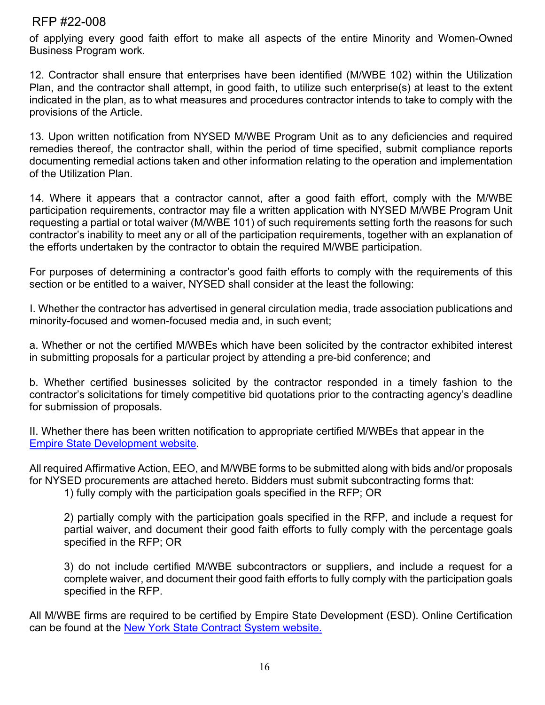of applying every good faith effort to make all aspects of the entire Minority and Women-Owned Business Program work.

12. Contractor shall ensure that enterprises have been identified (M/WBE 102) within the Utilization Plan, and the contractor shall attempt, in good faith, to utilize such enterprise(s) at least to the extent indicated in the plan, as to what measures and procedures contractor intends to take to comply with the provisions of the Article.

13. Upon written notification from NYSED M/WBE Program Unit as to any deficiencies and required remedies thereof, the contractor shall, within the period of time specified, submit compliance reports documenting remedial actions taken and other information relating to the operation and implementation of the Utilization Plan.

14. Where it appears that a contractor cannot, after a good faith effort, comply with the M/WBE participation requirements, contractor may file a written application with NYSED M/WBE Program Unit requesting a partial or total waiver (M/WBE 101) of such requirements setting forth the reasons for such contractor's inability to meet any or all of the participation requirements, together with an explanation of the efforts undertaken by the contractor to obtain the required M/WBE participation.

For purposes of determining a contractor's good faith efforts to comply with the requirements of this section or be entitled to a waiver, NYSED shall consider at the least the following:

I. Whether the contractor has advertised in general circulation media, trade association publications and minority-focused and women-focused media and, in such event;

a. Whether or not the certified M/WBEs which have been solicited by the contractor exhibited interest in submitting proposals for a particular project by attending a pre-bid conference; and

b. Whether certified businesses solicited by the contractor responded in a timely fashion to the contractor's solicitations for timely competitive bid quotations prior to the contracting agency's deadline for submission of proposals.

II. Whether there has been written notification to appropriate certified M/WBEs that appear in the [Empire State Development website.](https://ny.newnycontracts.com/FrontEnd/VendorSearchPublic.asp?TN=ny&XID=4687)

All required Affirmative Action, EEO, and M/WBE forms to be submitted along with bids and/or proposals for NYSED procurements are attached hereto. Bidders must submit subcontracting forms that:

1) fully comply with the participation goals specified in the RFP; OR

2) partially comply with the participation goals specified in the RFP, and include a request for partial waiver, and document their good faith efforts to fully comply with the percentage goals specified in the RFP; OR

3) do not include certified M/WBE subcontractors or suppliers, and include a request for a complete waiver, and document their good faith efforts to fully comply with the participation goals specified in the RFP.

All M/WBE firms are required to be certified by Empire State Development (ESD). Online Certification can be found at the [New York State Contract System](https://ny.newnycontracts.com/FrontEnd/StartCertification.asp?TN=ny&XID=2029) website.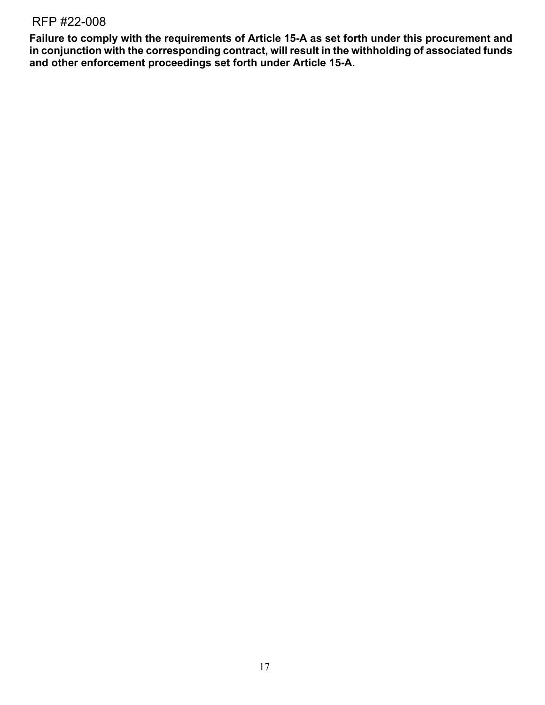**Failure to comply with the requirements of Article 15-A as set forth under this procurement and in conjunction with the corresponding contract, will result in the withholding of associated funds and other enforcement proceedings set forth under Article 15-A.**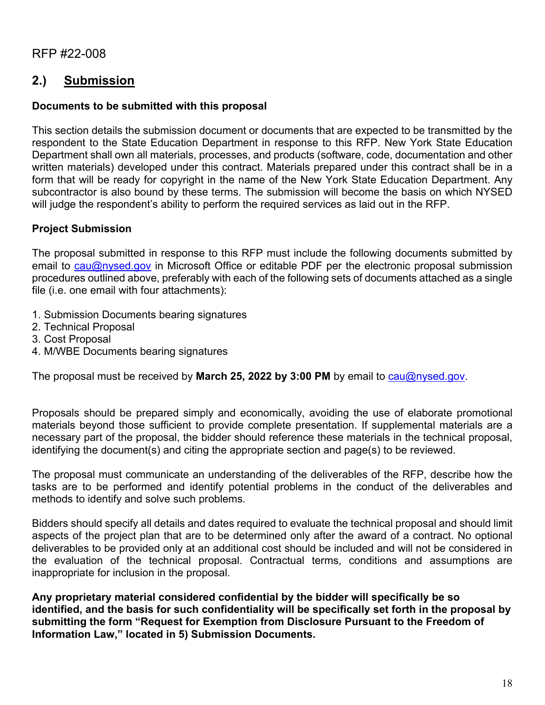# **2.) Submission**

# **Documents to be submitted with this proposal**

This section details the submission document or documents that are expected to be transmitted by the respondent to the State Education Department in response to this RFP. New York State Education Department shall own all materials, processes, and products (software, code, documentation and other written materials) developed under this contract. Materials prepared under this contract shall be in a form that will be ready for copyright in the name of the New York State Education Department. Any subcontractor is also bound by these terms. The submission will become the basis on which NYSED will judge the respondent's ability to perform the required services as laid out in the RFP.

# **Project Submission**

The proposal submitted in response to this RFP must include the following documents submitted by email to [cau@nysed.gov](mailto:cau@nysed.gov) in Microsoft Office or editable PDF per the electronic proposal submission procedures outlined above, preferably with each of the following sets of documents attached as a single file (i.e. one email with four attachments):

- 1. Submission Documents bearing signatures
- 2. Technical Proposal
- 3. Cost Proposal
- 4. M/WBE Documents bearing signatures

The proposal must be received by **March 25, 2022 by 3:00 PM** by email to [cau@nysed.gov.](mailto:cau@nysed.gov)

Proposals should be prepared simply and economically, avoiding the use of elaborate promotional materials beyond those sufficient to provide complete presentation. If supplemental materials are a necessary part of the proposal, the bidder should reference these materials in the technical proposal, identifying the document(s) and citing the appropriate section and page(s) to be reviewed.

The proposal must communicate an understanding of the deliverables of the RFP, describe how the tasks are to be performed and identify potential problems in the conduct of the deliverables and methods to identify and solve such problems.

Bidders should specify all details and dates required to evaluate the technical proposal and should limit aspects of the project plan that are to be determined only after the award of a contract. No optional deliverables to be provided only at an additional cost should be included and will not be considered in the evaluation of the technical proposal. Contractual terms, conditions and assumptions are inappropriate for inclusion in the proposal.

**Any proprietary material considered confidential by the bidder will specifically be so identified, and the basis for such confidentiality will be specifically set forth in the proposal by submitting the form "Request for Exemption from Disclosure Pursuant to the Freedom of Information Law," located in 5) Submission Documents.**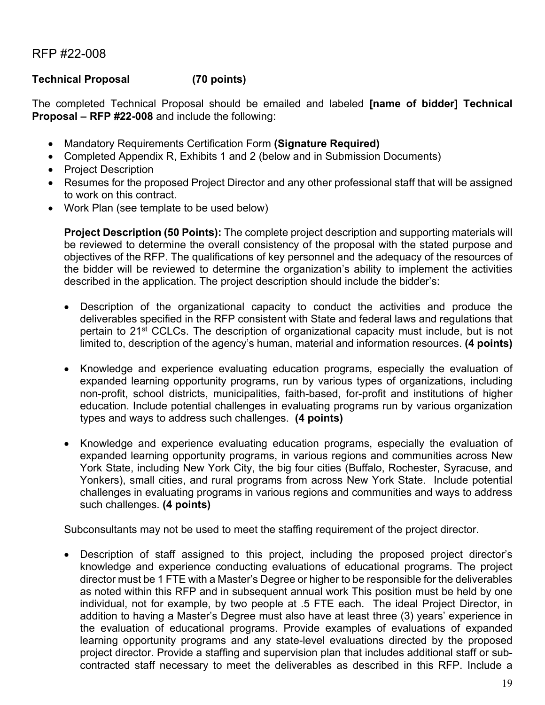# **Technical Proposal (70 points)**

The completed Technical Proposal should be emailed and labeled **[name of bidder] Technical Proposal – RFP #22-008** and include the following:

- Mandatory Requirements Certification Form **(Signature Required)**
- Completed Appendix R, Exhibits 1 and 2 (below and in Submission Documents)
- Project Description
- Resumes for the proposed Project Director and any other professional staff that will be assigned to work on this contract.
- Work Plan (see template to be used below)

**Project Description (50 Points):** The complete project description and supporting materials will be reviewed to determine the overall consistency of the proposal with the stated purpose and objectives of the RFP. The qualifications of key personnel and the adequacy of the resources of the bidder will be reviewed to determine the organization's ability to implement the activities described in the application. The project description should include the bidder's:

- Description of the organizational capacity to conduct the activities and produce the deliverables specified in the RFP consistent with State and federal laws and regulations that pertain to 21<sup>st</sup> CCLCs. The description of organizational capacity must include, but is not limited to, description of the agency's human, material and information resources. **(4 points)**
- Knowledge and experience evaluating education programs, especially the evaluation of expanded learning opportunity programs, run by various types of organizations, including non-profit, school districts, municipalities, faith-based, for-profit and institutions of higher education. Include potential challenges in evaluating programs run by various organization types and ways to address such challenges. **(4 points)**
- Knowledge and experience evaluating education programs, especially the evaluation of expanded learning opportunity programs, in various regions and communities across New York State, including New York City, the big four cities (Buffalo, Rochester, Syracuse, and Yonkers), small cities, and rural programs from across New York State. Include potential challenges in evaluating programs in various regions and communities and ways to address such challenges. **(4 points)**

Subconsultants may not be used to meet the staffing requirement of the project director.

• Description of staff assigned to this project, including the proposed project director's knowledge and experience conducting evaluations of educational programs. The project director must be 1 FTE with a Master's Degree or higher to be responsible for the deliverables as noted within this RFP and in subsequent annual work This position must be held by one individual, not for example, by two people at .5 FTE each. The ideal Project Director, in addition to having a Master's Degree must also have at least three (3) years' experience in the evaluation of educational programs. Provide examples of evaluations of expanded learning opportunity programs and any state-level evaluations directed by the proposed project director. Provide a staffing and supervision plan that includes additional staff or subcontracted staff necessary to meet the deliverables as described in this RFP. Include a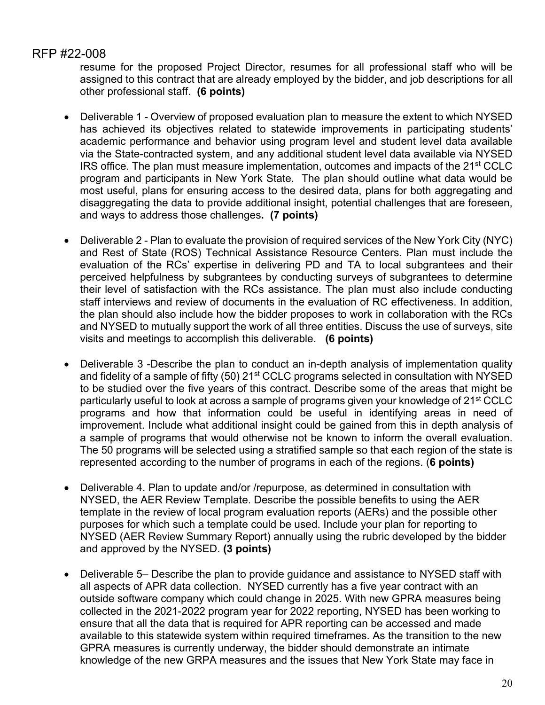resume for the proposed Project Director, resumes for all professional staff who will be assigned to this contract that are already employed by the bidder, and job descriptions for all other professional staff. **(6 points)**

- Deliverable 1 Overview of proposed evaluation plan to measure the extent to which NYSED has achieved its objectives related to statewide improvements in participating students' academic performance and behavior using program level and student level data available via the State-contracted system, and any additional student level data available via NYSED IRS office. The plan must measure implementation, outcomes and impacts of the 21st CCLC program and participants in New York State. The plan should outline what data would be most useful, plans for ensuring access to the desired data, plans for both aggregating and disaggregating the data to provide additional insight, potential challenges that are foreseen, and ways to address those challenges**. (7 points)**
- Deliverable 2 Plan to evaluate the provision of required services of the New York City (NYC) and Rest of State (ROS) Technical Assistance Resource Centers. Plan must include the evaluation of the RCs' expertise in delivering PD and TA to local subgrantees and their perceived helpfulness by subgrantees by conducting surveys of subgrantees to determine their level of satisfaction with the RCs assistance. The plan must also include conducting staff interviews and review of documents in the evaluation of RC effectiveness. In addition, the plan should also include how the bidder proposes to work in collaboration with the RCs and NYSED to mutually support the work of all three entities. Discuss the use of surveys, site visits and meetings to accomplish this deliverable. **(6 points)**
- Deliverable 3 -Describe the plan to conduct an in-depth analysis of implementation quality and fidelity of a sample of fifty (50) 21<sup>st</sup> CCLC programs selected in consultation with NYSED to be studied over the five years of this contract. Describe some of the areas that might be particularly useful to look at across a sample of programs given your knowledge of 21<sup>st</sup> CCLC programs and how that information could be useful in identifying areas in need of improvement. Include what additional insight could be gained from this in depth analysis of a sample of programs that would otherwise not be known to inform the overall evaluation. The 50 programs will be selected using a stratified sample so that each region of the state is represented according to the number of programs in each of the regions. (**6 points)**
- Deliverable 4. Plan to update and/or /repurpose, as determined in consultation with NYSED, the AER Review Template. Describe the possible benefits to using the AER template in the review of local program evaluation reports (AERs) and the possible other purposes for which such a template could be used. Include your plan for reporting to NYSED (AER Review Summary Report) annually using the rubric developed by the bidder and approved by the NYSED. **(3 points)**
- Deliverable 5– Describe the plan to provide guidance and assistance to NYSED staff with all aspects of APR data collection. NYSED currently has a five year contract with an outside software company which could change in 2025. With new GPRA measures being collected in the 2021-2022 program year for 2022 reporting, NYSED has been working to ensure that all the data that is required for APR reporting can be accessed and made available to this statewide system within required timeframes. As the transition to the new GPRA measures is currently underway, the bidder should demonstrate an intimate knowledge of the new GRPA measures and the issues that New York State may face in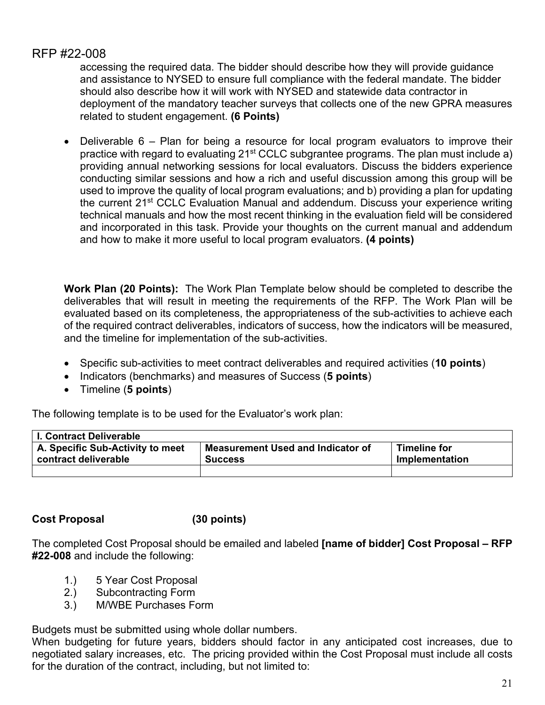accessing the required data. The bidder should describe how they will provide guidance and assistance to NYSED to ensure full compliance with the federal mandate. The bidder should also describe how it will work with NYSED and statewide data contractor in deployment of the mandatory teacher surveys that collects one of the new GPRA measures related to student engagement. **(6 Points)**

• Deliverable 6 – Plan for being a resource for local program evaluators to improve their practice with regard to evaluating 21st CCLC subgrantee programs. The plan must include a) providing annual networking sessions for local evaluators. Discuss the bidders experience conducting similar sessions and how a rich and useful discussion among this group will be used to improve the quality of local program evaluations; and b) providing a plan for updating the current 21st CCLC Evaluation Manual and addendum. Discuss your experience writing technical manuals and how the most recent thinking in the evaluation field will be considered and incorporated in this task. Provide your thoughts on the current manual and addendum and how to make it more useful to local program evaluators. **(4 points)**

**Work Plan (20 Points):** The Work Plan Template below should be completed to describe the deliverables that will result in meeting the requirements of the RFP. The Work Plan will be evaluated based on its completeness, the appropriateness of the sub-activities to achieve each of the required contract deliverables, indicators of success, how the indicators will be measured, and the timeline for implementation of the sub-activities.

- Specific sub-activities to meet contract deliverables and required activities (**10 points**)
- Indicators (benchmarks) and measures of Success (**5 points**)
- Timeline (**5 points**)

The following template is to be used for the Evaluator's work plan:

| <b>I. Contract Deliverable</b>   |                                          |                     |
|----------------------------------|------------------------------------------|---------------------|
| A. Specific Sub-Activity to meet | <b>Measurement Used and Indicator of</b> | <b>Timeline for</b> |
| contract deliverable             | <b>Success</b>                           | Implementation      |
|                                  |                                          |                     |

#### **Cost Proposal (30 points)**

The completed Cost Proposal should be emailed and labeled **[name of bidder] Cost Proposal – RFP #22-008** and include the following:

- 1.) 5 Year Cost Proposal
- 2.) Subcontracting Form
- 3.) M/WBE Purchases Form

Budgets must be submitted using whole dollar numbers.

When budgeting for future years, bidders should factor in any anticipated cost increases, due to negotiated salary increases, etc. The pricing provided within the Cost Proposal must include all costs for the duration of the contract, including, but not limited to: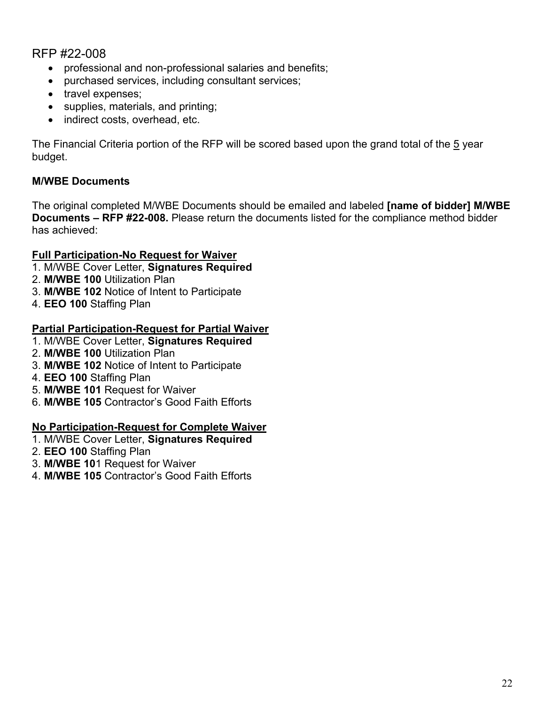- professional and non-professional salaries and benefits;
- purchased services, including consultant services;
- travel expenses:
- supplies, materials, and printing;
- indirect costs, overhead, etc.

The Financial Criteria portion of the RFP will be scored based upon the grand total of the 5 year budget.

# **M/WBE Documents**

The original completed M/WBE Documents should be emailed and labeled **[name of bidder] M/WBE Documents – RFP #22-008.** Please return the documents listed for the compliance method bidder has achieved:

# **Full Participation-No Request for Waiver**

- 1. M/WBE Cover Letter, **Signatures Required**
- 2. **M/WBE 100** Utilization Plan
- 3. **M/WBE 102** Notice of Intent to Participate
- 4. **EEO 100** Staffing Plan

# **Partial Participation-Request for Partial Waiver**

- 1. M/WBE Cover Letter, **Signatures Required**
- 2. **M/WBE 100** Utilization Plan
- 3. **M/WBE 102** Notice of Intent to Participate
- 4. **EEO 100** Staffing Plan
- 5. **M/WBE 101** Request for Waiver
- 6. **M/WBE 105** Contractor's Good Faith Efforts

# **No Participation-Request for Complete Waiver**

- 1. M/WBE Cover Letter, **Signatures Required**
- 2. **EEO 100** Staffing Plan
- 3. **M/WBE 10**1 Request for Waiver
- 4. **M/WBE 105** Contractor's Good Faith Efforts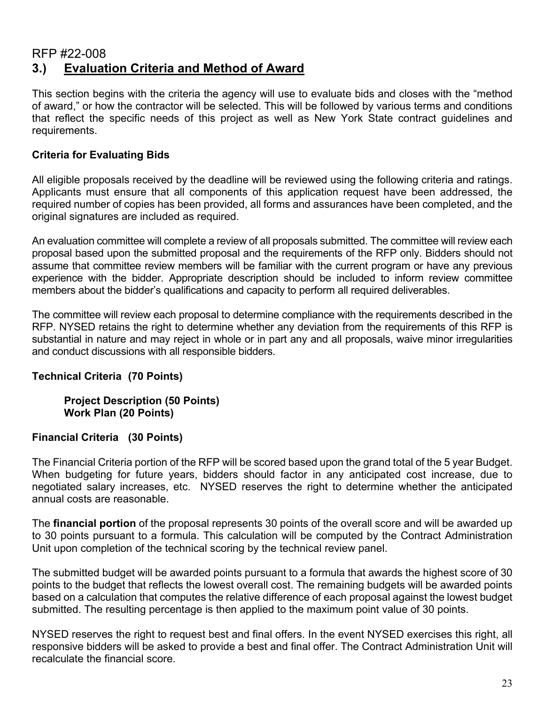# RFP #22-008 **3.) Evaluation Criteria and Method of Award**

This section begins with the criteria the agency will use to evaluate bids and closes with the "method of award," or how the contractor will be selected. This will be followed by various terms and conditions that reflect the specific needs of this project as well as New York State contract guidelines and requirements.

# **Criteria for Evaluating Bids**

All eligible proposals received by the deadline will be reviewed using the following criteria and ratings. Applicants must ensure that all components of this application request have been addressed, the required number of copies has been provided, all forms and assurances have been completed, and the original signatures are included as required.

An evaluation committee will complete a review of all proposals submitted. The committee will review each proposal based upon the submitted proposal and the requirements of the RFP only. Bidders should not assume that committee review members will be familiar with the current program or have any previous experience with the bidder. Appropriate description should be included to inform review committee members about the bidder's qualifications and capacity to perform all required deliverables.

The committee will review each proposal to determine compliance with the requirements described in the RFP. NYSED retains the right to determine whether any deviation from the requirements of this RFP is substantial in nature and may reject in whole or in part any and all proposals, waive minor irregularities and conduct discussions with all responsible bidders.

# **Technical Criteria (70 Points)**

**Project Description (50 Points) Work Plan (20 Points)**

# **Financial Criteria (30 Points)**

The Financial Criteria portion of the RFP will be scored based upon the grand total of the 5 year Budget. When budgeting for future years, bidders should factor in any anticipated cost increase, due to negotiated salary increases, etc. NYSED reserves the right to determine whether the anticipated annual costs are reasonable.

The **financial portion** of the proposal represents 30 points of the overall score and will be awarded up to 30 points pursuant to a formula. This calculation will be computed by the Contract Administration Unit upon completion of the technical scoring by the technical review panel.

The submitted budget will be awarded points pursuant to a formula that awards the highest score of 30 points to the budget that reflects the lowest overall cost. The remaining budgets will be awarded points based on a calculation that computes the relative difference of each proposal against the lowest budget submitted. The resulting percentage is then applied to the maximum point value of 30 points.

NYSED reserves the right to request best and final offers. In the event NYSED exercises this right, all responsive bidders will be asked to provide a best and final offer. The Contract Administration Unit will recalculate the financial score.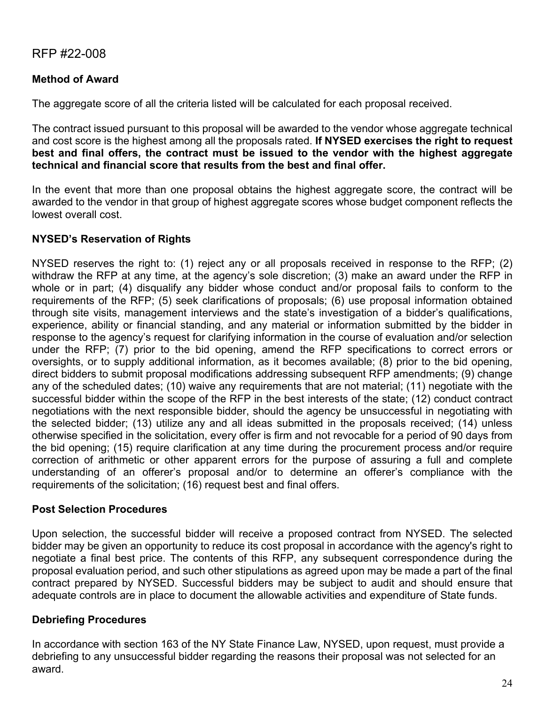# **Method of Award**

The aggregate score of all the criteria listed will be calculated for each proposal received.

The contract issued pursuant to this proposal will be awarded to the vendor whose aggregate technical and cost score is the highest among all the proposals rated. **If NYSED exercises the right to request best and final offers, the contract must be issued to the vendor with the highest aggregate technical and financial score that results from the best and final offer.**

In the event that more than one proposal obtains the highest aggregate score, the contract will be awarded to the vendor in that group of highest aggregate scores whose budget component reflects the lowest overall cost.

# **NYSED's Reservation of Rights**

NYSED reserves the right to: (1) reject any or all proposals received in response to the RFP; (2) withdraw the RFP at any time, at the agency's sole discretion; (3) make an award under the RFP in whole or in part; (4) disqualify any bidder whose conduct and/or proposal fails to conform to the requirements of the RFP; (5) seek clarifications of proposals; (6) use proposal information obtained through site visits, management interviews and the state's investigation of a bidder's qualifications, experience, ability or financial standing, and any material or information submitted by the bidder in response to the agency's request for clarifying information in the course of evaluation and/or selection under the RFP; (7) prior to the bid opening, amend the RFP specifications to correct errors or oversights, or to supply additional information, as it becomes available; (8) prior to the bid opening, direct bidders to submit proposal modifications addressing subsequent RFP amendments; (9) change any of the scheduled dates; (10) waive any requirements that are not material; (11) negotiate with the successful bidder within the scope of the RFP in the best interests of the state; (12) conduct contract negotiations with the next responsible bidder, should the agency be unsuccessful in negotiating with the selected bidder; (13) utilize any and all ideas submitted in the proposals received; (14) unless otherwise specified in the solicitation, every offer is firm and not revocable for a period of 90 days from the bid opening; (15) require clarification at any time during the procurement process and/or require correction of arithmetic or other apparent errors for the purpose of assuring a full and complete understanding of an offerer's proposal and/or to determine an offerer's compliance with the requirements of the solicitation; (16) request best and final offers.

# **Post Selection Procedures**

Upon selection, the successful bidder will receive a proposed contract from NYSED. The selected bidder may be given an opportunity to reduce its cost proposal in accordance with the agency's right to negotiate a final best price. The contents of this RFP, any subsequent correspondence during the proposal evaluation period, and such other stipulations as agreed upon may be made a part of the final contract prepared by NYSED. Successful bidders may be subject to audit and should ensure that adequate controls are in place to document the allowable activities and expenditure of State funds.

# **Debriefing Procedures**

In accordance with section 163 of the NY State Finance Law, NYSED, upon request, must provide a debriefing to any unsuccessful bidder regarding the reasons their proposal was not selected for an award.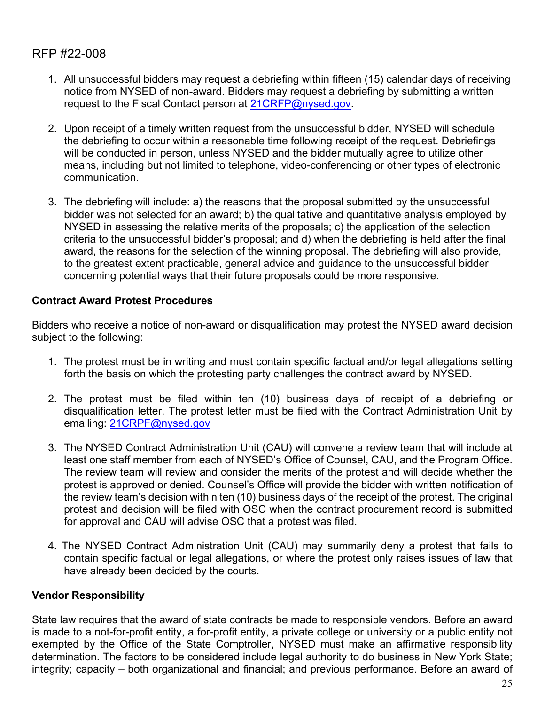- 1. All unsuccessful bidders may request a debriefing within fifteen (15) calendar days of receiving notice from NYSED of non-award. Bidders may request a debriefing by submitting a written request to the Fiscal Contact person at [21CRFP@nysed.gov.](mailto:21CRFP@nysed.gov)
- 2. Upon receipt of a timely written request from the unsuccessful bidder, NYSED will schedule the debriefing to occur within a reasonable time following receipt of the request. Debriefings will be conducted in person, unless NYSED and the bidder mutually agree to utilize other means, including but not limited to telephone, video-conferencing or other types of electronic communication.
- 3. The debriefing will include: a) the reasons that the proposal submitted by the unsuccessful bidder was not selected for an award; b) the qualitative and quantitative analysis employed by NYSED in assessing the relative merits of the proposals; c) the application of the selection criteria to the unsuccessful bidder's proposal; and d) when the debriefing is held after the final award, the reasons for the selection of the winning proposal. The debriefing will also provide, to the greatest extent practicable, general advice and guidance to the unsuccessful bidder concerning potential ways that their future proposals could be more responsive.

# **Contract Award Protest Procedures**

Bidders who receive a notice of non-award or disqualification may protest the NYSED award decision subject to the following:

- 1. The protest must be in writing and must contain specific factual and/or legal allegations setting forth the basis on which the protesting party challenges the contract award by NYSED.
- 2. The protest must be filed within ten (10) business days of receipt of a debriefing or disqualification letter. The protest letter must be filed with the Contract Administration Unit by emailing: [21CRPF@nysed.gov](mailto:21CRPF@nysed.gov)
- 3. The NYSED Contract Administration Unit (CAU) will convene a review team that will include at least one staff member from each of NYSED's Office of Counsel, CAU, and the Program Office. The review team will review and consider the merits of the protest and will decide whether the protest is approved or denied. Counsel's Office will provide the bidder with written notification of the review team's decision within ten (10) business days of the receipt of the protest. The original protest and decision will be filed with OSC when the contract procurement record is submitted for approval and CAU will advise OSC that a protest was filed.
- 4. The NYSED Contract Administration Unit (CAU) may summarily deny a protest that fails to contain specific factual or legal allegations, or where the protest only raises issues of law that have already been decided by the courts.

# **Vendor Responsibility**

State law requires that the award of state contracts be made to responsible vendors. Before an award is made to a not-for-profit entity, a for-profit entity, a private college or university or a public entity not exempted by the Office of the State Comptroller, NYSED must make an affirmative responsibility determination. The factors to be considered include legal authority to do business in New York State; integrity; capacity – both organizational and financial; and previous performance. Before an award of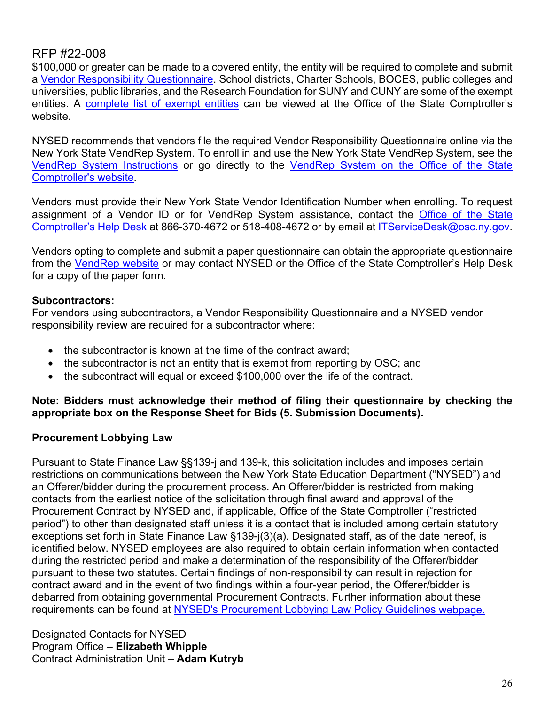\$100,000 or greater can be made to a covered entity, the entity will be required to complete and submit a [Vendor Responsibility Questionnaire.](https://www.osc.state.ny.us/state-vendors/vendrep/file-your-vendor-responsibility-questionnaire) School districts, Charter Schools, BOCES, public colleges and universities, public libraries, and the Research Foundation for SUNY and CUNY are some of the exempt entities. A [complete list of exempt entities](https://www.osc.state.ny.us/state-vendors/vendrep/vendor-responsibility-documentation) can be viewed at the Office of the State Comptroller's website.

NYSED recommends that vendors file the required Vendor Responsibility Questionnaire online via the New York State VendRep System. To enroll in and use the New York State VendRep System, see the [VendRep System Instructions](https://www.osc.state.ny.us/state-vendors/vendrep/vendrep-system) or go directly to the [VendRep System on the Office of the State](https://onlineservices.osc.state.ny.us/)  [Comptroller's website.](https://onlineservices.osc.state.ny.us/)

Vendors must provide their New York State Vendor Identification Number when enrolling. To request assignment of a Vendor ID or for VendRep System assistance, contact the **Office of the State** [Comptroller's Help Desk](https://www.osc.state.ny.us/online-services/get-help) at 866-370-4672 or 518-408-4672 or by email at [ITServiceDesk@osc.ny.gov.](mailto:ITServiceDesk@osc.ny.gov)

Vendors opting to complete and submit a paper questionnaire can obtain the appropriate questionnaire from the [VendRep website](https://www.osc.state.ny.us/state-vendors/vendrep/vendor-responsibility-forms) or may contact NYSED or the Office of the State Comptroller's Help Desk for a copy of the paper form.

# **Subcontractors:**

For vendors using subcontractors, a Vendor Responsibility Questionnaire and a NYSED vendor responsibility review are required for a subcontractor where:

- the subcontractor is known at the time of the contract award:
- the subcontractor is not an entity that is exempt from reporting by OSC; and
- the subcontract will equal or exceed \$100,000 over the life of the contract.

#### **Note: Bidders must acknowledge their method of filing their questionnaire by checking the appropriate box on the Response Sheet for Bids (5. Submission Documents).**

# **Procurement Lobbying Law**

Pursuant to State Finance Law §§139-j and 139-k, this solicitation includes and imposes certain restrictions on communications between the New York State Education Department ("NYSED") and an Offerer/bidder during the procurement process. An Offerer/bidder is restricted from making contacts from the earliest notice of the solicitation through final award and approval of the Procurement Contract by NYSED and, if applicable, Office of the State Comptroller ("restricted period") to other than designated staff unless it is a contact that is included among certain statutory exceptions set forth in State Finance Law §139-j(3)(a). Designated staff, as of the date hereof, is identified below. NYSED employees are also required to obtain certain information when contacted during the restricted period and make a determination of the responsibility of the Offerer/bidder pursuant to these two statutes. Certain findings of non-responsibility can result in rejection for contract award and in the event of two findings within a four-year period, the Offerer/bidder is debarred from obtaining governmental Procurement Contracts. Further information about these requirements can be found at [NYSED's Procurement Lobbying Law Policy Guidelines](http://www.oms.nysed.gov/fiscal/cau/PLL/procurementpolicy.htm) webpage.

Designated Contacts for NYSED Program Office – **Elizabeth Whipple** Contract Administration Unit – **Adam Kutryb**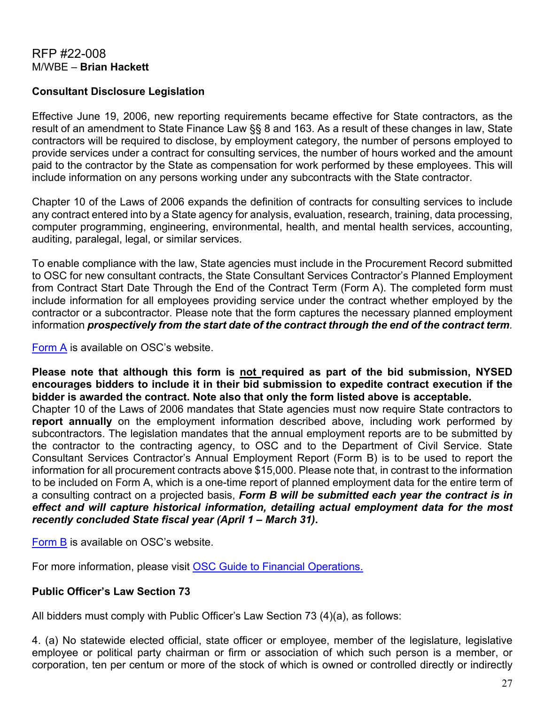# RFP #22-008 M/WBE – **Brian Hackett**

# **Consultant Disclosure Legislation**

Effective June 19, 2006, new reporting requirements became effective for State contractors, as the result of an amendment to State Finance Law §§ 8 and 163. As a result of these changes in law, State contractors will be required to disclose, by employment category, the number of persons employed to provide services under a contract for consulting services, the number of hours worked and the amount paid to the contractor by the State as compensation for work performed by these employees. This will include information on any persons working under any subcontracts with the State contractor.

Chapter 10 of the Laws of 2006 expands the definition of contracts for consulting services to include any contract entered into by a State agency for analysis, evaluation, research, training, data processing, computer programming, engineering, environmental, health, and mental health services, accounting, auditing, paralegal, legal, or similar services.

To enable compliance with the law, State agencies must include in the Procurement Record submitted to OSC for new consultant contracts, the State Consultant Services Contractor's Planned Employment from Contract Start Date Through the End of the Contract Term (Form A). The completed form must include information for all employees providing service under the contract whether employed by the contractor or a subcontractor. Please note that the form captures the necessary planned employment information *prospectively from the start date of the contract through the end of the contract term.*

[Form A](https://www.osc.state.ny.us/agencies/forms/ac3271s.doc) is available on OSC's website.

**Please note that although this form is not required as part of the bid submission, NYSED encourages bidders to include it in their bid submission to expedite contract execution if the bidder is awarded the contract. Note also that only the form listed above is acceptable.** Chapter 10 of the Laws of 2006 mandates that State agencies must now require State contractors to **report annually** on the employment information described above, including work performed by subcontractors. The legislation mandates that the annual employment reports are to be submitted by the contractor to the contracting agency, to OSC and to the Department of Civil Service. State Consultant Services Contractor's Annual Employment Report (Form B) is to be used to report the information for all procurement contracts above \$15,000. Please note that, in contrast to the information to be included on Form A, which is a one-time report of planned employment data for the entire term of a consulting contract on a projected basis, *Form B will be submitted each year the contract is in effect and will capture historical information, detailing actual employment data for the most recently concluded State fiscal year (April 1 – March 31)***.**

[Form B](https://www.osc.state.ny.us/agencies/forms/ac3272s.doc) is available on OSC's website.

For more information, please visit [OSC Guide to Financial Operations.](https://web.osc.state.ny.us/agencies/guide/MyWebHelp/Default.htm)

#### **Public Officer's Law Section 73**

All bidders must comply with Public Officer's Law Section 73 (4)(a), as follows:

4. (a) No statewide elected official, state officer or employee, member of the legislature, legislative employee or political party chairman or firm or association of which such person is a member, or corporation, ten per centum or more of the stock of which is owned or controlled directly or indirectly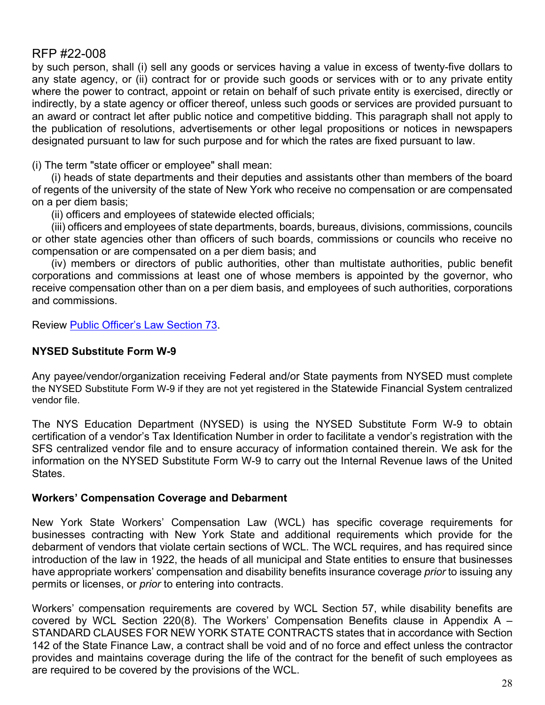by such person, shall (i) sell any goods or services having a value in excess of twenty-five dollars to any state agency, or (ii) contract for or provide such goods or services with or to any private entity where the power to contract, appoint or retain on behalf of such private entity is exercised, directly or indirectly, by a state agency or officer thereof, unless such goods or services are provided pursuant to an award or contract let after public notice and competitive bidding. This paragraph shall not apply to the publication of resolutions, advertisements or other legal propositions or notices in newspapers designated pursuant to law for such purpose and for which the rates are fixed pursuant to law.

(i) The term "state officer or employee" shall mean:

(i) heads of state departments and their deputies and assistants other than members of the board of regents of the university of the state of New York who receive no compensation or are compensated on a per diem basis;

(ii) officers and employees of statewide elected officials;

(iii) officers and employees of state departments, boards, bureaus, divisions, commissions, councils or other state agencies other than officers of such boards, commissions or councils who receive no compensation or are compensated on a per diem basis; and

(iv) members or directors of public authorities, other than multistate authorities, public benefit corporations and commissions at least one of whose members is appointed by the governor, who receive compensation other than on a per diem basis, and employees of such authorities, corporations and commissions.

Review [Public Officer's Law Section 73.](https://jcope.ny.gov/sites/g/files/oee746/files/documents/2017/09/public-officers-law-73.pdf)

# **NYSED Substitute Form W-9**

Any payee/vendor/organization receiving Federal and/or State payments from NYSED must complete the NYSED Substitute Form W-9 if they are not yet registered in the Statewide Financial System centralized vendor file.

The NYS Education Department (NYSED) is using the NYSED Substitute Form W-9 to obtain certification of a vendor's Tax Identification Number in order to facilitate a vendor's registration with the SFS centralized vendor file and to ensure accuracy of information contained therein. We ask for the information on the NYSED Substitute Form W-9 to carry out the Internal Revenue laws of the United States.

# **Workers' Compensation Coverage and Debarment**

New York State Workers' Compensation Law (WCL) has specific coverage requirements for businesses contracting with New York State and additional requirements which provide for the debarment of vendors that violate certain sections of WCL. The WCL requires, and has required since introduction of the law in 1922, the heads of all municipal and State entities to ensure that businesses have appropriate workers' compensation and disability benefits insurance coverage *prior* to issuing any permits or licenses, or *prior* to entering into contracts.

Workers' compensation requirements are covered by WCL Section 57, while disability benefits are covered by WCL Section 220(8). The Workers' Compensation Benefits clause in Appendix A  $-$ STANDARD CLAUSES FOR NEW YORK STATE CONTRACTS states that in accordance with Section 142 of the State Finance Law, a contract shall be void and of no force and effect unless the contractor provides and maintains coverage during the life of the contract for the benefit of such employees as are required to be covered by the provisions of the WCL.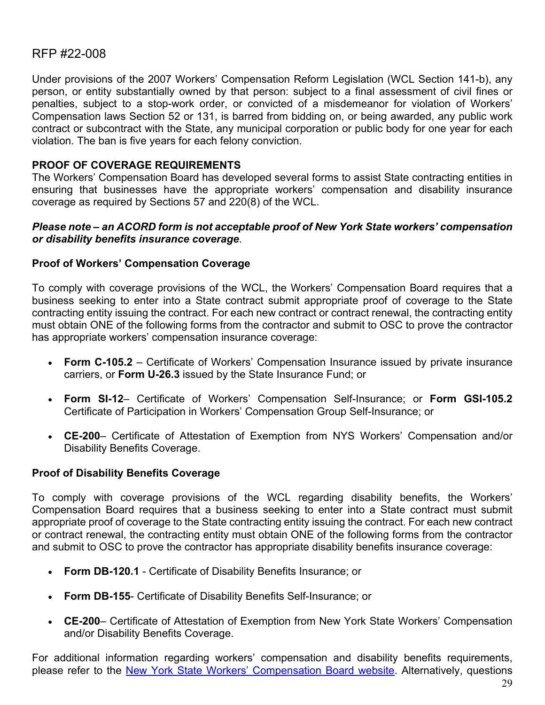Under provisions of the 2007 Workers' Compensation Reform Legislation (WCL Section 141-b), any person, or entity substantially owned by that person: subject to a final assessment of civil fines or penalties, subject to a stop-work order, or convicted of a misdemeanor for violation of Workers' Compensation laws Section 52 or 131, is barred from bidding on, or being awarded, any public work contract or subcontract with the State, any municipal corporation or public body for one year for each violation. The ban is five years for each felony conviction.

# **PROOF OF COVERAGE REQUIREMENTS**

The Workers' Compensation Board has developed several forms to assist State contracting entities in ensuring that businesses have the appropriate workers' compensation and disability insurance coverage as required by Sections 57 and 220(8) of the WCL.

#### *Please note – an ACORD form is not acceptable proof of New York State workers' compensation or disability benefits insurance coverage*.

## **Proof of Workers' Compensation Coverage**

To comply with coverage provisions of the WCL, the Workers' Compensation Board requires that a business seeking to enter into a State contract submit appropriate proof of coverage to the State contracting entity issuing the contract. For each new contract or contract renewal, the contracting entity must obtain ONE of the following forms from the contractor and submit to OSC to prove the contractor has appropriate workers' compensation insurance coverage:

- **Form C-105.2** Certificate of Workers' Compensation Insurance issued by private insurance carriers, or **Form U-26.3** issued by the State Insurance Fund; or
- **Form SI-12** Certificate of Workers' Compensation Self-Insurance; or **Form GSI-105.2** Certificate of Participation in Workers' Compensation Group Self-Insurance; or
- **CE-200** Certificate of Attestation of Exemption from NYS Workers' Compensation and/or Disability Benefits Coverage.

#### **Proof of Disability Benefits Coverage**

To comply with coverage provisions of the WCL regarding disability benefits, the Workers' Compensation Board requires that a business seeking to enter into a State contract must submit appropriate proof of coverage to the State contracting entity issuing the contract. For each new contract or contract renewal, the contracting entity must obtain ONE of the following forms from the contractor and submit to OSC to prove the contractor has appropriate disability benefits insurance coverage:

- **Form DB-120.1** Certificate of Disability Benefits Insurance; or
- **Form DB-155** Certificate of Disability Benefits Self-Insurance; or
- **CE-200** Certificate of Attestation of Exemption from New York State Workers' Compensation and/or Disability Benefits Coverage.

For additional information regarding workers' compensation and disability benefits requirements, please refer to the [New York State Workers' Compensation Board website.](http://www.wcb.ny.gov/content/main/Employers/Employers.jsp) Alternatively, questions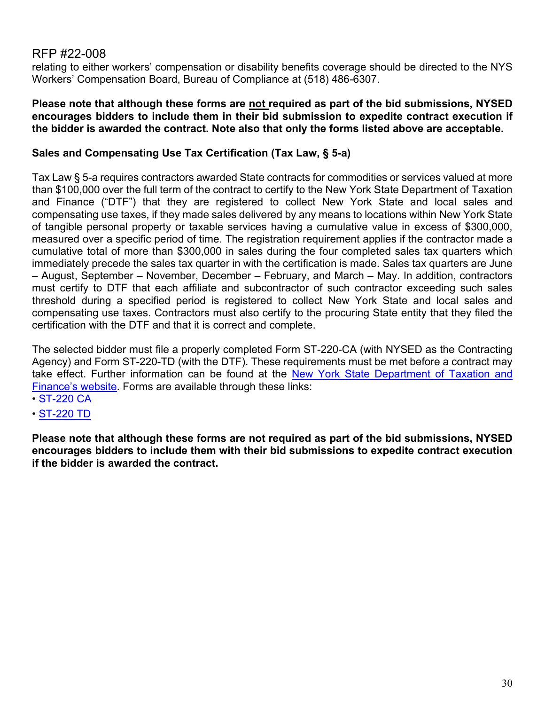relating to either workers' compensation or disability benefits coverage should be directed to the NYS Workers' Compensation Board, Bureau of Compliance at (518) 486-6307.

#### **Please note that although these forms are not required as part of the bid submissions, NYSED encourages bidders to include them in their bid submission to expedite contract execution if the bidder is awarded the contract. Note also that only the forms listed above are acceptable.**

# **Sales and Compensating Use Tax Certification (Tax Law, § 5-a)**

Tax Law § 5-a requires contractors awarded State contracts for commodities or services valued at more than \$100,000 over the full term of the contract to certify to the New York State Department of Taxation and Finance ("DTF") that they are registered to collect New York State and local sales and compensating use taxes, if they made sales delivered by any means to locations within New York State of tangible personal property or taxable services having a cumulative value in excess of \$300,000, measured over a specific period of time. The registration requirement applies if the contractor made a cumulative total of more than \$300,000 in sales during the four completed sales tax quarters which immediately precede the sales tax quarter in with the certification is made. Sales tax quarters are June – August, September – November, December – February, and March – May. In addition, contractors must certify to DTF that each affiliate and subcontractor of such contractor exceeding such sales threshold during a specified period is registered to collect New York State and local sales and compensating use taxes. Contractors must also certify to the procuring State entity that they filed the certification with the DTF and that it is correct and complete.

The selected bidder must file a properly completed Form ST-220-CA (with NYSED as the Contracting Agency) and Form ST-220-TD (with the DTF). These requirements must be met before a contract may take effect. Further information can be found at the New York State Department of Taxation and [Finance's w](https://www.tax.ny.gov/pdf/publications/sales/pub223.pdf)ebsite. Forms are available through these links:

- • [ST-220 CA](https://www.tax.ny.gov/pdf/current_forms/st/st220ca_fill_in.pdf)
- • [ST-220 TD](https://www.tax.ny.gov/pdf/current_forms/st/st220td_fill_in.pdf)

**Please note that although these forms are not required as part of the bid submissions, NYSED encourages bidders to include them with their bid submissions to expedite contract execution if the bidder is awarded the contract.**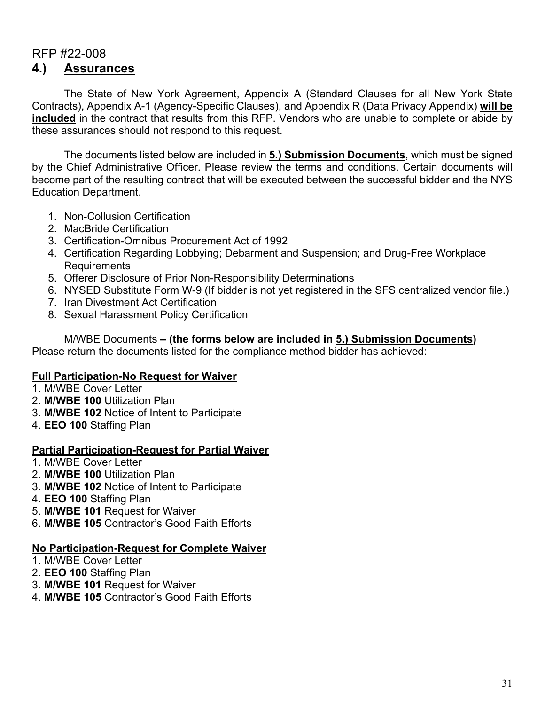# RFP #22-008 **4.) Assurances**

The State of New York Agreement, Appendix A (Standard Clauses for all New York State Contracts), Appendix A-1 (Agency-Specific Clauses), and Appendix R (Data Privacy Appendix) **will be included** in the contract that results from this RFP. Vendors who are unable to complete or abide by these assurances should not respond to this request.

The documents listed below are included in **5.) Submission Documents**, which must be signed by the Chief Administrative Officer. Please review the terms and conditions. Certain documents will become part of the resulting contract that will be executed between the successful bidder and the NYS Education Department.

- 1. Non-Collusion Certification
- 2. MacBride Certification
- 3. Certification-Omnibus Procurement Act of 1992
- 4. Certification Regarding Lobbying; Debarment and Suspension; and Drug-Free Workplace Requirements
- 5. Offerer Disclosure of Prior Non-Responsibility Determinations
- 6. NYSED Substitute Form W-9 (If bidder is not yet registered in the SFS centralized vendor file.)
- 7. Iran Divestment Act Certification
- 8. Sexual Harassment Policy Certification

M/WBE Documents **– (the forms below are included in 5.) Submission Documents)**  Please return the documents listed for the compliance method bidder has achieved:

# **Full Participation-No Request for Waiver**

- 1. M/WBE Cover Letter
- 2. **M/WBE 100** Utilization Plan
- 3. **M/WBE 102** Notice of Intent to Participate
- 4. **EEO 100** Staffing Plan

#### **Partial Participation-Request for Partial Waiver**

- 1. M/WBE Cover Letter
- 2. **M/WBE 100** Utilization Plan
- 3. **M/WBE 102** Notice of Intent to Participate
- 4. **EEO 100** Staffing Plan
- 5. **M/WBE 101** Request for Waiver
- 6. **M/WBE 105** Contractor's Good Faith Efforts

#### **No Participation-Request for Complete Waiver**

- 1. M/WBE Cover Letter
- 2. **EEO 100** Staffing Plan
- 3. **M/WBE 101** Request for Waiver
- 4. **M/WBE 105** Contractor's Good Faith Efforts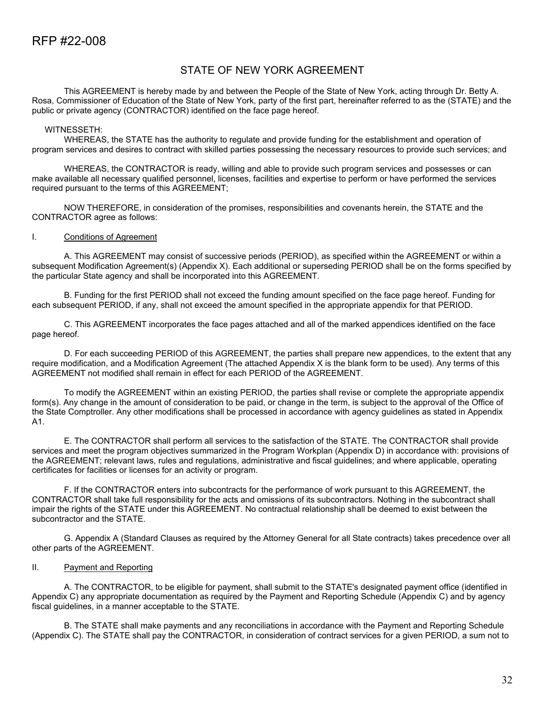### STATE OF NEW YORK AGREEMENT

This AGREEMENT is hereby made by and between the People of the State of New York, acting through Dr. Betty A. Rosa, Commissioner of Education of the State of New York, party of the first part, hereinafter referred to as the (STATE) and the public or private agency (CONTRACTOR) identified on the face page hereof.

#### WITNESSETH:

WHEREAS, the STATE has the authority to regulate and provide funding for the establishment and operation of program services and desires to contract with skilled parties possessing the necessary resources to provide such services; and

WHEREAS, the CONTRACTOR is ready, willing and able to provide such program services and possesses or can make available all necessary qualified personnel, licenses, facilities and expertise to perform or have performed the services required pursuant to the terms of this AGREEMENT;

NOW THEREFORE, in consideration of the promises, responsibilities and covenants herein, the STATE and the CONTRACTOR agree as follows:

#### I. Conditions of Agreement

A. This AGREEMENT may consist of successive periods (PERIOD), as specified within the AGREEMENT or within a subsequent Modification Agreement(s) (Appendix X). Each additional or superseding PERIOD shall be on the forms specified by the particular State agency and shall be incorporated into this AGREEMENT.

B. Funding for the first PERIOD shall not exceed the funding amount specified on the face page hereof. Funding for each subsequent PERIOD, if any, shall not exceed the amount specified in the appropriate appendix for that PERIOD.

C. This AGREEMENT incorporates the face pages attached and all of the marked appendices identified on the face page hereof.

D. For each succeeding PERIOD of this AGREEMENT, the parties shall prepare new appendices, to the extent that any require modification, and a Modification Agreement (The attached Appendix X is the blank form to be used). Any terms of this AGREEMENT not modified shall remain in effect for each PERIOD of the AGREEMENT.

To modify the AGREEMENT within an existing PERIOD, the parties shall revise or complete the appropriate appendix form(s). Any change in the amount of consideration to be paid, or change in the term, is subject to the approval of the Office of the State Comptroller. Any other modifications shall be processed in accordance with agency guidelines as stated in Appendix A1.

E. The CONTRACTOR shall perform all services to the satisfaction of the STATE. The CONTRACTOR shall provide services and meet the program objectives summarized in the Program Workplan (Appendix D) in accordance with: provisions of the AGREEMENT; relevant laws, rules and regulations, administrative and fiscal guidelines; and where applicable, operating certificates for facilities or licenses for an activity or program.

F. If the CONTRACTOR enters into subcontracts for the performance of work pursuant to this AGREEMENT, the CONTRACTOR shall take full responsibility for the acts and omissions of its subcontractors. Nothing in the subcontract shall impair the rights of the STATE under this AGREEMENT. No contractual relationship shall be deemed to exist between the subcontractor and the STATE.

G. Appendix A (Standard Clauses as required by the Attorney General for all State contracts) takes precedence over all other parts of the AGREEMENT.

#### II. Payment and Reporting

A. The CONTRACTOR, to be eligible for payment, shall submit to the STATE's designated payment office (identified in Appendix C) any appropriate documentation as required by the Payment and Reporting Schedule (Appendix C) and by agency fiscal guidelines, in a manner acceptable to the STATE.

B. The STATE shall make payments and any reconciliations in accordance with the Payment and Reporting Schedule (Appendix C). The STATE shall pay the CONTRACTOR, in consideration of contract services for a given PERIOD, a sum not to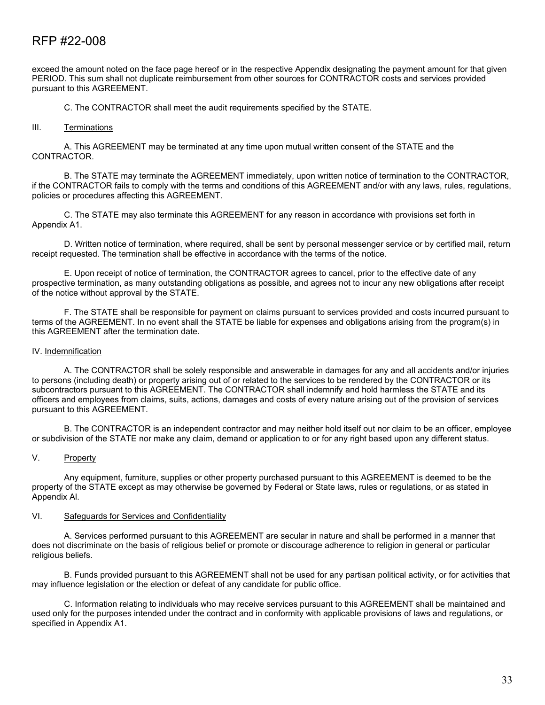exceed the amount noted on the face page hereof or in the respective Appendix designating the payment amount for that given PERIOD. This sum shall not duplicate reimbursement from other sources for CONTRACTOR costs and services provided pursuant to this AGREEMENT.

C. The CONTRACTOR shall meet the audit requirements specified by the STATE.

#### III. Terminations

A. This AGREEMENT may be terminated at any time upon mutual written consent of the STATE and the CONTRACTOR.

B. The STATE may terminate the AGREEMENT immediately, upon written notice of termination to the CONTRACTOR, if the CONTRACTOR fails to comply with the terms and conditions of this AGREEMENT and/or with any laws, rules, regulations, policies or procedures affecting this AGREEMENT.

C. The STATE may also terminate this AGREEMENT for any reason in accordance with provisions set forth in Appendix A1.

D. Written notice of termination, where required, shall be sent by personal messenger service or by certified mail, return receipt requested. The termination shall be effective in accordance with the terms of the notice.

E. Upon receipt of notice of termination, the CONTRACTOR agrees to cancel, prior to the effective date of any prospective termination, as many outstanding obligations as possible, and agrees not to incur any new obligations after receipt of the notice without approval by the STATE.

F. The STATE shall be responsible for payment on claims pursuant to services provided and costs incurred pursuant to terms of the AGREEMENT. In no event shall the STATE be liable for expenses and obligations arising from the program(s) in this AGREEMENT after the termination date.

#### IV. Indemnification

A. The CONTRACTOR shall be solely responsible and answerable in damages for any and all accidents and/or injuries to persons (including death) or property arising out of or related to the services to be rendered by the CONTRACTOR or its subcontractors pursuant to this AGREEMENT. The CONTRACTOR shall indemnify and hold harmless the STATE and its officers and employees from claims, suits, actions, damages and costs of every nature arising out of the provision of services pursuant to this AGREEMENT.

B. The CONTRACTOR is an independent contractor and may neither hold itself out nor claim to be an officer, employee or subdivision of the STATE nor make any claim, demand or application to or for any right based upon any different status.

#### V. Property

Any equipment, furniture, supplies or other property purchased pursuant to this AGREEMENT is deemed to be the property of the STATE except as may otherwise be governed by Federal or State laws, rules or regulations, or as stated in Appendix Al.

#### VI. Safeguards for Services and Confidentiality

A. Services performed pursuant to this AGREEMENT are secular in nature and shall be performed in a manner that does not discriminate on the basis of religious belief or promote or discourage adherence to religion in general or particular religious beliefs.

B. Funds provided pursuant to this AGREEMENT shall not be used for any partisan political activity, or for activities that may influence legislation or the election or defeat of any candidate for public office.

C. Information relating to individuals who may receive services pursuant to this AGREEMENT shall be maintained and used only for the purposes intended under the contract and in conformity with applicable provisions of laws and regulations, or specified in Appendix A1.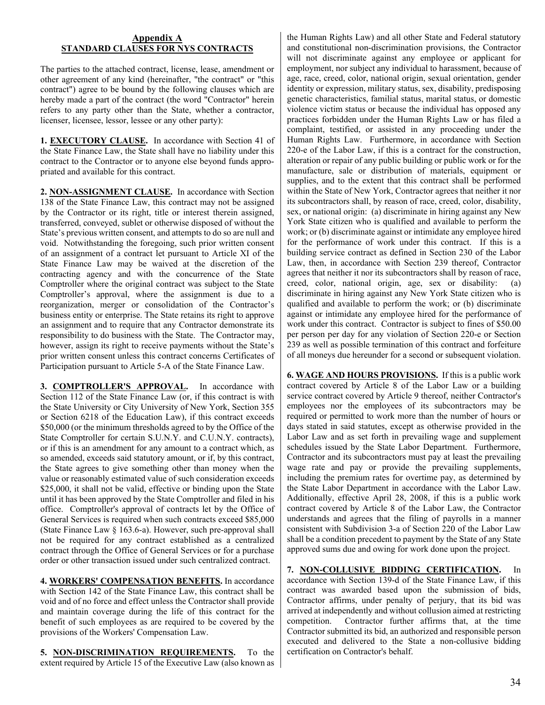#### **Appendix A STANDARD CLAUSES FOR NYS CONTRACTS**

The parties to the attached contract, license, lease, amendment or other agreement of any kind (hereinafter, "the contract" or "this contract") agree to be bound by the following clauses which are hereby made a part of the contract (the word "Contractor" herein refers to any party other than the State, whether a contractor, licenser, licensee, lessor, lessee or any other party):

**1. EXECUTORY CLAUSE.** In accordance with Section 41 of the State Finance Law, the State shall have no liability under this contract to the Contractor or to anyone else beyond funds appropriated and available for this contract.

**2. NON-ASSIGNMENT CLAUSE.** In accordance with Section 138 of the State Finance Law, this contract may not be assigned by the Contractor or its right, title or interest therein assigned, transferred, conveyed, sublet or otherwise disposed of without the State's previous written consent, and attempts to do so are null and void. Notwithstanding the foregoing, such prior written consent of an assignment of a contract let pursuant to Article XI of the State Finance Law may be waived at the discretion of the contracting agency and with the concurrence of the State Comptroller where the original contract was subject to the State Comptroller's approval, where the assignment is due to a reorganization, merger or consolidation of the Contractor's business entity or enterprise. The State retains its right to approve an assignment and to require that any Contractor demonstrate its responsibility to do business with the State. The Contractor may, however, assign its right to receive payments without the State's prior written consent unless this contract concerns Certificates of Participation pursuant to Article 5-A of the State Finance Law.

**3. COMPTROLLER'S APPROVAL.** In accordance with Section 112 of the State Finance Law (or, if this contract is with the State University or City University of New York, Section 355 or Section 6218 of the Education Law), if this contract exceeds \$50,000 (or the minimum thresholds agreed to by the Office of the State Comptroller for certain S.U.N.Y. and C.U.N.Y. contracts), or if this is an amendment for any amount to a contract which, as so amended, exceeds said statutory amount, or if, by this contract, the State agrees to give something other than money when the value or reasonably estimated value of such consideration exceeds \$25,000, it shall not be valid, effective or binding upon the State until it has been approved by the State Comptroller and filed in his office. Comptroller's approval of contracts let by the Office of General Services is required when such contracts exceed \$85,000 (State Finance Law § 163.6-a). However, such pre-approval shall not be required for any contract established as a centralized contract through the Office of General Services or for a purchase order or other transaction issued under such centralized contract.

**4. WORKERS' COMPENSATION BENEFITS.** In accordance with Section 142 of the State Finance Law, this contract shall be void and of no force and effect unless the Contractor shall provide and maintain coverage during the life of this contract for the benefit of such employees as are required to be covered by the provisions of the Workers' Compensation Law.

**5. NON-DISCRIMINATION REQUIREMENTS.** To the extent required by Article 15 of the Executive Law (also known as

the Human Rights Law) and all other State and Federal statutory and constitutional non-discrimination provisions, the Contractor will not discriminate against any employee or applicant for employment, nor subject any individual to harassment, because of age, race, creed, color, national origin, sexual orientation, gender identity or expression, military status, sex, disability, predisposing genetic characteristics, familial status, marital status, or domestic violence victim status or because the individual has opposed any practices forbidden under the Human Rights Law or has filed a complaint, testified, or assisted in any proceeding under the Human Rights Law. Furthermore, in accordance with Section 220-e of the Labor Law, if this is a contract for the construction, alteration or repair of any public building or public work or for the manufacture, sale or distribution of materials, equipment or supplies, and to the extent that this contract shall be performed within the State of New York, Contractor agrees that neither it nor its subcontractors shall, by reason of race, creed, color, disability, sex, or national origin: (a) discriminate in hiring against any New York State citizen who is qualified and available to perform the work; or (b) discriminate against or intimidate any employee hired for the performance of work under this contract. If this is a building service contract as defined in Section 230 of the Labor Law, then, in accordance with Section 239 thereof, Contractor agrees that neither it nor its subcontractors shall by reason of race, creed, color, national origin, age, sex or disability: (a) discriminate in hiring against any New York State citizen who is qualified and available to perform the work; or (b) discriminate against or intimidate any employee hired for the performance of work under this contract. Contractor is subject to fines of \$50.00 per person per day for any violation of Section 220-e or Section 239 as well as possible termination of this contract and forfeiture of all moneys due hereunder for a second or subsequent violation.

**6. WAGE AND HOURS PROVISIONS.** If this is a public work contract covered by Article 8 of the Labor Law or a building service contract covered by Article 9 thereof, neither Contractor's employees nor the employees of its subcontractors may be required or permitted to work more than the number of hours or days stated in said statutes, except as otherwise provided in the Labor Law and as set forth in prevailing wage and supplement schedules issued by the State Labor Department. Furthermore, Contractor and its subcontractors must pay at least the prevailing wage rate and pay or provide the prevailing supplements, including the premium rates for overtime pay, as determined by the State Labor Department in accordance with the Labor Law. Additionally, effective April 28, 2008, if this is a public work contract covered by Article 8 of the Labor Law, the Contractor understands and agrees that the filing of payrolls in a manner consistent with Subdivision 3-a of Section 220 of the Labor Law shall be a condition precedent to payment by the State of any State approved sums due and owing for work done upon the project.

**7. NON-COLLUSIVE BIDDING CERTIFICATION.** In accordance with Section 139-d of the State Finance Law, if this contract was awarded based upon the submission of bids, Contractor affirms, under penalty of perjury, that its bid was arrived at independently and without collusion aimed at restricting competition. Contractor further affirms that, at the time Contractor submitted its bid, an authorized and responsible person executed and delivered to the State a non-collusive bidding certification on Contractor's behalf.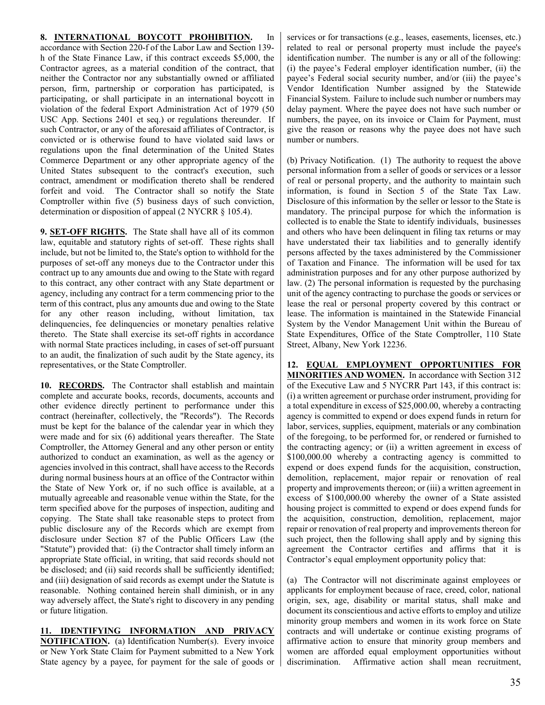#### **8. INTERNATIONAL BOYCOTT PROHIBITION.** In

accordance with Section 220-f of the Labor Law and Section 139 h of the State Finance Law, if this contract exceeds \$5,000, the Contractor agrees, as a material condition of the contract, that neither the Contractor nor any substantially owned or affiliated person, firm, partnership or corporation has participated, is participating, or shall participate in an international boycott in violation of the federal Export Administration Act of 1979 (50 USC App. Sections 2401 et seq.) or regulations thereunder. If such Contractor, or any of the aforesaid affiliates of Contractor, is convicted or is otherwise found to have violated said laws or regulations upon the final determination of the United States Commerce Department or any other appropriate agency of the United States subsequent to the contract's execution, such contract, amendment or modification thereto shall be rendered forfeit and void. The Contractor shall so notify the State Comptroller within five (5) business days of such conviction, determination or disposition of appeal (2 NYCRR § 105.4).

**9. SET-OFF RIGHTS.** The State shall have all of its common law, equitable and statutory rights of set-off. These rights shall include, but not be limited to, the State's option to withhold for the purposes of set-off any moneys due to the Contractor under this contract up to any amounts due and owing to the State with regard to this contract, any other contract with any State department or agency, including any contract for a term commencing prior to the term of this contract, plus any amounts due and owing to the State for any other reason including, without limitation, tax delinquencies, fee delinquencies or monetary penalties relative thereto. The State shall exercise its set-off rights in accordance with normal State practices including, in cases of set-off pursuant to an audit, the finalization of such audit by the State agency, its representatives, or the State Comptroller.

**10. RECORDS.** The Contractor shall establish and maintain complete and accurate books, records, documents, accounts and other evidence directly pertinent to performance under this contract (hereinafter, collectively, the "Records"). The Records must be kept for the balance of the calendar year in which they were made and for six (6) additional years thereafter. The State Comptroller, the Attorney General and any other person or entity authorized to conduct an examination, as well as the agency or agencies involved in this contract, shall have access to the Records during normal business hours at an office of the Contractor within the State of New York or, if no such office is available, at a mutually agreeable and reasonable venue within the State, for the term specified above for the purposes of inspection, auditing and copying. The State shall take reasonable steps to protect from public disclosure any of the Records which are exempt from disclosure under Section 87 of the Public Officers Law (the "Statute") provided that: (i) the Contractor shall timely inform an appropriate State official, in writing, that said records should not be disclosed; and (ii) said records shall be sufficiently identified; and (iii) designation of said records as exempt under the Statute is reasonable. Nothing contained herein shall diminish, or in any way adversely affect, the State's right to discovery in any pending or future litigation.

**11. IDENTIFYING INFORMATION AND PRIVACY NOTIFICATION.** (a) Identification Number(s). Every invoice or New York State Claim for Payment submitted to a New York State agency by a payee, for payment for the sale of goods or

services or for transactions (e.g., leases, easements, licenses, etc.) related to real or personal property must include the payee's identification number. The number is any or all of the following: (i) the payee's Federal employer identification number, (ii) the payee's Federal social security number, and/or (iii) the payee's Vendor Identification Number assigned by the Statewide Financial System. Failure to include such number or numbers may delay payment. Where the payee does not have such number or numbers, the payee, on its invoice or Claim for Payment, must give the reason or reasons why the payee does not have such number or numbers.

(b) Privacy Notification. (1) The authority to request the above personal information from a seller of goods or services or a lessor of real or personal property, and the authority to maintain such information, is found in Section 5 of the State Tax Law. Disclosure of this information by the seller or lessor to the State is mandatory. The principal purpose for which the information is collected is to enable the State to identify individuals, businesses and others who have been delinquent in filing tax returns or may have understated their tax liabilities and to generally identify persons affected by the taxes administered by the Commissioner of Taxation and Finance. The information will be used for tax administration purposes and for any other purpose authorized by law. (2) The personal information is requested by the purchasing unit of the agency contracting to purchase the goods or services or lease the real or personal property covered by this contract or lease. The information is maintained in the Statewide Financial System by the Vendor Management Unit within the Bureau of State Expenditures, Office of the State Comptroller, 110 State Street, Albany, New York 12236.

**12. EQUAL EMPLOYMENT OPPORTUNITIES FOR MINORITIES AND WOMEN.** In accordance with Section 312 of the Executive Law and 5 NYCRR Part 143, if this contract is: (i) a written agreement or purchase order instrument, providing for a total expenditure in excess of \$25,000.00, whereby a contracting agency is committed to expend or does expend funds in return for labor, services, supplies, equipment, materials or any combination of the foregoing, to be performed for, or rendered or furnished to the contracting agency; or (ii) a written agreement in excess of \$100,000.00 whereby a contracting agency is committed to expend or does expend funds for the acquisition, construction, demolition, replacement, major repair or renovation of real property and improvements thereon; or (iii) a written agreement in excess of \$100,000.00 whereby the owner of a State assisted housing project is committed to expend or does expend funds for the acquisition, construction, demolition, replacement, major repair or renovation of real property and improvements thereon for such project, then the following shall apply and by signing this agreement the Contractor certifies and affirms that it is Contractor's equal employment opportunity policy that:

(a) The Contractor will not discriminate against employees or applicants for employment because of race, creed, color, national origin, sex, age, disability or marital status, shall make and document its conscientious and active efforts to employ and utilize minority group members and women in its work force on State contracts and will undertake or continue existing programs of affirmative action to ensure that minority group members and women are afforded equal employment opportunities without discrimination. Affirmative action shall mean recruitment,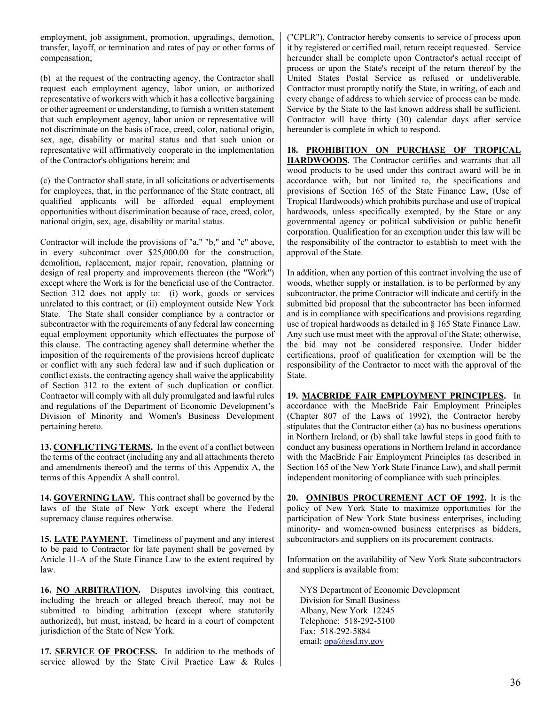employment, job assignment, promotion, upgradings, demotion, transfer, layoff, or termination and rates of pay or other forms of compensation;

(b) at the request of the contracting agency, the Contractor shall request each employment agency, labor union, or authorized representative of workers with which it has a collective bargaining or other agreement or understanding, to furnish a written statement that such employment agency, labor union or representative will not discriminate on the basis of race, creed, color, national origin, sex, age, disability or marital status and that such union or representative will affirmatively cooperate in the implementation of the Contractor's obligations herein; and

(c) the Contractor shall state, in all solicitations or advertisements for employees, that, in the performance of the State contract, all qualified applicants will be afforded equal employment opportunities without discrimination because of race, creed, color, national origin, sex, age, disability or marital status.

Contractor will include the provisions of "a," "b," and "c" above, in every subcontract over \$25,000.00 for the construction, demolition, replacement, major repair, renovation, planning or design of real property and improvements thereon (the "Work") except where the Work is for the beneficial use of the Contractor. Section 312 does not apply to: (i) work, goods or services unrelated to this contract; or (ii) employment outside New York State. The State shall consider compliance by a contractor or subcontractor with the requirements of any federal law concerning equal employment opportunity which effectuates the purpose of this clause. The contracting agency shall determine whether the imposition of the requirements of the provisions hereof duplicate or conflict with any such federal law and if such duplication or conflict exists, the contracting agency shall waive the applicability of Section 312 to the extent of such duplication or conflict. Contractor will comply with all duly promulgated and lawful rules and regulations of the Department of Economic Development's Division of Minority and Women's Business Development pertaining hereto.

**13. CONFLICTING TERMS.** In the event of a conflict between the terms of the contract (including any and all attachments thereto and amendments thereof) and the terms of this Appendix A, the terms of this Appendix A shall control.

**14. GOVERNING LAW.** This contract shall be governed by the laws of the State of New York except where the Federal supremacy clause requires otherwise.

**15. LATE PAYMENT.** Timeliness of payment and any interest to be paid to Contractor for late payment shall be governed by Article 11-A of the State Finance Law to the extent required by law.

**16. NO ARBITRATION.** Disputes involving this contract, including the breach or alleged breach thereof, may not be submitted to binding arbitration (except where statutorily authorized), but must, instead, be heard in a court of competent jurisdiction of the State of New York.

17. **SERVICE OF PROCESS.** In addition to the methods of service allowed by the State Civil Practice Law & Rules ("CPLR"), Contractor hereby consents to service of process upon it by registered or certified mail, return receipt requested. Service hereunder shall be complete upon Contractor's actual receipt of process or upon the State's receipt of the return thereof by the United States Postal Service as refused or undeliverable. Contractor must promptly notify the State, in writing, of each and every change of address to which service of process can be made. Service by the State to the last known address shall be sufficient. Contractor will have thirty (30) calendar days after service hereunder is complete in which to respond.

**18. PROHIBITION ON PURCHASE OF TROPICAL HARDWOODS.** The Contractor certifies and warrants that all wood products to be used under this contract award will be in accordance with, but not limited to, the specifications and provisions of Section 165 of the State Finance Law, (Use of Tropical Hardwoods) which prohibits purchase and use of tropical hardwoods, unless specifically exempted, by the State or any governmental agency or political subdivision or public benefit corporation. Qualification for an exemption under this law will be the responsibility of the contractor to establish to meet with the approval of the State.

In addition, when any portion of this contract involving the use of woods, whether supply or installation, is to be performed by any subcontractor, the prime Contractor will indicate and certify in the submitted bid proposal that the subcontractor has been informed and is in compliance with specifications and provisions regarding use of tropical hardwoods as detailed in § 165 State Finance Law. Any such use must meet with the approval of the State; otherwise, the bid may not be considered responsive. Under bidder certifications, proof of qualification for exemption will be the responsibility of the Contractor to meet with the approval of the State.

**19. MACBRIDE FAIR EMPLOYMENT PRINCIPLES.** In accordance with the MacBride Fair Employment Principles (Chapter 807 of the Laws of 1992), the Contractor hereby stipulates that the Contractor either (a) has no business operations in Northern Ireland, or (b) shall take lawful steps in good faith to conduct any business operations in Northern Ireland in accordance with the MacBride Fair Employment Principles (as described in Section 165 of the New York State Finance Law), and shall permit independent monitoring of compliance with such principles.

**20. OMNIBUS PROCUREMENT ACT OF 1992.** It is the policy of New York State to maximize opportunities for the participation of New York State business enterprises, including minority- and women-owned business enterprises as bidders, subcontractors and suppliers on its procurement contracts.

Information on the availability of New York State subcontractors and suppliers is available from:

NYS Department of Economic Development Division for Small Business Albany, New York 12245 Telephone: 518-292-5100 Fax: 518-292-5884 email: [opa@esd.ny.gov](mailto:opa@esd.ny.gov)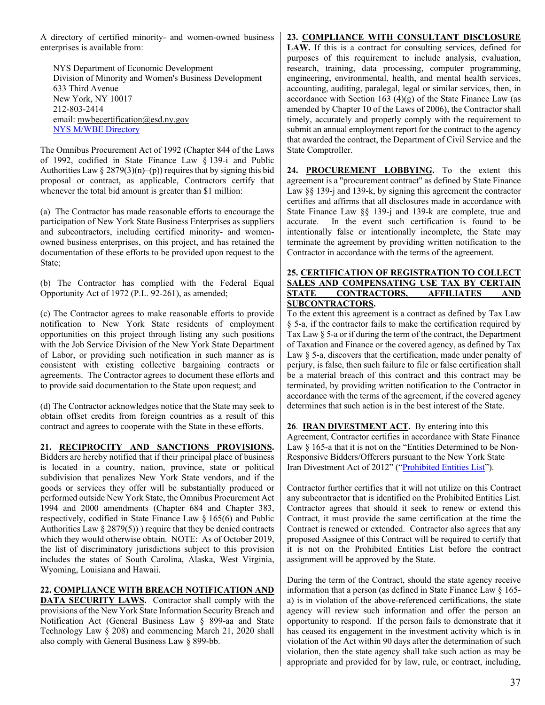A directory of certified minority- and women-owned business enterprises is available from:

NYS Department of Economic Development Division of Minority and Women's Business Development 633 Third Avenue New York, NY 10017 212-803-2414 email: [mwbecertification@esd.ny.gov](mailto:mwbecertification@esd.ny.gov) [NYS M/WBE Directory](https://ny.newnycontracts.com/FrontEnd/VendorSearchPublic.asp)

The Omnibus Procurement Act of 1992 (Chapter 844 of the Laws of 1992, codified in State Finance Law § 139-i and Public Authorities Law  $\S 2879(3)(n)$ –(p)) requires that by signing this bid proposal or contract, as applicable, Contractors certify that whenever the total bid amount is greater than \$1 million:

(a) The Contractor has made reasonable efforts to encourage the participation of New York State Business Enterprises as suppliers and subcontractors, including certified minority- and womenowned business enterprises, on this project, and has retained the documentation of these efforts to be provided upon request to the State;

(b) The Contractor has complied with the Federal Equal Opportunity Act of 1972 (P.L. 92-261), as amended;

(c) The Contractor agrees to make reasonable efforts to provide notification to New York State residents of employment opportunities on this project through listing any such positions with the Job Service Division of the New York State Department of Labor, or providing such notification in such manner as is consistent with existing collective bargaining contracts or agreements. The Contractor agrees to document these efforts and to provide said documentation to the State upon request; and

(d) The Contractor acknowledges notice that the State may seek to obtain offset credits from foreign countries as a result of this contract and agrees to cooperate with the State in these efforts.

#### **21. RECIPROCITY AND SANCTIONS PROVISIONS.**

Bidders are hereby notified that if their principal place of business is located in a country, nation, province, state or political subdivision that penalizes New York State vendors, and if the goods or services they offer will be substantially produced or performed outside New York State, the Omnibus Procurement Act 1994 and 2000 amendments (Chapter 684 and Chapter 383, respectively, codified in State Finance Law § 165(6) and Public Authorities Law  $\S 2879(5)$ ) require that they be denied contracts which they would otherwise obtain. NOTE: As of October 2019, the list of discriminatory jurisdictions subject to this provision includes the states of South Carolina, Alaska, West Virginia, Wyoming, Louisiana and Hawaii.

#### **22. COMPLIANCE WITH BREACH NOTIFICATION AND**

**DATA SECURITY LAWS.** Contractor shall comply with the provisions of the New York State Information Security Breach and Notification Act (General Business Law § 899-aa and State Technology Law § 208) and commencing March 21, 2020 shall also comply with General Business Law § 899-bb.

#### **23. COMPLIANCE WITH CONSULTANT DISCLOSURE**

**LAW.** If this is a contract for consulting services, defined for purposes of this requirement to include analysis, evaluation, research, training, data processing, computer programming, engineering, environmental, health, and mental health services, accounting, auditing, paralegal, legal or similar services, then, in accordance with Section 163  $(4)(g)$  of the State Finance Law (as amended by Chapter 10 of the Laws of 2006), the Contractor shall timely, accurately and properly comply with the requirement to submit an annual employment report for the contract to the agency that awarded the contract, the Department of Civil Service and the State Comptroller.

**24. PROCUREMENT LOBBYING.** To the extent this agreement is a "procurement contract" as defined by State Finance Law §§ 139-j and 139-k, by signing this agreement the contractor certifies and affirms that all disclosures made in accordance with State Finance Law §§ 139-j and 139-k are complete, true and accurate. In the event such certification is found to be intentionally false or intentionally incomplete, the State may terminate the agreement by providing written notification to the Contractor in accordance with the terms of the agreement.

#### **25. CERTIFICATION OF REGISTRATION TO COLLECT SALES AND COMPENSATING USE TAX BY CERTAIN STATE CONTRACTORS, AFFILIATES AND SUBCONTRACTORS.**

To the extent this agreement is a contract as defined by Tax Law § 5-a, if the contractor fails to make the certification required by Tax Law § 5-a or if during the term of the contract, the Department of Taxation and Finance or the covered agency, as defined by Tax Law  $\delta$  5-a, discovers that the certification, made under penalty of perjury, is false, then such failure to file or false certification shall be a material breach of this contract and this contract may be terminated, by providing written notification to the Contractor in accordance with the terms of the agreement, if the covered agency determines that such action is in the best interest of the State.

**26**. **IRAN DIVESTMENT ACT.** By entering into this Agreement, Contractor certifies in accordance with State Finance Law § 165-a that it is not on the "Entities Determined to be Non-Responsive Bidders/Offerers pursuant to the New York State Iran Divestment Act of 2012" (["Prohibited Entities List"](https://ogs.ny.gov/list-entities-determined-be-non-responsive-biddersofferers-pursuant-nys-iran-divestment-act-2012)).

Contractor further certifies that it will not utilize on this Contract any subcontractor that is identified on the Prohibited Entities List. Contractor agrees that should it seek to renew or extend this Contract, it must provide the same certification at the time the Contract is renewed or extended. Contractor also agrees that any proposed Assignee of this Contract will be required to certify that it is not on the Prohibited Entities List before the contract assignment will be approved by the State.

During the term of the Contract, should the state agency receive information that a person (as defined in State Finance Law § 165 a) is in violation of the above-referenced certifications, the state agency will review such information and offer the person an opportunity to respond. If the person fails to demonstrate that it has ceased its engagement in the investment activity which is in violation of the Act within 90 days after the determination of such violation, then the state agency shall take such action as may be appropriate and provided for by law, rule, or contract, including,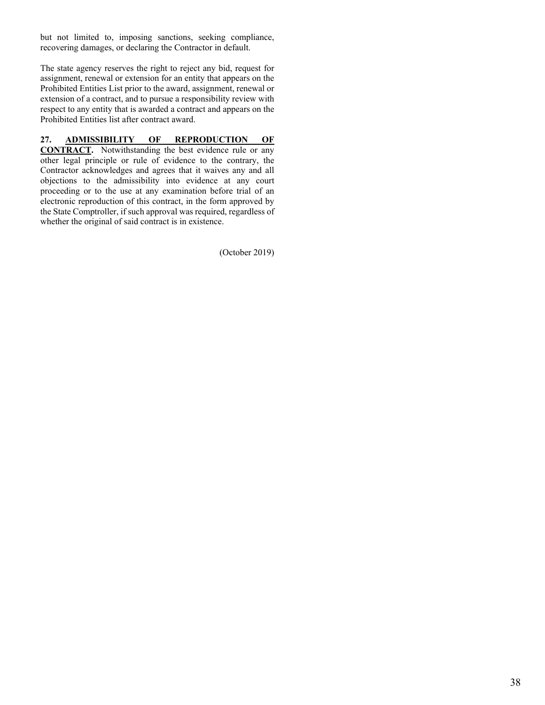but not limited to, imposing sanctions, seeking compliance, recovering damages, or declaring the Contractor in default.

The state agency reserves the right to reject any bid, request for assignment, renewal or extension for an entity that appears on the Prohibited Entities List prior to the award, assignment, renewal or extension of a contract, and to pursue a responsibility review with respect to any entity that is awarded a contract and appears on the Prohibited Entities list after contract award.

#### **27. ADMISSIBILITY OF REPRODUCTION OF**

**CONTRACT.** Notwithstanding the best evidence rule or any other legal principle or rule of evidence to the contrary, the Contractor acknowledges and agrees that it waives any and all objections to the admissibility into evidence at any court proceeding or to the use at any examination before trial of an electronic reproduction of this contract, in the form approved by the State Comptroller, if such approval was required, regardless of whether the original of said contract is in existence.

(October 2019)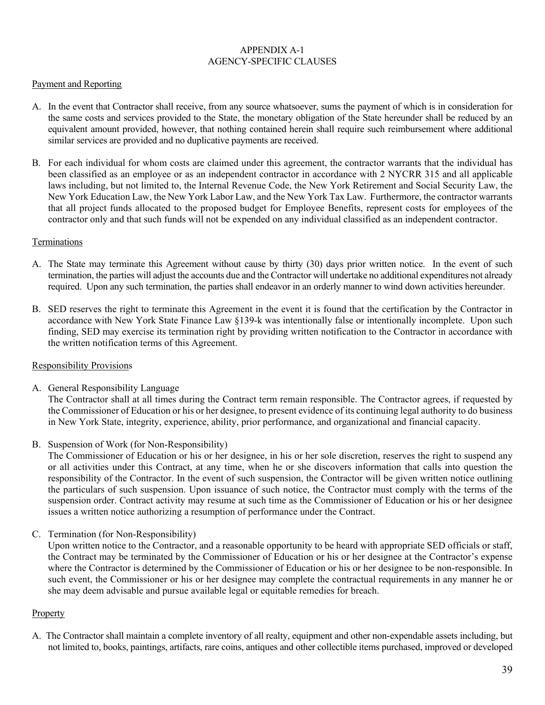#### APPENDIX A-1 AGENCY-SPECIFIC CLAUSES

#### Payment and Reporting

- A. In the event that Contractor shall receive, from any source whatsoever, sums the payment of which is in consideration for the same costs and services provided to the State, the monetary obligation of the State hereunder shall be reduced by an equivalent amount provided, however, that nothing contained herein shall require such reimbursement where additional similar services are provided and no duplicative payments are received.
- B. For each individual for whom costs are claimed under this agreement, the contractor warrants that the individual has been classified as an employee or as an independent contractor in accordance with 2 NYCRR 315 and all applicable laws including, but not limited to, the Internal Revenue Code, the New York Retirement and Social Security Law, the New York Education Law, the New York Labor Law, and the New York Tax Law. Furthermore, the contractor warrants that all project funds allocated to the proposed budget for Employee Benefits, represent costs for employees of the contractor only and that such funds will not be expended on any individual classified as an independent contractor.

#### Terminations

- A. The State may terminate this Agreement without cause by thirty (30) days prior written notice. In the event of such termination, the parties will adjust the accounts due and the Contractor will undertake no additional expenditures not already required. Upon any such termination, the parties shall endeavor in an orderly manner to wind down activities hereunder.
- B. SED reserves the right to terminate this Agreement in the event it is found that the certification by the Contractor in accordance with New York State Finance Law §139-k was intentionally false or intentionally incomplete. Upon such finding, SED may exercise its termination right by providing written notification to the Contractor in accordance with the written notification terms of this Agreement.

#### Responsibility Provisions

A. General Responsibility Language

The Contractor shall at all times during the Contract term remain responsible. The Contractor agrees, if requested by the Commissioner of Education or his or her designee, to present evidence of its continuing legal authority to do business in New York State, integrity, experience, ability, prior performance, and organizational and financial capacity.

B. Suspension of Work (for Non-Responsibility)

The Commissioner of Education or his or her designee, in his or her sole discretion, reserves the right to suspend any or all activities under this Contract, at any time, when he or she discovers information that calls into question the responsibility of the Contractor. In the event of such suspension, the Contractor will be given written notice outlining the particulars of such suspension. Upon issuance of such notice, the Contractor must comply with the terms of the suspension order. Contract activity may resume at such time as the Commissioner of Education or his or her designee issues a written notice authorizing a resumption of performance under the Contract.

C. Termination (for Non-Responsibility)

Upon written notice to the Contractor, and a reasonable opportunity to be heard with appropriate SED officials or staff, the Contract may be terminated by the Commissioner of Education or his or her designee at the Contractor's expense where the Contractor is determined by the Commissioner of Education or his or her designee to be non-responsible. In such event, the Commissioner or his or her designee may complete the contractual requirements in any manner he or she may deem advisable and pursue available legal or equitable remedies for breach.

#### Property

A. The Contractor shall maintain a complete inventory of all realty, equipment and other non-expendable assets including, but not limited to, books, paintings, artifacts, rare coins, antiques and other collectible items purchased, improved or developed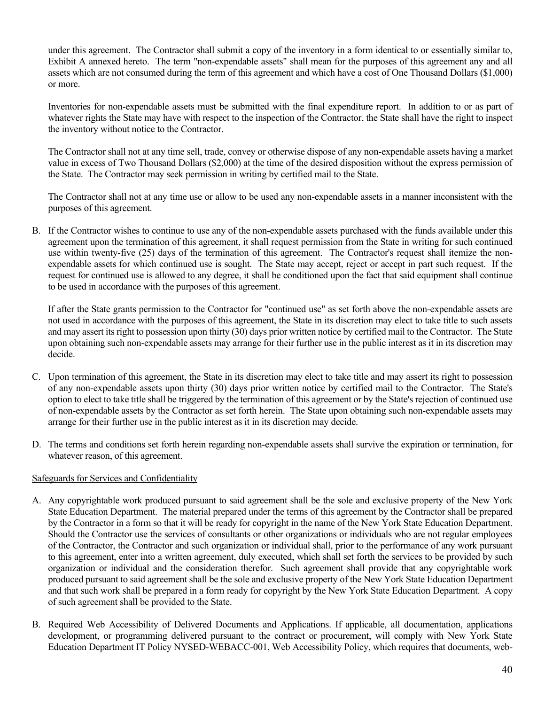under this agreement. The Contractor shall submit a copy of the inventory in a form identical to or essentially similar to, Exhibit A annexed hereto. The term "non-expendable assets" shall mean for the purposes of this agreement any and all assets which are not consumed during the term of this agreement and which have a cost of One Thousand Dollars (\$1,000) or more.

Inventories for non-expendable assets must be submitted with the final expenditure report. In addition to or as part of whatever rights the State may have with respect to the inspection of the Contractor, the State shall have the right to inspect the inventory without notice to the Contractor.

The Contractor shall not at any time sell, trade, convey or otherwise dispose of any non-expendable assets having a market value in excess of Two Thousand Dollars (\$2,000) at the time of the desired disposition without the express permission of the State. The Contractor may seek permission in writing by certified mail to the State.

The Contractor shall not at any time use or allow to be used any non-expendable assets in a manner inconsistent with the purposes of this agreement.

B. If the Contractor wishes to continue to use any of the non-expendable assets purchased with the funds available under this agreement upon the termination of this agreement, it shall request permission from the State in writing for such continued use within twenty-five (25) days of the termination of this agreement. The Contractor's request shall itemize the nonexpendable assets for which continued use is sought. The State may accept, reject or accept in part such request. If the request for continued use is allowed to any degree, it shall be conditioned upon the fact that said equipment shall continue to be used in accordance with the purposes of this agreement.

If after the State grants permission to the Contractor for "continued use" as set forth above the non-expendable assets are not used in accordance with the purposes of this agreement, the State in its discretion may elect to take title to such assets and may assert its right to possession upon thirty (30) days prior written notice by certified mail to the Contractor. The State upon obtaining such non-expendable assets may arrange for their further use in the public interest as it in its discretion may decide.

- C. Upon termination of this agreement, the State in its discretion may elect to take title and may assert its right to possession of any non-expendable assets upon thirty (30) days prior written notice by certified mail to the Contractor. The State's option to elect to take title shall be triggered by the termination of this agreement or by the State's rejection of continued use of non-expendable assets by the Contractor as set forth herein. The State upon obtaining such non-expendable assets may arrange for their further use in the public interest as it in its discretion may decide.
- D. The terms and conditions set forth herein regarding non-expendable assets shall survive the expiration or termination, for whatever reason, of this agreement.

### Safeguards for Services and Confidentiality

- A. Any copyrightable work produced pursuant to said agreement shall be the sole and exclusive property of the New York State Education Department. The material prepared under the terms of this agreement by the Contractor shall be prepared by the Contractor in a form so that it will be ready for copyright in the name of the New York State Education Department. Should the Contractor use the services of consultants or other organizations or individuals who are not regular employees of the Contractor, the Contractor and such organization or individual shall, prior to the performance of any work pursuant to this agreement, enter into a written agreement, duly executed, which shall set forth the services to be provided by such organization or individual and the consideration therefor. Such agreement shall provide that any copyrightable work produced pursuant to said agreement shall be the sole and exclusive property of the New York State Education Department and that such work shall be prepared in a form ready for copyright by the New York State Education Department. A copy of such agreement shall be provided to the State.
- B. Required Web Accessibility of Delivered Documents and Applications. If applicable, all documentation, applications development, or programming delivered pursuant to the contract or procurement, will comply with New York State Education Department IT Policy NYSED-WEBACC-001, Web Accessibility Policy, which requires that documents, web-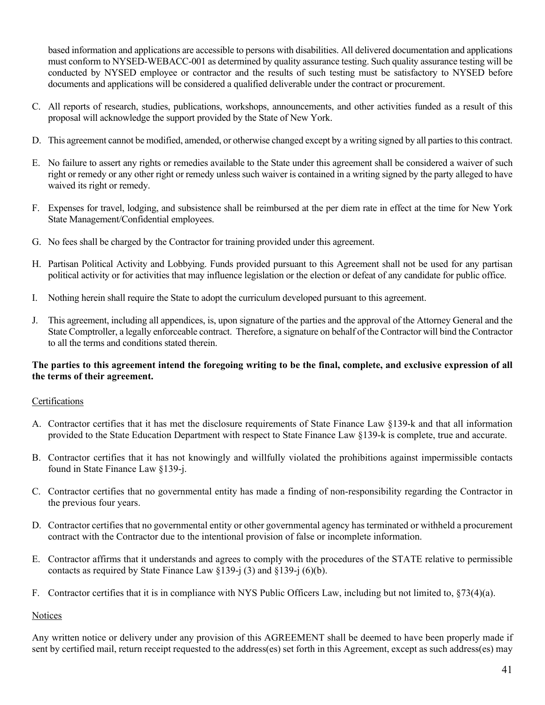based information and applications are accessible to persons with disabilities. All delivered documentation and applications must conform to NYSED-WEBACC-001 as determined by quality assurance testing. Such quality assurance testing will be conducted by NYSED employee or contractor and the results of such testing must be satisfactory to NYSED before documents and applications will be considered a qualified deliverable under the contract or procurement.

- C. All reports of research, studies, publications, workshops, announcements, and other activities funded as a result of this proposal will acknowledge the support provided by the State of New York.
- D. This agreement cannot be modified, amended, or otherwise changed except by a writing signed by all parties to this contract.
- E. No failure to assert any rights or remedies available to the State under this agreement shall be considered a waiver of such right or remedy or any other right or remedy unless such waiver is contained in a writing signed by the party alleged to have waived its right or remedy.
- F. Expenses for travel, lodging, and subsistence shall be reimbursed at the per diem rate in effect at the time for New York State Management/Confidential employees.
- G. No fees shall be charged by the Contractor for training provided under this agreement.
- H. Partisan Political Activity and Lobbying. Funds provided pursuant to this Agreement shall not be used for any partisan political activity or for activities that may influence legislation or the election or defeat of any candidate for public office.
- I. Nothing herein shall require the State to adopt the curriculum developed pursuant to this agreement.
- J. This agreement, including all appendices, is, upon signature of the parties and the approval of the Attorney General and the State Comptroller, a legally enforceable contract. Therefore, a signature on behalf of the Contractor will bind the Contractor to all the terms and conditions stated therein.

#### **The parties to this agreement intend the foregoing writing to be the final, complete, and exclusive expression of all the terms of their agreement.**

### Certifications

- A. Contractor certifies that it has met the disclosure requirements of State Finance Law §139-k and that all information provided to the State Education Department with respect to State Finance Law §139-k is complete, true and accurate.
- B. Contractor certifies that it has not knowingly and willfully violated the prohibitions against impermissible contacts found in State Finance Law §139-j.
- C. Contractor certifies that no governmental entity has made a finding of non-responsibility regarding the Contractor in the previous four years.
- D. Contractor certifies that no governmental entity or other governmental agency has terminated or withheld a procurement contract with the Contractor due to the intentional provision of false or incomplete information.
- E. Contractor affirms that it understands and agrees to comply with the procedures of the STATE relative to permissible contacts as required by State Finance Law  $\S 139$ -j  $(3)$  and  $\S 139$ -j  $(6)(b)$ .
- F. Contractor certifies that it is in compliance with NYS Public Officers Law, including but not limited to, §73(4)(a).

#### **Notices**

Any written notice or delivery under any provision of this AGREEMENT shall be deemed to have been properly made if sent by certified mail, return receipt requested to the address(es) set forth in this Agreement, except as such address(es) may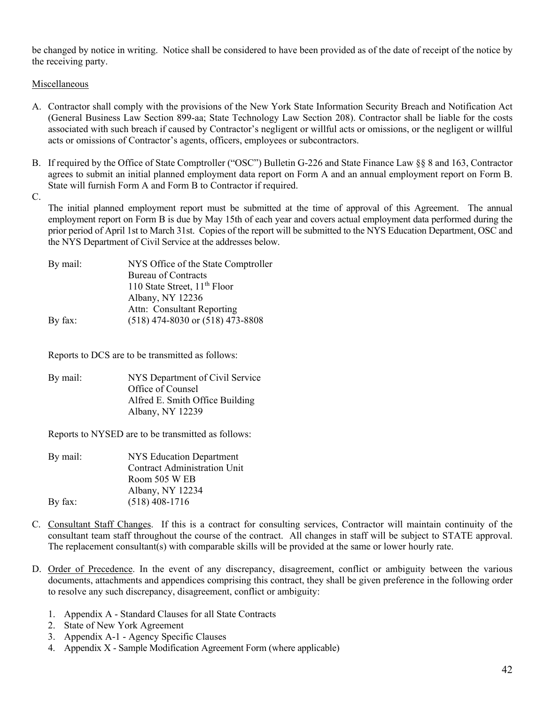be changed by notice in writing. Notice shall be considered to have been provided as of the date of receipt of the notice by the receiving party.

Miscellaneous

- A. Contractor shall comply with the provisions of the New York State Information Security Breach and Notification Act (General Business Law Section 899-aa; State Technology Law Section 208). Contractor shall be liable for the costs associated with such breach if caused by Contractor's negligent or willful acts or omissions, or the negligent or willful acts or omissions of Contractor's agents, officers, employees or subcontractors.
- B. If required by the Office of State Comptroller ("OSC") Bulletin G-226 and State Finance Law §§ 8 and 163, Contractor agrees to submit an initial planned employment data report on Form A and an annual employment report on Form B. State will furnish Form A and Form B to Contractor if required.

C.

The initial planned employment report must be submitted at the time of approval of this Agreement. The annual employment report on Form B is due by May 15th of each year and covers actual employment data performed during the prior period of April 1st to March 31st. Copies of the report will be submitted to the NYS Education Department, OSC and the NYS Department of Civil Service at the addresses below.

| By mail: | NYS Office of the State Comptroller  |
|----------|--------------------------------------|
|          | Bureau of Contracts                  |
|          | 110 State Street, $11th$ Floor       |
|          | Albany, NY 12236                     |
|          | Attn: Consultant Reporting           |
| By fax:  | $(518)$ 474-8030 or $(518)$ 473-8808 |
|          |                                      |

Reports to DCS are to be transmitted as follows:

By mail: NYS Department of Civil Service Office of Counsel Alfred E. Smith Office Building Albany, NY 12239

Reports to NYSED are to be transmitted as follows:

| NYS Education Department            |
|-------------------------------------|
| <b>Contract Administration Unit</b> |
| Room 505 W EB                       |
| Albany, NY 12234                    |
| $(518)$ 408-1716                    |
|                                     |

- C. Consultant Staff Changes. If this is a contract for consulting services, Contractor will maintain continuity of the consultant team staff throughout the course of the contract. All changes in staff will be subject to STATE approval. The replacement consultant(s) with comparable skills will be provided at the same or lower hourly rate.
- D. Order of Precedence. In the event of any discrepancy, disagreement, conflict or ambiguity between the various documents, attachments and appendices comprising this contract, they shall be given preference in the following order to resolve any such discrepancy, disagreement, conflict or ambiguity:
	- 1. Appendix A Standard Clauses for all State Contracts
	- 2. State of New York Agreement
	- 3. Appendix A-1 Agency Specific Clauses
	- 4. Appendix X Sample Modification Agreement Form (where applicable)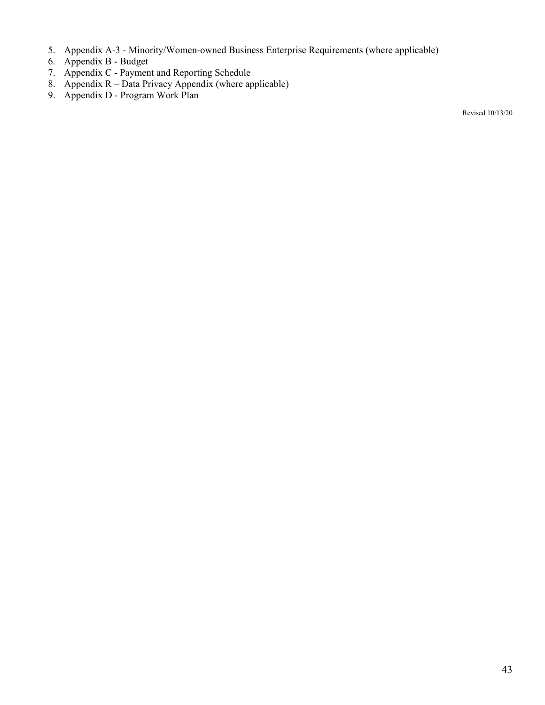- 5. Appendix A-3 Minority/Women-owned Business Enterprise Requirements (where applicable)
- 6. Appendix B Budget
- 7. Appendix C Payment and Reporting Schedule
- 8. Appendix R Data Privacy Appendix (where applicable)
- 9. Appendix D Program Work Plan

Revised 10/13/20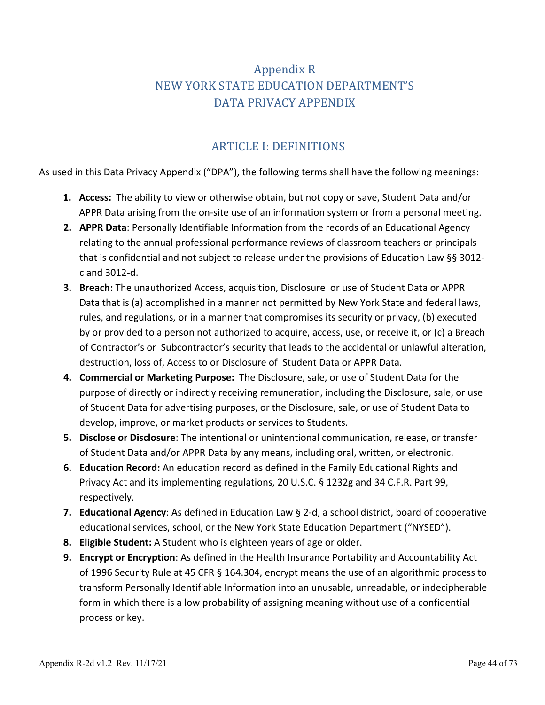# Appendix R NEW YORK STATE EDUCATION DEPARTMENT'S DATA PRIVACY APPENDIX

## ARTICLE I: DEFINITIONS

As used in this Data Privacy Appendix ("DPA"), the following terms shall have the following meanings:

- **1. Access:** The ability to view or otherwise obtain, but not copy or save, Student Data and/or APPR Data arising from the on-site use of an information system or from a personal meeting.
- **2. APPR Data**: Personally Identifiable Information from the records of an Educational Agency relating to the annual professional performance reviews of classroom teachers or principals that is confidential and not subject to release under the provisions of Education Law §§ 3012 c and 3012-d.
- **3. Breach:** The unauthorized Access, acquisition, Disclosure or use of Student Data or APPR Data that is (a) accomplished in a manner not permitted by New York State and federal laws, rules, and regulations, or in a manner that compromises its security or privacy, (b) executed by or provided to a person not authorized to acquire, access, use, or receive it, or (c) a Breach of Contractor's or Subcontractor's security that leads to the accidental or unlawful alteration, destruction, loss of, Access to or Disclosure of Student Data or APPR Data.
- **4. Commercial or Marketing Purpose:** The Disclosure, sale, or use of Student Data for the purpose of directly or indirectly receiving remuneration, including the Disclosure, sale, or use of Student Data for advertising purposes, or the Disclosure, sale, or use of Student Data to develop, improve, or market products or services to Students.
- **5. Disclose or Disclosure**: The intentional or unintentional communication, release, or transfer of Student Data and/or APPR Data by any means, including oral, written, or electronic.
- **6. Education Record:** An education record as defined in the Family Educational Rights and Privacy Act and its implementing regulations, 20 U.S.C. § 1232g and 34 C.F.R. Part 99, respectively.
- **7. Educational Agency**: As defined in Education Law § 2-d, a school district, board of cooperative educational services, school, or the New York State Education Department ("NYSED").
- **8. Eligible Student:** A Student who is eighteen years of age or older.
- **9. Encrypt or Encryption**: As defined in the Health Insurance Portability and Accountability Act of 1996 Security Rule at 45 CFR § 164.304, encrypt means the use of an algorithmic process to transform Personally Identifiable Information into an unusable, unreadable, or indecipherable form in which there is a low probability of assigning meaning without use of a confidential process or key.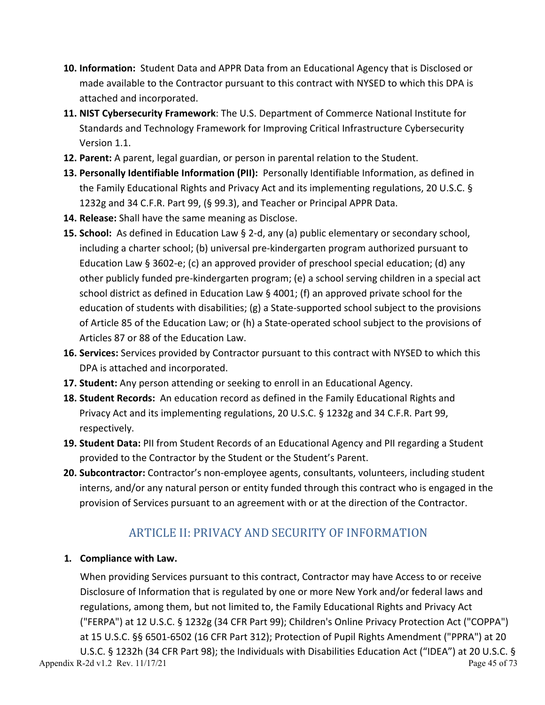- **10. Information:** Student Data and APPR Data from an Educational Agency that is Disclosed or made available to the Contractor pursuant to this contract with NYSED to which this DPA is attached and incorporated.
- **11. NIST Cybersecurity Framework**: The U.S. Department of Commerce National Institute for Standards and Technology Framework for Improving Critical Infrastructure Cybersecurity Version 1.1.
- **12. Parent:** A parent, legal guardian, or person in parental relation to the Student.
- **13. Personally Identifiable Information (PII):** Personally Identifiable Information, as defined in the Family Educational Rights and Privacy Act and its implementing regulations, 20 U.S.C. § 1232g and 34 C.F.R. Part 99, (§ 99.3), and Teacher or Principal APPR Data.
- **14. Release:** Shall have the same meaning as Disclose.
- **15. School:** As defined in Education Law § 2-d, any (a) public elementary or secondary school, including a charter school; (b) universal pre-kindergarten program authorized pursuant to Education Law § 3602-e; (c) an approved provider of preschool special education; (d) any other publicly funded pre-kindergarten program; (e) a school serving children in a special act school district as defined in Education Law § 4001; (f) an approved private school for the education of students with disabilities; (g) a State-supported school subject to the provisions of Article 85 of the Education Law; or (h) a State-operated school subject to the provisions of Articles 87 or 88 of the Education Law.
- **16. Services:** Services provided by Contractor pursuant to this contract with NYSED to which this DPA is attached and incorporated.
- **17. Student:** Any person attending or seeking to enroll in an Educational Agency.
- **18. Student Records:** An education record as defined in the Family Educational Rights and Privacy Act and its implementing regulations, 20 U.S.C. § 1232g and 34 C.F.R. Part 99, respectively.
- **19. Student Data:** PII from Student Records of an Educational Agency and PII regarding a Student provided to the Contractor by the Student or the Student's Parent.
- **20. Subcontractor:** Contractor's non-employee agents, consultants, volunteers, including student interns, and/or any natural person or entity funded through this contract who is engaged in the provision of Services pursuant to an agreement with or at the direction of the Contractor.

# ARTICLE II: PRIVACY AND SECURITY OF INFORMATION

## **1. Compliance with Law.**

When providing Services pursuant to this contract, Contractor may have Access to or receive Disclosure of Information that is regulated by one or more New York and/or federal laws and regulations, among them, but not limited to, the Family Educational Rights and Privacy Act ("FERPA") at 12 U.S.C. § 1232g (34 CFR Part 99); Children's Online Privacy Protection Act ("COPPA") at 15 U.S.C. §§ 6501-6502 (16 CFR Part 312); Protection of Pupil Rights Amendment ("PPRA") at 20 U.S.C. § 1232h (34 CFR Part 98); the Individuals with Disabilities Education Act ("IDEA") at 20 U.S.C. §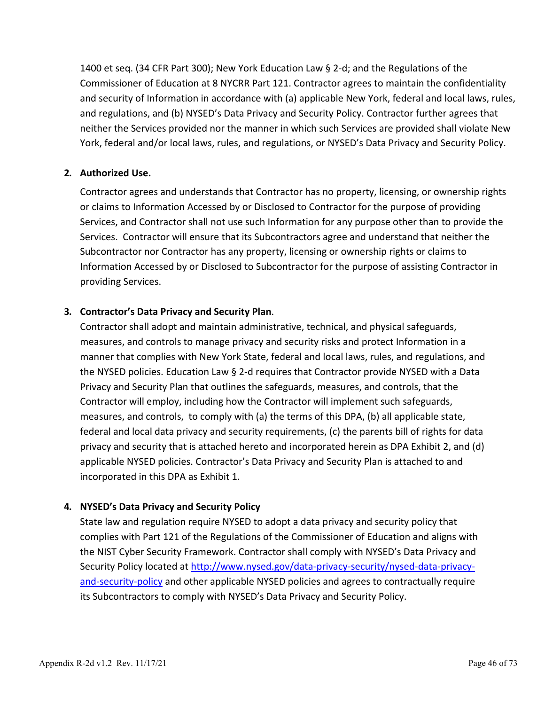1400 et seq. (34 CFR Part 300); New York Education Law § 2-d; and the Regulations of the Commissioner of Education at 8 NYCRR Part 121. Contractor agrees to maintain the confidentiality and security of Information in accordance with (a) applicable New York, federal and local laws, rules, and regulations, and (b) NYSED's Data Privacy and Security Policy. Contractor further agrees that neither the Services provided nor the manner in which such Services are provided shall violate New York, federal and/or local laws, rules, and regulations, or NYSED's Data Privacy and Security Policy.

## **2. Authorized Use.**

Contractor agrees and understands that Contractor has no property, licensing, or ownership rights or claims to Information Accessed by or Disclosed to Contractor for the purpose of providing Services, and Contractor shall not use such Information for any purpose other than to provide the Services. Contractor will ensure that its Subcontractors agree and understand that neither the Subcontractor nor Contractor has any property, licensing or ownership rights or claims to Information Accessed by or Disclosed to Subcontractor for the purpose of assisting Contractor in providing Services.

## **3. Contractor's Data Privacy and Security Plan**.

Contractor shall adopt and maintain administrative, technical, and physical safeguards, measures, and controls to manage privacy and security risks and protect Information in a manner that complies with New York State, federal and local laws, rules, and regulations, and the NYSED policies. Education Law § 2-d requires that Contractor provide NYSED with a Data Privacy and Security Plan that outlines the safeguards, measures, and controls, that the Contractor will employ, including how the Contractor will implement such safeguards, measures, and controls, to comply with (a) the terms of this DPA, (b) all applicable state, federal and local data privacy and security requirements, (c) the parents bill of rights for data privacy and security that is attached hereto and incorporated herein as DPA Exhibit 2, and (d) applicable NYSED policies. Contractor's Data Privacy and Security Plan is attached to and incorporated in this DPA as Exhibit 1.

## **4. NYSED's Data Privacy and Security Policy**

State law and regulation require NYSED to adopt a data privacy and security policy that complies with Part 121 of the Regulations of the Commissioner of Education and aligns with the NIST Cyber Security Framework. Contractor shall comply with NYSED's Data Privacy and Security Policy located at [http://www.nysed.gov/data-privacy-security/nysed-data-privacy](http://www.nysed.gov/data-privacy-security/nysed-data-privacy-and-security-policy)[and-security-policy](http://www.nysed.gov/data-privacy-security/nysed-data-privacy-and-security-policy) and other applicable NYSED policies and agrees to contractually require its Subcontractors to comply with NYSED's Data Privacy and Security Policy.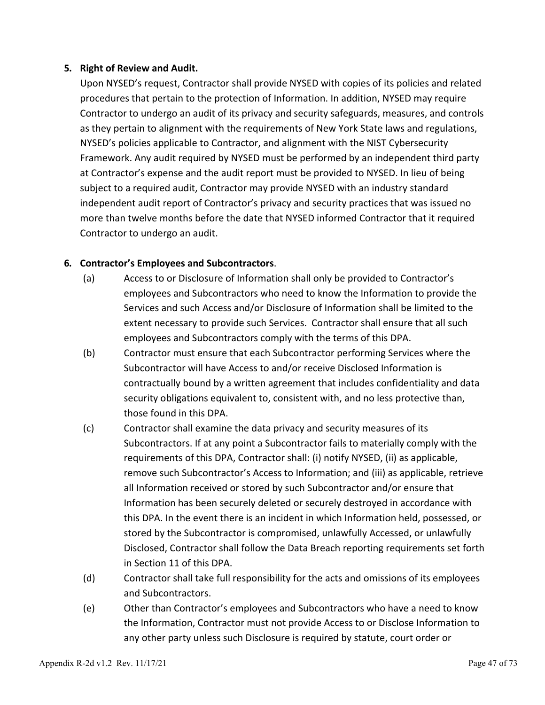## **5. Right of Review and Audit.**

Upon NYSED's request, Contractor shall provide NYSED with copies of its policies and related procedures that pertain to the protection of Information. In addition, NYSED may require Contractor to undergo an audit of its privacy and security safeguards, measures, and controls as they pertain to alignment with the requirements of New York State laws and regulations, NYSED's policies applicable to Contractor, and alignment with the NIST Cybersecurity Framework. Any audit required by NYSED must be performed by an independent third party at Contractor's expense and the audit report must be provided to NYSED. In lieu of being subject to a required audit, Contractor may provide NYSED with an industry standard independent audit report of Contractor's privacy and security practices that was issued no more than twelve months before the date that NYSED informed Contractor that it required Contractor to undergo an audit.

## **6. Contractor's Employees and Subcontractors**.

- (a) Access to or Disclosure of Information shall only be provided to Contractor's employees and Subcontractors who need to know the Information to provide the Services and such Access and/or Disclosure of Information shall be limited to the extent necessary to provide such Services. Contractor shall ensure that all such employees and Subcontractors comply with the terms of this DPA.
- (b) Contractor must ensure that each Subcontractor performing Services where the Subcontractor will have Access to and/or receive Disclosed Information is contractually bound by a written agreement that includes confidentiality and data security obligations equivalent to, consistent with, and no less protective than, those found in this DPA.
- (c) Contractor shall examine the data privacy and security measures of its Subcontractors. If at any point a Subcontractor fails to materially comply with the requirements of this DPA, Contractor shall: (i) notify NYSED, (ii) as applicable, remove such Subcontractor's Access to Information; and (iii) as applicable, retrieve all Information received or stored by such Subcontractor and/or ensure that Information has been securely deleted or securely destroyed in accordance with this DPA. In the event there is an incident in which Information held, possessed, or stored by the Subcontractor is compromised, unlawfully Accessed, or unlawfully Disclosed, Contractor shall follow the Data Breach reporting requirements set forth in Section 11 of this DPA.
- (d) Contractor shall take full responsibility for the acts and omissions of its employees and Subcontractors.
- (e) Other than Contractor's employees and Subcontractors who have a need to know the Information, Contractor must not provide Access to or Disclose Information to any other party unless such Disclosure is required by statute, court order or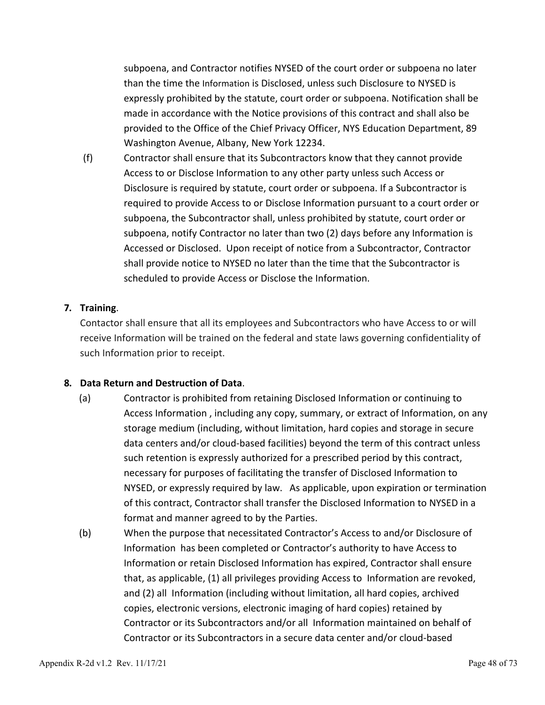subpoena, and Contractor notifies NYSED of the court order or subpoena no later than the time the Information is Disclosed, unless such Disclosure to NYSED is expressly prohibited by the statute, court order or subpoena. Notification shall be made in accordance with the Notice provisions of this contract and shall also be provided to the Office of the Chief Privacy Officer, NYS Education Department, 89 Washington Avenue, Albany, New York 12234.

(f) Contractor shall ensure that its Subcontractors know that they cannot provide Access to or Disclose Information to any other party unless such Access or Disclosure is required by statute, court order or subpoena. If a Subcontractor is required to provide Access to or Disclose Information pursuant to a court order or subpoena, the Subcontractor shall, unless prohibited by statute, court order or subpoena, notify Contractor no later than two (2) days before any Information is Accessed or Disclosed. Upon receipt of notice from a Subcontractor, Contractor shall provide notice to NYSED no later than the time that the Subcontractor is scheduled to provide Access or Disclose the Information.

## **7. Training**.

Contactor shall ensure that all its employees and Subcontractors who have Access to or will receive Information will be trained on the federal and state laws governing confidentiality of such Information prior to receipt.

### **8. Data Return and Destruction of Data**.

- (a) Contractor is prohibited from retaining Disclosed Information or continuing to Access Information , including any copy, summary, or extract of Information, on any storage medium (including, without limitation, hard copies and storage in secure data centers and/or cloud-based facilities) beyond the term of this contract unless such retention is expressly authorized for a prescribed period by this contract, necessary for purposes of facilitating the transfer of Disclosed Information to NYSED, or expressly required by law. As applicable, upon expiration or termination of this contract, Contractor shall transfer the Disclosed Information to NYSED in a format and manner agreed to by the Parties.
- (b) When the purpose that necessitated Contractor's Access to and/or Disclosure of Information has been completed or Contractor's authority to have Access to Information or retain Disclosed Information has expired, Contractor shall ensure that, as applicable, (1) all privileges providing Access to Information are revoked, and (2) all Information (including without limitation, all hard copies, archived copies, electronic versions, electronic imaging of hard copies) retained by Contractor or its Subcontractors and/or all Information maintained on behalf of Contractor or its Subcontractors in a secure data center and/or cloud-based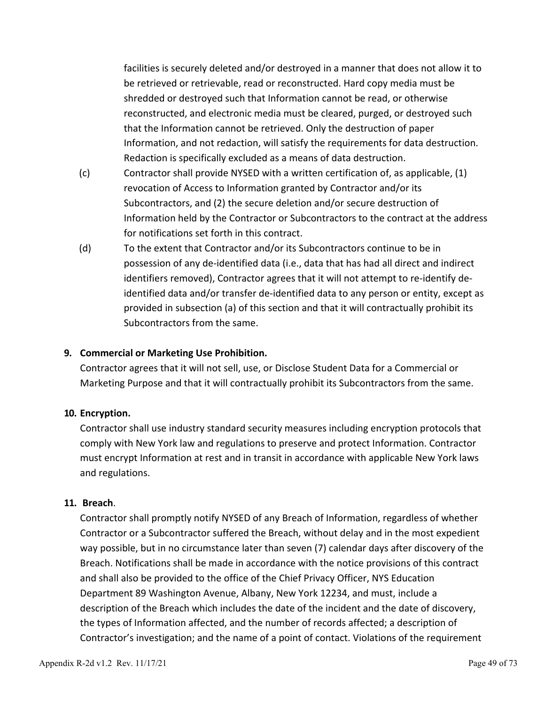facilities is securely deleted and/or destroyed in a manner that does not allow it to be retrieved or retrievable, read or reconstructed. Hard copy media must be shredded or destroyed such that Information cannot be read, or otherwise reconstructed, and electronic media must be cleared, purged, or destroyed such that the Information cannot be retrieved. Only the destruction of paper Information, and not redaction, will satisfy the requirements for data destruction. Redaction is specifically excluded as a means of data destruction.

- (c) Contractor shall provide NYSED with a written certification of, as applicable, (1) revocation of Access to Information granted by Contractor and/or its Subcontractors, and (2) the secure deletion and/or secure destruction of Information held by the Contractor or Subcontractors to the contract at the address for notifications set forth in this contract.
- (d) To the extent that Contractor and/or its Subcontractors continue to be in possession of any de-identified data (i.e., data that has had all direct and indirect identifiers removed), Contractor agrees that it will not attempt to re-identify deidentified data and/or transfer de-identified data to any person or entity, except as provided in subsection (a) of this section and that it will contractually prohibit its Subcontractors from the same.

### **9. Commercial or Marketing Use Prohibition.**

Contractor agrees that it will not sell, use, or Disclose Student Data for a Commercial or Marketing Purpose and that it will contractually prohibit its Subcontractors from the same.

#### **10. Encryption.**

Contractor shall use industry standard security measures including encryption protocols that comply with New York law and regulations to preserve and protect Information. Contractor must encrypt Information at rest and in transit in accordance with applicable New York laws and regulations.

#### **11. Breach**.

Contractor shall promptly notify NYSED of any Breach of Information, regardless of whether Contractor or a Subcontractor suffered the Breach, without delay and in the most expedient way possible, but in no circumstance later than seven (7) calendar days after discovery of the Breach. Notifications shall be made in accordance with the notice provisions of this contract and shall also be provided to the office of the Chief Privacy Officer, NYS Education Department 89 Washington Avenue, Albany, New York 12234, and must, include a description of the Breach which includes the date of the incident and the date of discovery, the types of Information affected, and the number of records affected; a description of Contractor's investigation; and the name of a point of contact. Violations of the requirement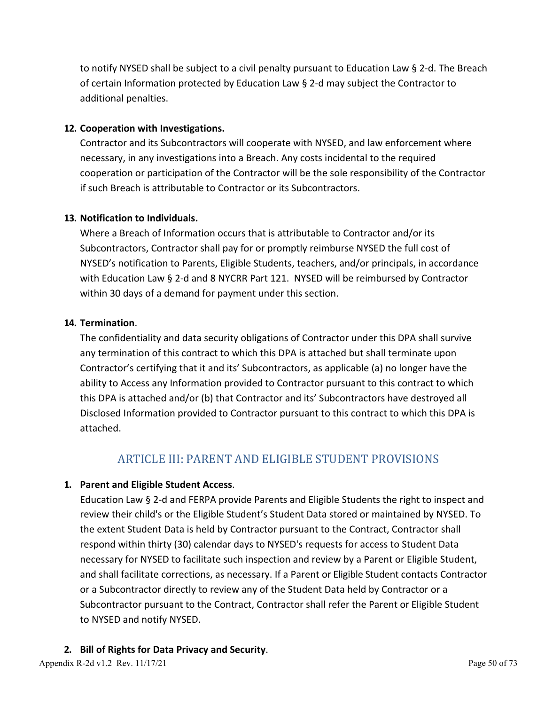to notify NYSED shall be subject to a civil penalty pursuant to Education Law § 2-d. The Breach of certain Information protected by Education Law § 2-d may subject the Contractor to additional penalties.

## **12. Cooperation with Investigations.**

Contractor and its Subcontractors will cooperate with NYSED, and law enforcement where necessary, in any investigations into a Breach. Any costs incidental to the required cooperation or participation of the Contractor will be the sole responsibility of the Contractor if such Breach is attributable to Contractor or its Subcontractors.

## **13. Notification to Individuals.**

Where a Breach of Information occurs that is attributable to Contractor and/or its Subcontractors, Contractor shall pay for or promptly reimburse NYSED the full cost of NYSED's notification to Parents, Eligible Students, teachers, and/or principals, in accordance with Education Law § 2-d and 8 NYCRR Part 121. NYSED will be reimbursed by Contractor within 30 days of a demand for payment under this section.

## **14. Termination**.

The confidentiality and data security obligations of Contractor under this DPA shall survive any termination of this contract to which this DPA is attached but shall terminate upon Contractor's certifying that it and its' Subcontractors, as applicable (a) no longer have the ability to Access any Information provided to Contractor pursuant to this contract to which this DPA is attached and/or (b) that Contractor and its' Subcontractors have destroyed all Disclosed Information provided to Contractor pursuant to this contract to which this DPA is attached.

## ARTICLE III: PARENT AND ELIGIBLE STUDENT PROVISIONS

## **1. Parent and Eligible Student Access**.

Education Law § 2-d and FERPA provide Parents and Eligible Students the right to inspect and review their child's or the Eligible Student's Student Data stored or maintained by NYSED. To the extent Student Data is held by Contractor pursuant to the Contract, Contractor shall respond within thirty (30) calendar days to NYSED's requests for access to Student Data necessary for NYSED to facilitate such inspection and review by a Parent or Eligible Student, and shall facilitate corrections, as necessary. If a Parent or Eligible Student contacts Contractor or a Subcontractor directly to review any of the Student Data held by Contractor or a Subcontractor pursuant to the Contract, Contractor shall refer the Parent or Eligible Student to NYSED and notify NYSED.

## **2. Bill of Rights for Data Privacy and Security**.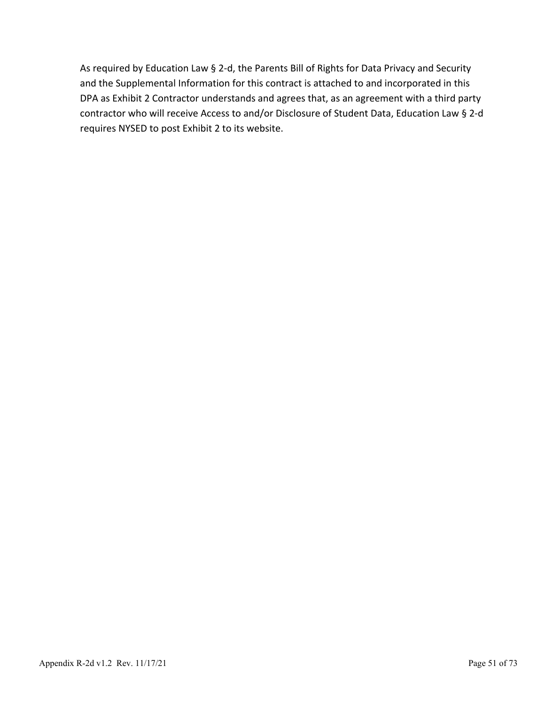As required by Education Law § 2-d, the Parents Bill of Rights for Data Privacy and Security and the Supplemental Information for this contract is attached to and incorporated in this DPA as Exhibit 2 Contractor understands and agrees that, as an agreement with a third party contractor who will receive Access to and/or Disclosure of Student Data, Education Law § 2-d requires NYSED to post Exhibit 2 to its website.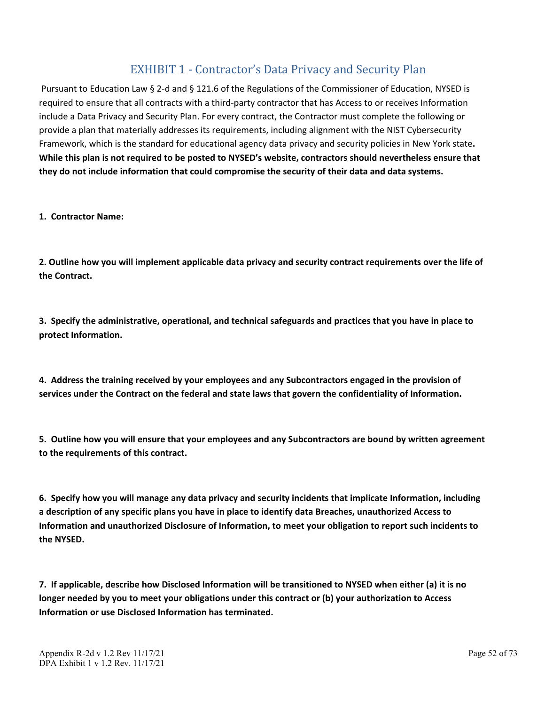## EXHIBIT 1 - Contractor's Data Privacy and Security Plan

Pursuant to Education Law § 2-d and § 121.6 of the Regulations of the Commissioner of Education, NYSED is required to ensure that all contracts with a third-party contractor that has Access to or receives Information include a Data Privacy and Security Plan. For every contract, the Contractor must complete the following or provide a plan that materially addresses its requirements, including alignment with the NIST Cybersecurity Framework, which is the standard for educational agency data privacy and security policies in New York state**. While this plan is not required to be posted to NYSED's website, contractors should nevertheless ensure that they do not include information that could compromise the security of their data and data systems.**

**1. Contractor Name:**

**2. Outline how you will implement applicable data privacy and security contract requirements over the life of the Contract.**

**3. Specify the administrative, operational, and technical safeguards and practices that you have in place to protect Information.**

**4. Address the training received by your employees and any Subcontractors engaged in the provision of services under the Contract on the federal and state laws that govern the confidentiality of Information.**

**5. Outline how you will ensure that your employees and any Subcontractors are bound by written agreement to the requirements of this contract.**

**6. Specify how you will manage any data privacy and security incidents that implicate Information, including a description of any specific plans you have in place to identify data Breaches, unauthorized Access to Information and unauthorized Disclosure of Information, to meet your obligation to report such incidents to the NYSED.** 

**7. If applicable, describe how Disclosed Information will be transitioned to NYSED when either (a) it is no longer needed by you to meet your obligations under this contract or (b) your authorization to Access Information or use Disclosed Information has terminated.**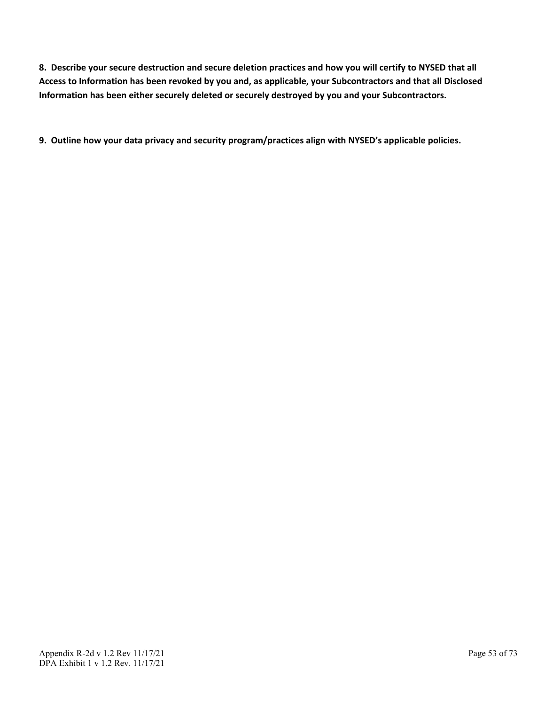**8. Describe your secure destruction and secure deletion practices and how you will certify to NYSED that all Access to Information has been revoked by you and, as applicable, your Subcontractors and that all Disclosed Information has been either securely deleted or securely destroyed by you and your Subcontractors.**

**9. Outline how your data privacy and security program/practices align with NYSED's applicable policies.**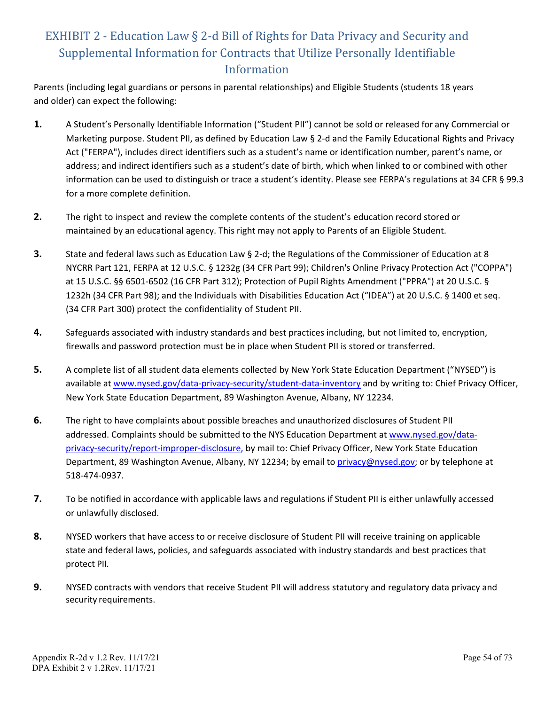# EXHIBIT 2 - Education Law § 2-d Bill of Rights for Data Privacy and Security and Supplemental Information for Contracts that Utilize Personally Identifiable Information

Parents (including legal guardians or persons in parental relationships) and Eligible Students (students 18 years and older) can expect the following:

- **1.** A Student's Personally Identifiable Information ("Student PII") cannot be sold or released for any Commercial or Marketing purpose. Student PII, as defined by Education Law § 2-d and the Family Educational Rights and Privacy Act ("FERPA"), includes direct identifiers such as a student's name or identification number, parent's name, or address; and indirect identifiers such as a student's date of birth, which when linked to or combined with other information can be used to distinguish or trace a student's identity. Please see FERPA's regulations at 34 CFR § 99.3 for a more complete definition.
- **2.** The right to inspect and review the complete contents of the student's education record stored or maintained by an educational agency. This right may not apply to Parents of an Eligible Student.
- **3.** State and federal laws such as Education Law § 2-d; the Regulations of the Commissioner of Education at 8 NYCRR Part 121, FERPA at 12 U.S.C. § 1232g (34 CFR Part 99); Children's Online Privacy Protection Act ("COPPA") at 15 U.S.C. §§ 6501-6502 (16 CFR Part 312); Protection of Pupil Rights Amendment ("PPRA") at 20 U.S.C. § 1232h (34 CFR Part 98); and the Individuals with Disabilities Education Act ("IDEA") at 20 U.S.C. § 1400 et seq. (34 CFR Part 300) protect the confidentiality of Student PII.
- **4.** Safeguards associated with industry standards and best practices including, but not limited to, encryption, firewalls and password protection must be in place when Student PII is stored or transferred.
- **5.** A complete list of all student data elements collected by New York State Education Department ("NYSED") is available at [www.nysed.gov/data-privacy-security/student-data-inventory](http://www.nysed.gov/data-privacy-security/student-data-inventory) and by writing to: Chief Privacy Officer, New York State Education Department, 89 Washington Avenue, Albany, NY 12234.
- **6.** The right to have complaints about possible breaches and unauthorized disclosures of Student PII addressed. Complaints should be submitted to the NYS Education Department at [www.nysed.gov/data](http://www.nysed.gov/data-privacy-security/report-improper-disclosure)[privacy-security/report-improper-disclosure,](http://www.nysed.gov/data-privacy-security/report-improper-disclosure) by mail to: Chief Privacy Officer, New York State Education Department, 89 Washington Avenue, Albany, NY 12234; by email to [privacy@nysed.gov; o](mailto:Privacy@nysed.gov)r by telephone at 518-474-0937.
- **7.** To be notified in accordance with applicable laws and regulations if Student PII is either unlawfully accessed or unlawfully disclosed.
- **8.** NYSED workers that have access to or receive disclosure of Student PII will receive training on applicable state and federal laws, policies, and safeguards associated with industry standards and best practices that protect PII.
- **9.** NYSED contracts with vendors that receive Student PII will address statutory and regulatory data privacy and security requirements.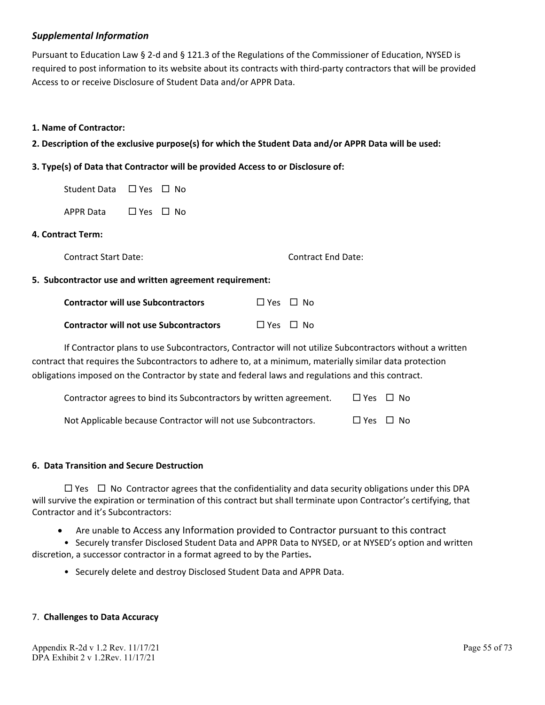#### *Supplemental Information*

Pursuant to Education Law § 2-d and § 121.3 of the Regulations of the Commissioner of Education, NYSED is required to post information to its website about its contracts with third-party contractors that will be provided Access to or receive Disclosure of Student Data and/or APPR Data.

#### **1. Name of Contractor:**

**2. Description of the exclusive purpose(s) for which the Student Data and/or APPR Data will be used:**

#### **3. Type(s) of Data that Contractor will be provided Access to or Disclosure of:**

| Student Data □ Yes □ No |  |
|-------------------------|--|
|                         |  |

APPR Data  $\Box$  Yes  $\Box$  No

#### **4. Contract Term:**

Contract Start Date: Contract End Date:

#### **5. Subcontractor use and written agreement requirement:**

| <b>Contractor will use Subcontractors</b>     | □ Yes □ No |  |
|-----------------------------------------------|------------|--|
| <b>Contractor will not use Subcontractors</b> | □ Yes □ No |  |

If Contractor plans to use Subcontractors, Contractor will not utilize Subcontractors without a written contract that requires the Subcontractors to adhere to, at a minimum, materially similar data protection obligations imposed on the Contractor by state and federal laws and regulations and this contract.

| Contractor agrees to bind its Subcontractors by written agreement. | $\Box$ Yes $\Box$ No |  |
|--------------------------------------------------------------------|----------------------|--|
| Not Applicable because Contractor will not use Subcontractors.     | $\Box$ Yes $\Box$ No |  |

#### **6. Data Transition and Secure Destruction**

 $\Box$  Yes  $\Box$  No Contractor agrees that the confidentiality and data security obligations under this DPA will survive the expiration or termination of this contract but shall terminate upon Contractor's certifying, that Contractor and it's Subcontractors:

• Are unable to Access any Information provided to Contractor pursuant to this contract

• Securely transfer Disclosed Student Data and APPR Data to NYSED, or at NYSED's option and written discretion, a successor contractor in a format agreed to by the Parties**.**

• Securely delete and destroy Disclosed Student Data and APPR Data.

#### 7. **Challenges to Data Accuracy**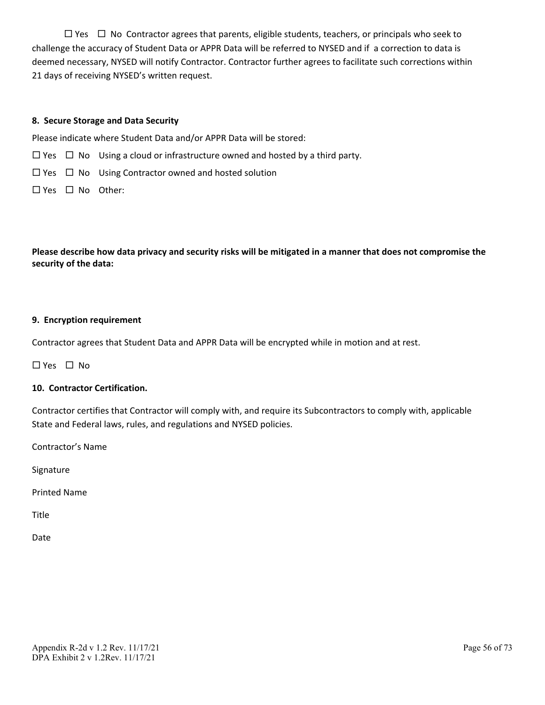$\Box$  Yes  $\Box$  No Contractor agrees that parents, eligible students, teachers, or principals who seek to challenge the accuracy of Student Data or APPR Data will be referred to NYSED and if a correction to data is deemed necessary, NYSED will notify Contractor. Contractor further agrees to facilitate such corrections within 21 days of receiving NYSED's written request.

#### **8. Secure Storage and Data Security**

Please indicate where Student Data and/or APPR Data will be stored:

- $\Box$  Yes  $\Box$  No Using a cloud or infrastructure owned and hosted by a third party.
- $\Box$  Yes  $\Box$  No Using Contractor owned and hosted solution
- $\Box$  Yes  $\Box$  No Other:

**Please describe how data privacy and security risks will be mitigated in a manner that does not compromise the security of the data:**

#### **9. Encryption requirement**

Contractor agrees that Student Data and APPR Data will be encrypted while in motion and at rest.

 $\Box$  Yes  $\Box$  No.

#### **10. Contractor Certification.**

Contractor certifies that Contractor will comply with, and require its Subcontractors to comply with, applicable State and Federal laws, rules, and regulations and NYSED policies.

Contractor's Name

Signature

Printed Name

Title

Date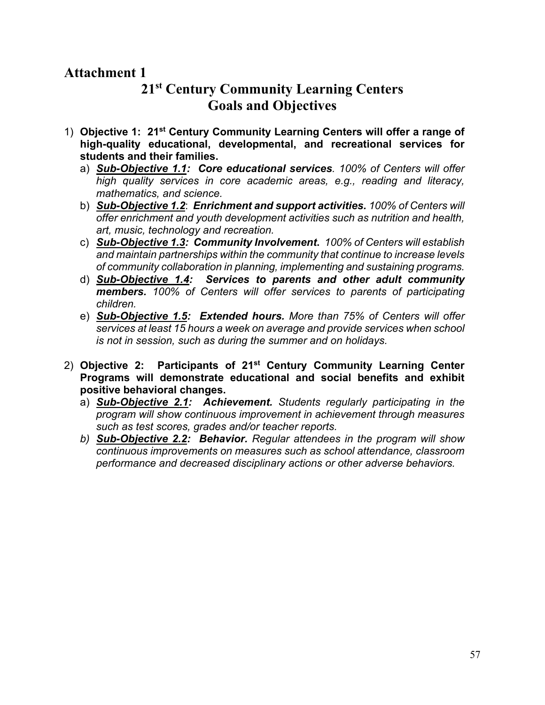# **Attachment 1**

# **21st Century Community Learning Centers Goals and Objectives**

- 1) **Objective 1: 21st Century Community Learning Centers will offer a range of high-quality educational, developmental, and recreational services for students and their families.**
	- a) *Sub-Objective 1.1: Core educational services. 100% of Centers will offer high quality services in core academic areas, e.g., reading and literacy, mathematics, and science.*
	- b) *Sub-Objective 1.2*: *Enrichment and support activities. 100% of Centers will offer enrichment and youth development activities such as nutrition and health, art, music, technology and recreation.*
	- c) *Sub-Objective 1.3: Community Involvement***.** *100% of Centers will establish and maintain partnerships within the community that continue to increase levels of community collaboration in planning, implementing and sustaining programs.*
	- d) *Sub-Objective 1.4: Services to parents and other adult community members. 100% of Centers will offer services to parents of participating children.*
	- e) *Sub-Objective 1.5: Extended hours. More than 75% of Centers will offer services at least 15 hours a week on average and provide services when school is not in session, such as during the summer and on holidays.*
- 2) **Objective 2: Participants of 21st Century Community Learning Center Programs will demonstrate educational and social benefits and exhibit positive behavioral changes.**
	- a) *Sub-Objective 2.1: Achievement. Students regularly participating in the program will show continuous improvement in achievement through measures such as test scores, grades and/or teacher reports.*
	- *b) Sub-Objective 2.2: Behavior. Regular attendees in the program will show continuous improvements on measures such as school attendance, classroom performance and decreased disciplinary actions or other adverse behaviors.*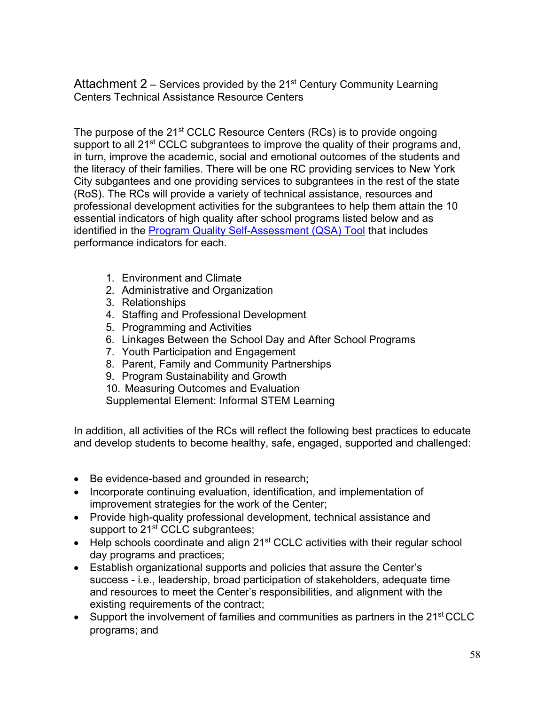Attachment  $2$  – Services provided by the 21<sup>st</sup> Century Community Learning Centers Technical Assistance Resource Centers

The purpose of the 21<sup>st</sup> CCLC Resource Centers (RCs) is to provide ongoing support to all 21<sup>st</sup> CCLC subgrantees to improve the quality of their programs and, in turn, improve the academic, social and emotional outcomes of the students and the literacy of their families. There will be one RC providing services to New York City subgantees and one providing services to subgrantees in the rest of the state (RoS). The RCs will provide a variety of technical assistance, resources and professional development activities for the subgrantees to help them attain the 10 essential indicators of high quality after school programs listed below and as identified in the **Program Quality Self-Assessment** (QSA) Tool that includes performance indicators for each.

- 1. Environment and Climate
- 2. Administrative and Organization
- 3. Relationships
- 4. Staffing and Professional Development
- 5. Programming and Activities
- 6. Linkages Between the School Day and After School Programs
- 7. Youth Participation and Engagement
- 8. Parent, Family and Community Partnerships
- 9. Program Sustainability and Growth
- 10. Measuring Outcomes and Evaluation

Supplemental Element: Informal STEM Learning

In addition, all activities of the RCs will reflect the following best practices to educate and develop students to become healthy, safe, engaged, supported and challenged:

- Be evidence-based and grounded in research;
- Incorporate continuing evaluation, identification, and implementation of improvement strategies for the work of the Center;
- Provide high-quality professional development, technical assistance and support to 21<sup>st</sup> CCLC subgrantees;
- Help schools coordinate and align 21<sup>st</sup> CCLC activities with their regular school day programs and practices;
- Establish organizational supports and policies that assure the Center's success - i.e., leadership, broad participation of stakeholders, adequate time and resources to meet the Center's responsibilities, and alignment with the existing requirements of the contract;
- Support the involvement of families and communities as partners in the 21<sup>st</sup> CCLC programs; and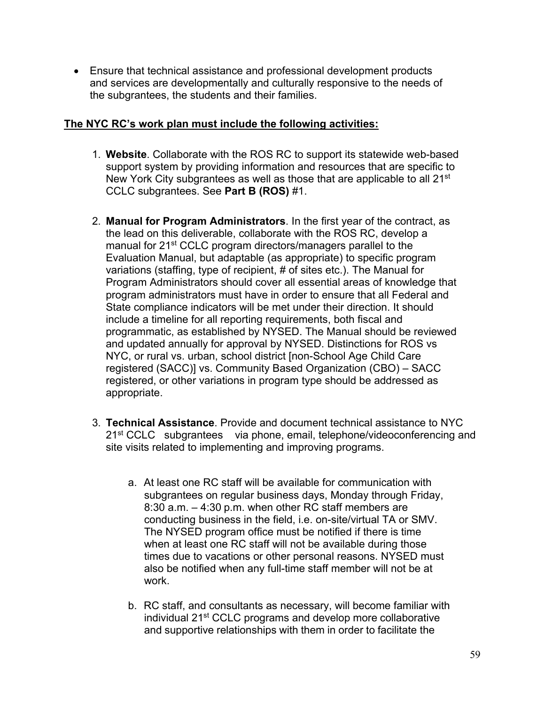• Ensure that technical assistance and professional development products and services are developmentally and culturally responsive to the needs of the subgrantees, the students and their families.

## **The NYC RC's work plan must include the following activities:**

- 1. **Website**. Collaborate with the ROS RC to support its statewide web-based support system by providing information and resources that are specific to New York City subgrantees as well as those that are applicable to all 21<sup>st</sup> CCLC subgrantees. See **Part B (ROS)** #1.
- 2. **Manual for Program Administrators**. In the first year of the contract, as the lead on this deliverable, collaborate with the ROS RC, develop a manual for 21<sup>st</sup> CCLC program directors/managers parallel to the Evaluation Manual, but adaptable (as appropriate) to specific program variations (staffing, type of recipient, # of sites etc.). The Manual for Program Administrators should cover all essential areas of knowledge that program administrators must have in order to ensure that all Federal and State compliance indicators will be met under their direction. It should include a timeline for all reporting requirements, both fiscal and programmatic, as established by NYSED. The Manual should be reviewed and updated annually for approval by NYSED. Distinctions for ROS vs NYC, or rural vs. urban, school district [non-School Age Child Care registered (SACC)] vs. Community Based Organization (CBO) – SACC registered, or other variations in program type should be addressed as appropriate.
- 3. **Technical Assistance**. Provide and document technical assistance to NYC 21<sup>st</sup> CCLC subgrantees via phone, email, telephone/videoconferencing and site visits related to implementing and improving programs.
	- a. At least one RC staff will be available for communication with subgrantees on regular business days, Monday through Friday, 8:30 a.m. – 4:30 p.m. when other RC staff members are conducting business in the field, i.e. on-site/virtual TA or SMV. The NYSED program office must be notified if there is time when at least one RC staff will not be available during those times due to vacations or other personal reasons. NYSED must also be notified when any full-time staff member will not be at work.
	- b. RC staff, and consultants as necessary, will become familiar with individual 21st CCLC programs and develop more collaborative and supportive relationships with them in order to facilitate the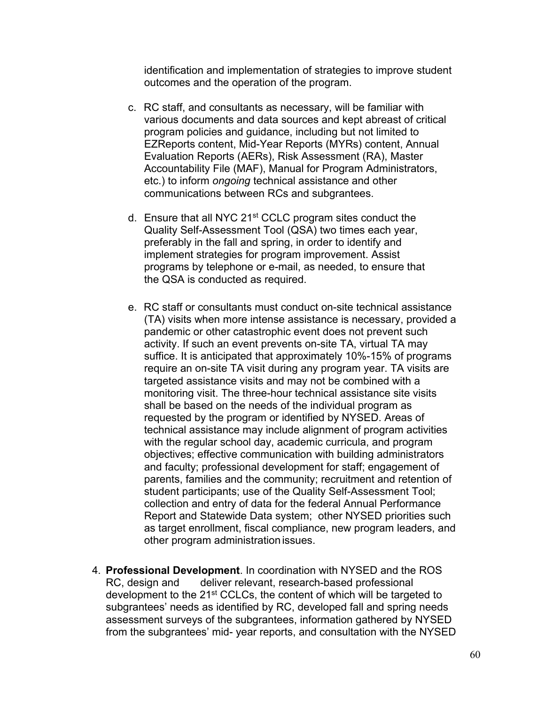identification and implementation of strategies to improve student outcomes and the operation of the program.

- c. RC staff, and consultants as necessary, will be familiar with various documents and data sources and kept abreast of critical program policies and guidance, including but not limited to EZReports content, Mid-Year Reports (MYRs) content, Annual Evaluation Reports (AERs), Risk Assessment (RA), Master Accountability File (MAF), Manual for Program Administrators, etc.) to inform *ongoing* technical assistance and other communications between RCs and subgrantees.
- d. Ensure that all NYC 21st CCLC program sites conduct the Quality Self-Assessment Tool (QSA) two times each year, preferably in the fall and spring, in order to identify and implement strategies for program improvement. Assist programs by telephone or e-mail, as needed, to ensure that the QSA is conducted as required.
- e. RC staff or consultants must conduct on-site technical assistance (TA) visits when more intense assistance is necessary, provided a pandemic or other catastrophic event does not prevent such activity. If such an event prevents on-site TA, virtual TA may suffice. It is anticipated that approximately 10%-15% of programs require an on-site TA visit during any program year. TA visits are targeted assistance visits and may not be combined with a monitoring visit. The three-hour technical assistance site visits shall be based on the needs of the individual program as requested by the program or identified by NYSED. Areas of technical assistance may include alignment of program activities with the regular school day, academic curricula, and program objectives; effective communication with building administrators and faculty; professional development for staff; engagement of parents, families and the community; recruitment and retention of student participants; use of the Quality Self-Assessment Tool; collection and entry of data for the federal Annual Performance Report and Statewide Data system; other NYSED priorities such as target enrollment, fiscal compliance, new program leaders, and other program administration issues.
- 4. **Professional Development**. In coordination with NYSED and the ROS deliver relevant, research-based professional development to the 21<sup>st</sup> CCLCs, the content of which will be targeted to subgrantees' needs as identified by RC, developed fall and spring needs assessment surveys of the subgrantees, information gathered by NYSED from the subgrantees' mid- year reports, and consultation with the NYSED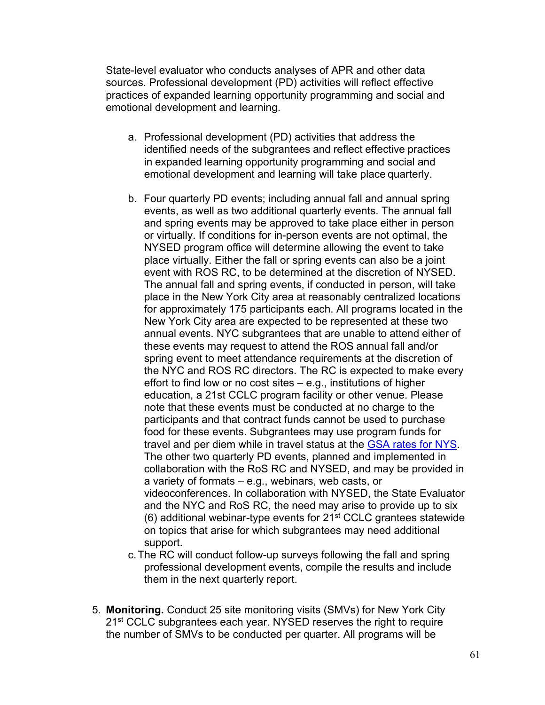State-level evaluator who conducts analyses of APR and other data sources. Professional development (PD) activities will reflect effective practices of expanded learning opportunity programming and social and emotional development and learning.

- a. Professional development (PD) activities that address the identified needs of the subgrantees and reflect effective practices in expanded learning opportunity programming and social and emotional development and learning will take place quarterly.
- b. Four quarterly PD events; including annual fall and annual spring events, as well as two additional quarterly events. The annual fall and spring events may be approved to take place either in person or virtually. If conditions for in-person events are not optimal, the NYSED program office will determine allowing the event to take place virtually. Either the fall or spring events can also be a joint event with ROS RC, to be determined at the discretion of NYSED. The annual fall and spring events, if conducted in person, will take place in the New York City area at reasonably centralized locations for approximately 175 participants each. All programs located in the New York City area are expected to be represented at these two annual events. NYC subgrantees that are unable to attend either of these events may request to attend the ROS annual fall and/or spring event to meet attendance requirements at the discretion of the NYC and ROS RC directors. The RC is expected to make every effort to find low or no cost sites  $-$  e.g., institutions of higher education, a 21st CCLC program facility or other venue. Please note that these events must be conducted at no charge to the participants and that contract funds cannot be used to purchase food for these events. Subgrantees may use program funds for travel and per diem while in travel status at the [GSA rates for NYS.](https://www.gsa.gov/travel/plan-book/per-diem-rates) The other two quarterly PD events, planned and implemented in collaboration with the RoS RC and NYSED, and may be provided in a variety of formats – e.g., webinars, web casts, or videoconferences. In collaboration with NYSED, the State Evaluator and the NYC and RoS RC, the need may arise to provide up to six  $(6)$  additional webinar-type events for 21<sup>st</sup> CCLC grantees statewide on topics that arise for which subgrantees may need additional support.
- c.The RC will conduct follow-up surveys following the fall and spring professional development events, compile the results and include them in the next quarterly report.
- 5. **Monitoring.** Conduct 25 site monitoring visits (SMVs) for New York City 21<sup>st</sup> CCLC subgrantees each year. NYSED reserves the right to require the number of SMVs to be conducted per quarter. All programs will be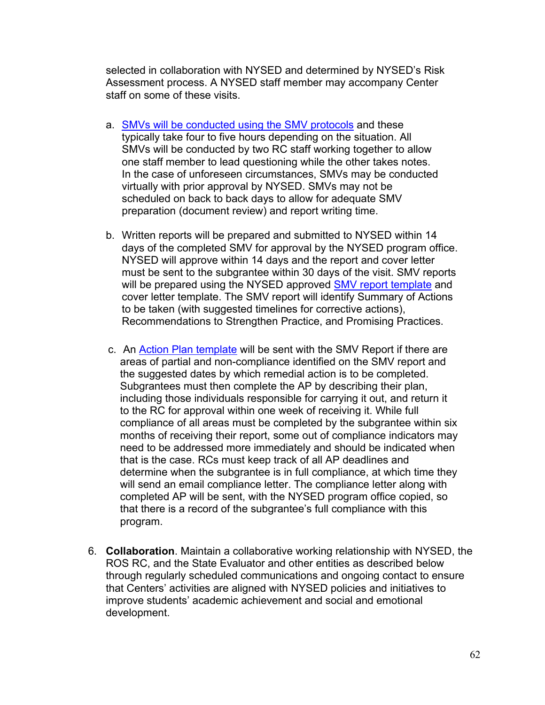selected in collaboration with NYSED and determined by NYSED's Risk Assessment process. A NYSED staff member may accompany Center staff on some of these visits.

- a. [SMVs will be conducted using the SMV protocols](http://p1232.nysed.gov/sss/documents/SiteMonitoringVisitReportwithCFRreferences12.9.20.pdf) and these typically take four to five hours depending on the situation. All SMVs will be conducted by two RC staff working together to allow one staff member to lead questioning while the other takes notes. In the case of unforeseen circumstances, SMVs may be conducted virtually with prior approval by NYSED. SMVs may not be scheduled on back to back days to allow for adequate SMV preparation (document review) and report writing time.
- b. Written reports will be prepared and submitted to NYSED within 14 days of the completed SMV for approval by the NYSED program office. NYSED will approve within 14 days and the report and cover letter must be sent to the subgrantee within 30 days of the visit. SMV reports will be prepared using the NYSED approved [SMV report template](http://p1232.nysed.gov/sss/21stCCLC/sitevisit/home.html) and cover letter template. The SMV report will identify Summary of Actions to be taken (with suggested timelines for corrective actions), Recommendations to Strengthen Practice, and Promising Practices.
- c. An [Action Plan template](http://www.p12.nysed.gov/sss/documents/ActionPlanTemplate8.24.20_000.pdf) will be sent with the SMV Report if there are areas of partial and non-compliance identified on the SMV report and the suggested dates by which remedial action is to be completed. Subgrantees must then complete the AP by describing their plan, including those individuals responsible for carrying it out, and return it to the RC for approval within one week of receiving it. While full compliance of all areas must be completed by the subgrantee within six months of receiving their report, some out of compliance indicators may need to be addressed more immediately and should be indicated when that is the case. RCs must keep track of all AP deadlines and determine when the subgrantee is in full compliance, at which time they will send an email compliance letter. The compliance letter along with completed AP will be sent, with the NYSED program office copied, so that there is a record of the subgrantee's full compliance with this program.
- 6. **Collaboration**. Maintain a collaborative working relationship with NYSED, the ROS RC, and the State Evaluator and other entities as described below through regularly scheduled communications and ongoing contact to ensure that Centers' activities are aligned with NYSED policies and initiatives to improve students' academic achievement and social and emotional development.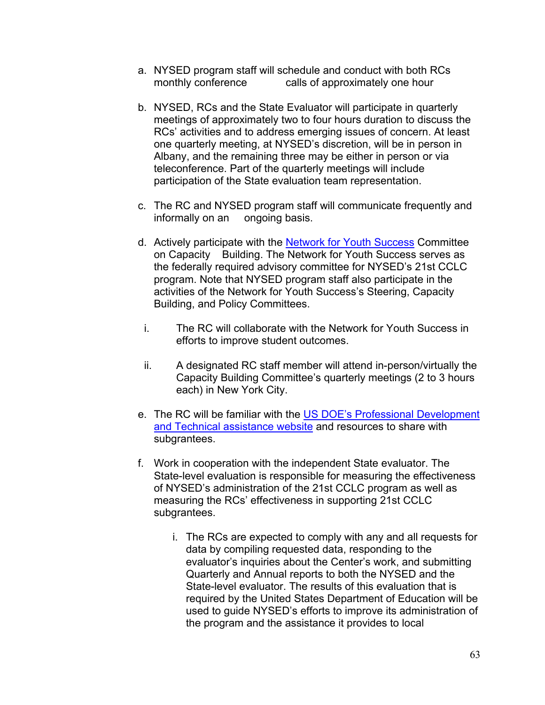- a. NYSED program staff will schedule and conduct with both RCs monthly conference calls of approximately one hour
- b. NYSED, RCs and the State Evaluator will participate in quarterly meetings of approximately two to four hours duration to discuss the RCs' activities and to address emerging issues of concern. At least one quarterly meeting, at NYSED's discretion, will be in person in Albany, and the remaining three may be either in person or via teleconference. Part of the quarterly meetings will include participation of the State evaluation team representation.
- c. The RC and NYSED program staff will communicate frequently and informally on an ongoing basis.
- d. Actively participate with the [Network for Youth Success](https://networkforyouthsuccess.org/) Committee on Capacity Building. The Network for Youth Success serves as the federally required advisory committee for NYSED's 21st CCLC program. Note that NYSED program staff also participate in the activities of the Network for Youth Success's Steering, Capacity Building, and Policy Committees.
	- i. The RC will collaborate with the Network for Youth Success in efforts to improve student outcomes.
	- ii. A designated RC staff member will attend in-person/virtually the Capacity Building Committee's quarterly meetings (2 to 3 hours each) in New York City.
- e. The RC will be familiar with the [US DOE's Professional Development](https://y4y.ed.gov/)  [and Technical assistance website](https://y4y.ed.gov/) and resources to share with subgrantees.
- f. Work in cooperation with the independent State evaluator. The State-level evaluation is responsible for measuring the effectiveness of NYSED's administration of the 21st CCLC program as well as measuring the RCs' effectiveness in supporting 21st CCLC subgrantees.
	- i. The RCs are expected to comply with any and all requests for data by compiling requested data, responding to the evaluator's inquiries about the Center's work, and submitting Quarterly and Annual reports to both the NYSED and the State-level evaluator. The results of this evaluation that is required by the United States Department of Education will be used to guide NYSED's efforts to improve its administration of the program and the assistance it provides to local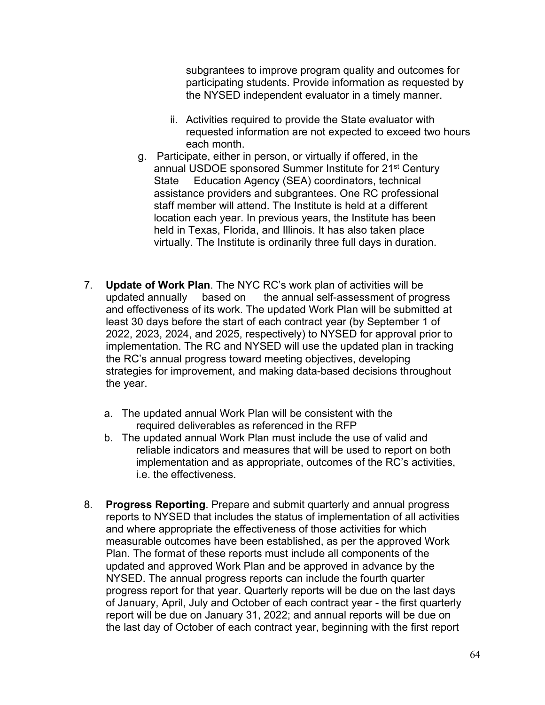subgrantees to improve program quality and outcomes for participating students. Provide information as requested by the NYSED independent evaluator in a timely manner.

- ii. Activities required to provide the State evaluator with requested information are not expected to exceed two hours each month.
- g. Participate, either in person, or virtually if offered, in the annual USDOE sponsored Summer Institute for 21st Century State Education Agency (SEA) coordinators, technical assistance providers and subgrantees. One RC professional staff member will attend. The Institute is held at a different location each year. In previous years, the Institute has been held in Texas, Florida, and Illinois. It has also taken place virtually. The Institute is ordinarily three full days in duration.
- 7. **Update of Work Plan**. The NYC RC's work plan of activities will be updated annually based on the annual self-assessment of progress and effectiveness of its work. The updated Work Plan will be submitted at least 30 days before the start of each contract year (by September 1 of 2022, 2023, 2024, and 2025, respectively) to NYSED for approval prior to implementation. The RC and NYSED will use the updated plan in tracking the RC's annual progress toward meeting objectives, developing strategies for improvement, and making data-based decisions throughout the year.
	- a. The updated annual Work Plan will be consistent with the required deliverables as referenced in the RFP
	- b. The updated annual Work Plan must include the use of valid and reliable indicators and measures that will be used to report on both implementation and as appropriate, outcomes of the RC's activities, i.e. the effectiveness.
- 8. **Progress Reporting**. Prepare and submit quarterly and annual progress reports to NYSED that includes the status of implementation of all activities and where appropriate the effectiveness of those activities for which measurable outcomes have been established, as per the approved Work Plan. The format of these reports must include all components of the updated and approved Work Plan and be approved in advance by the NYSED. The annual progress reports can include the fourth quarter progress report for that year. Quarterly reports will be due on the last days of January, April, July and October of each contract year - the first quarterly report will be due on January 31, 2022; and annual reports will be due on the last day of October of each contract year, beginning with the first report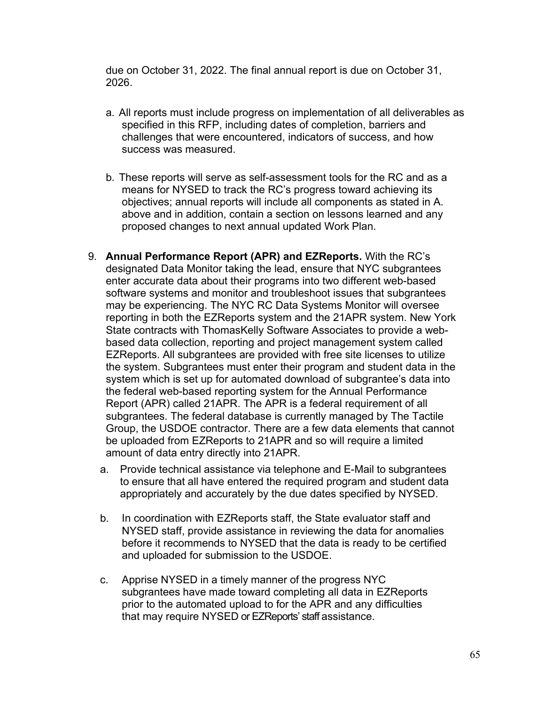due on October 31, 2022. The final annual report is due on October 31, 2026.

- a. All reports must include progress on implementation of all deliverables as specified in this RFP, including dates of completion, barriers and challenges that were encountered, indicators of success, and how success was measured.
- b. These reports will serve as self-assessment tools for the RC and as a means for NYSED to track the RC's progress toward achieving its objectives; annual reports will include all components as stated in A. above and in addition, contain a section on lessons learned and any proposed changes to next annual updated Work Plan.
- 9. **Annual Performance Report (APR) and EZReports.** With the RC's designated Data Monitor taking the lead, ensure that NYC subgrantees enter accurate data about their programs into two different web-based software systems and monitor and troubleshoot issues that subgrantees may be experiencing. The NYC RC Data Systems Monitor will oversee reporting in both the EZReports system and the 21APR system. New York State contracts with ThomasKelly Software Associates to provide a webbased data collection, reporting and project management system called EZReports. All subgrantees are provided with free site licenses to utilize the system. Subgrantees must enter their program and student data in the system which is set up for automated download of subgrantee's data into the federal web-based reporting system for the Annual Performance Report (APR) called 21APR. The APR is a federal requirement of all subgrantees. The federal database is currently managed by The Tactile Group, the USDOE contractor. There are a few data elements that cannot be uploaded from EZReports to 21APR and so will require a limited amount of data entry directly into 21APR.
	- a. Provide technical assistance via telephone and E-Mail to subgrantees to ensure that all have entered the required program and student data appropriately and accurately by the due dates specified by NYSED.
	- b. In coordination with EZReports staff, the State evaluator staff and NYSED staff, provide assistance in reviewing the data for anomalies before it recommends to NYSED that the data is ready to be certified and uploaded for submission to the USDOE.
	- c. Apprise NYSED in a timely manner of the progress NYC subgrantees have made toward completing all data in EZReports prior to the automated upload to for the APR and any difficulties that may require NYSED or EZReports' staff assistance.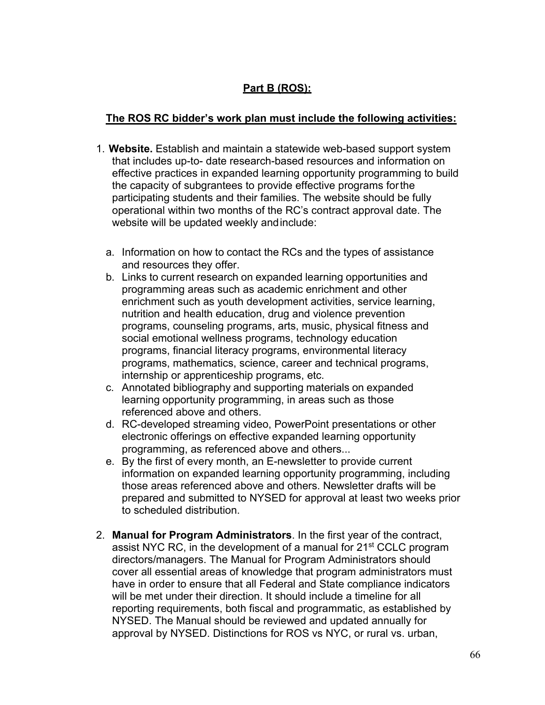## **Part B (ROS):**

## **The ROS RC bidder's work plan must include the following activities:**

- 1. **Website.** Establish and maintain a statewide web-based support system that includes up-to- date research-based resources and information on effective practices in expanded learning opportunity programming to build the capacity of subgrantees to provide effective programs forthe participating students and their families. The website should be fully operational within two months of the RC's contract approval date. The website will be updated weekly andinclude:
	- a. Information on how to contact the RCs and the types of assistance and resources they offer.
	- b. Links to current research on expanded learning opportunities and programming areas such as academic enrichment and other enrichment such as youth development activities, service learning, nutrition and health education, drug and violence prevention programs, counseling programs, arts, music, physical fitness and social emotional wellness programs, technology education programs, financial literacy programs, environmental literacy programs, mathematics, science, career and technical programs, internship or apprenticeship programs, etc.
	- c. Annotated bibliography and supporting materials on expanded learning opportunity programming, in areas such as those referenced above and others.
	- d. RC-developed streaming video, PowerPoint presentations or other electronic offerings on effective expanded learning opportunity programming, as referenced above and others...
	- e. By the first of every month, an E-newsletter to provide current information on expanded learning opportunity programming, including those areas referenced above and others. Newsletter drafts will be prepared and submitted to NYSED for approval at least two weeks prior to scheduled distribution.
- 2. **Manual for Program Administrators**. In the first year of the contract, assist NYC RC, in the development of a manual for 21<sup>st</sup> CCLC program directors/managers. The Manual for Program Administrators should cover all essential areas of knowledge that program administrators must have in order to ensure that all Federal and State compliance indicators will be met under their direction. It should include a timeline for all reporting requirements, both fiscal and programmatic, as established by NYSED. The Manual should be reviewed and updated annually for approval by NYSED. Distinctions for ROS vs NYC, or rural vs. urban,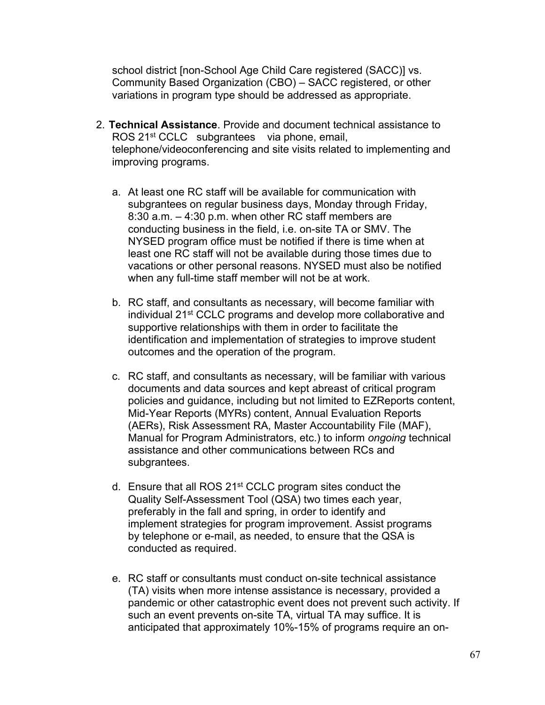school district [non-School Age Child Care registered (SACC)] vs. Community Based Organization (CBO) – SACC registered, or other variations in program type should be addressed as appropriate.

- 2. **Technical Assistance**. Provide and document technical assistance to ROS 21<sup>st</sup> CCLC subgrantees via phone, email, telephone/videoconferencing and site visits related to implementing and improving programs.
	- a. At least one RC staff will be available for communication with subgrantees on regular business days, Monday through Friday, 8:30 a.m. – 4:30 p.m. when other RC staff members are conducting business in the field, i.e. on-site TA or SMV. The NYSED program office must be notified if there is time when at least one RC staff will not be available during those times due to vacations or other personal reasons. NYSED must also be notified when any full-time staff member will not be at work.
	- b. RC staff, and consultants as necessary, will become familiar with individual 21st CCLC programs and develop more collaborative and supportive relationships with them in order to facilitate the identification and implementation of strategies to improve student outcomes and the operation of the program.
	- c. RC staff, and consultants as necessary, will be familiar with various documents and data sources and kept abreast of critical program policies and guidance, including but not limited to EZReports content, Mid-Year Reports (MYRs) content, Annual Evaluation Reports (AERs), Risk Assessment RA, Master Accountability File (MAF), Manual for Program Administrators, etc.) to inform *ongoing* technical assistance and other communications between RCs and subgrantees.
	- d. Ensure that all ROS 21<sup>st</sup> CCLC program sites conduct the Quality Self-Assessment Tool (QSA) two times each year, preferably in the fall and spring, in order to identify and implement strategies for program improvement. Assist programs by telephone or e-mail, as needed, to ensure that the QSA is conducted as required.
	- e. RC staff or consultants must conduct on-site technical assistance (TA) visits when more intense assistance is necessary, provided a pandemic or other catastrophic event does not prevent such activity. If such an event prevents on-site TA, virtual TA may suffice. It is anticipated that approximately 10%-15% of programs require an on-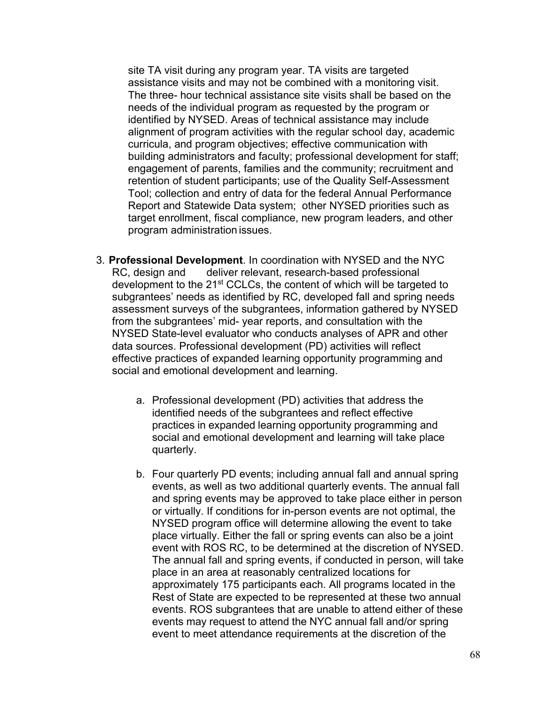site TA visit during any program year. TA visits are targeted assistance visits and may not be combined with a monitoring visit. The three- hour technical assistance site visits shall be based on the needs of the individual program as requested by the program or identified by NYSED. Areas of technical assistance may include alignment of program activities with the regular school day, academic curricula, and program objectives; effective communication with building administrators and faculty; professional development for staff; engagement of parents, families and the community; recruitment and retention of student participants; use of the Quality Self-Assessment Tool; collection and entry of data for the federal Annual Performance Report and Statewide Data system; other NYSED priorities such as target enrollment, fiscal compliance, new program leaders, and other program administration issues.

- 3. **Professional Development**. In coordination with NYSED and the NYC RC, design and deliver relevant, research-based professional development to the 21<sup>st</sup> CCLCs, the content of which will be targeted to subgrantees' needs as identified by RC, developed fall and spring needs assessment surveys of the subgrantees, information gathered by NYSED from the subgrantees' mid- year reports, and consultation with the NYSED State-level evaluator who conducts analyses of APR and other data sources. Professional development (PD) activities will reflect effective practices of expanded learning opportunity programming and social and emotional development and learning.
	- a. Professional development (PD) activities that address the identified needs of the subgrantees and reflect effective practices in expanded learning opportunity programming and social and emotional development and learning will take place quarterly.
	- b. Four quarterly PD events; including annual fall and annual spring events, as well as two additional quarterly events. The annual fall and spring events may be approved to take place either in person or virtually. If conditions for in-person events are not optimal, the NYSED program office will determine allowing the event to take place virtually. Either the fall or spring events can also be a joint event with ROS RC, to be determined at the discretion of NYSED. The annual fall and spring events, if conducted in person, will take place in an area at reasonably centralized locations for approximately 175 participants each. All programs located in the Rest of State are expected to be represented at these two annual events. ROS subgrantees that are unable to attend either of these events may request to attend the NYC annual fall and/or spring event to meet attendance requirements at the discretion of the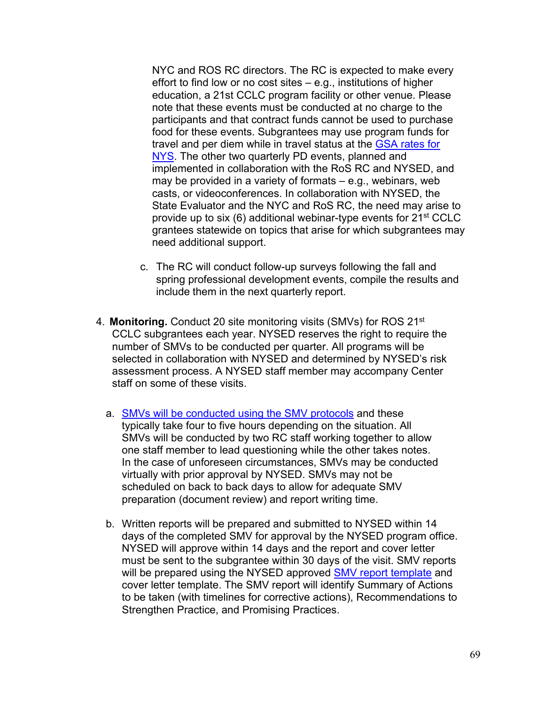NYC and ROS RC directors. The RC is expected to make every effort to find low or no cost sites – e.g., institutions of higher education, a 21st CCLC program facility or other venue. Please note that these events must be conducted at no charge to the participants and that contract funds cannot be used to purchase food for these events. Subgrantees may use program funds for travel and per diem while in travel status at the [GSA rates for](https://www.gsa.gov/travel/plan-book/per-diem-rates)  [NYS.](https://www.gsa.gov/travel/plan-book/per-diem-rates) The other two quarterly PD events, planned and implemented in collaboration with the RoS RC and NYSED, and may be provided in a variety of formats – e.g., webinars, web casts, or videoconferences. In collaboration with NYSED, the State Evaluator and the NYC and RoS RC, the need may arise to provide up to six (6) additional webinar-type events for 21<sup>st</sup> CCLC grantees statewide on topics that arise for which subgrantees may need additional support.

- c. The RC will conduct follow-up surveys following the fall and spring professional development events, compile the results and include them in the next quarterly report.
- 4. **Monitoring.** Conduct 20 site monitoring visits (SMVs) for ROS 21st CCLC subgrantees each year. NYSED reserves the right to require the number of SMVs to be conducted per quarter. All programs will be selected in collaboration with NYSED and determined by NYSED's risk assessment process. A NYSED staff member may accompany Center staff on some of these visits.
	- a. **[SMVs will be conducted using the SMV protocols](http://p1232.nysed.gov/sss/documents/SiteMonitoringVisitReportwithCFRreferences12.9.20.pdf) and these** typically take four to five hours depending on the situation. All SMVs will be conducted by two RC staff working together to allow one staff member to lead questioning while the other takes notes. In the case of unforeseen circumstances, SMVs may be conducted virtually with prior approval by NYSED. SMVs may not be scheduled on back to back days to allow for adequate SMV preparation (document review) and report writing time.
	- b. Written reports will be prepared and submitted to NYSED within 14 days of the completed SMV for approval by the NYSED program office. NYSED will approve within 14 days and the report and cover letter must be sent to the subgrantee within 30 days of the visit. SMV reports will be prepared using the NYSED approved [SMV report template](http://p1232.nysed.gov/sss/21stCCLC/sitevisit/home.html) and cover letter template. The SMV report will identify Summary of Actions to be taken (with timelines for corrective actions), Recommendations to Strengthen Practice, and Promising Practices.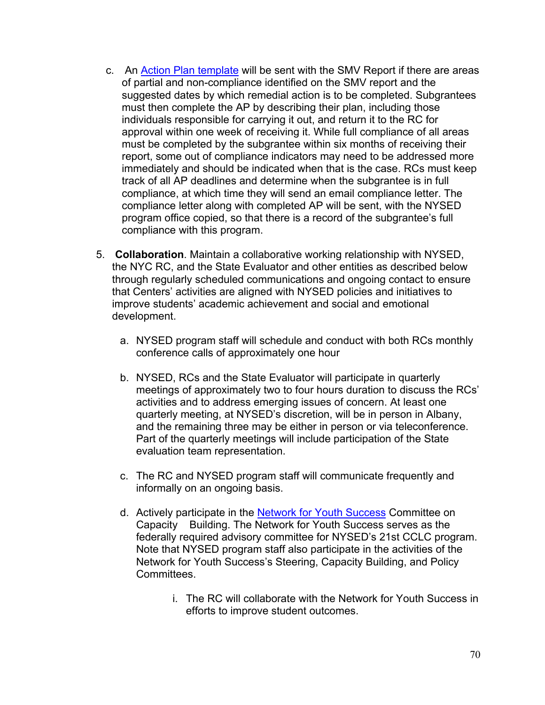- c. An [Action Plan template](http://www.p12.nysed.gov/sss/documents/ActionPlanTemplate8.24.20_000.pdf) will be sent with the SMV Report if there are areas of partial and non-compliance identified on the SMV report and the suggested dates by which remedial action is to be completed. Subgrantees must then complete the AP by describing their plan, including those individuals responsible for carrying it out, and return it to the RC for approval within one week of receiving it. While full compliance of all areas must be completed by the subgrantee within six months of receiving their report, some out of compliance indicators may need to be addressed more immediately and should be indicated when that is the case. RCs must keep track of all AP deadlines and determine when the subgrantee is in full compliance, at which time they will send an email compliance letter. The compliance letter along with completed AP will be sent, with the NYSED program office copied, so that there is a record of the subgrantee's full compliance with this program.
- 5. **Collaboration**. Maintain a collaborative working relationship with NYSED, the NYC RC, and the State Evaluator and other entities as described below through regularly scheduled communications and ongoing contact to ensure that Centers' activities are aligned with NYSED policies and initiatives to improve students' academic achievement and social and emotional development.
	- a. NYSED program staff will schedule and conduct with both RCs monthly conference calls of approximately one hour
	- b. NYSED, RCs and the State Evaluator will participate in quarterly meetings of approximately two to four hours duration to discuss the RCs' activities and to address emerging issues of concern. At least one quarterly meeting, at NYSED's discretion, will be in person in Albany, and the remaining three may be either in person or via teleconference. Part of the quarterly meetings will include participation of the State evaluation team representation.
	- c. The RC and NYSED program staff will communicate frequently and informally on an ongoing basis.
	- d. Actively participate in the [Network for Youth Success](https://networkforyouthsuccess.org/) Committee on Capacity Building. The Network for Youth Success serves as the federally required advisory committee for NYSED's 21st CCLC program. Note that NYSED program staff also participate in the activities of the Network for Youth Success's Steering, Capacity Building, and Policy **Committees** 
		- i. The RC will collaborate with the Network for Youth Success in efforts to improve student outcomes.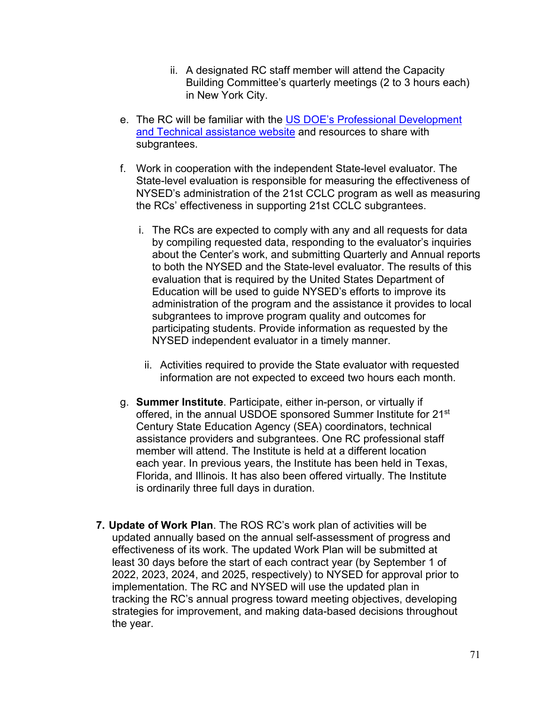- ii. A designated RC staff member will attend the Capacity Building Committee's quarterly meetings (2 to 3 hours each) in New York City.
- e. The RC will be familiar with the [US DOE's Professional Development](https://y4y.ed.gov/)  [and Technical assistance website](https://y4y.ed.gov/) and resources to share with subgrantees.
- f. Work in cooperation with the independent State-level evaluator. The State-level evaluation is responsible for measuring the effectiveness of NYSED's administration of the 21st CCLC program as well as measuring the RCs' effectiveness in supporting 21st CCLC subgrantees.
	- i. The RCs are expected to comply with any and all requests for data by compiling requested data, responding to the evaluator's inquiries about the Center's work, and submitting Quarterly and Annual reports to both the NYSED and the State-level evaluator. The results of this evaluation that is required by the United States Department of Education will be used to guide NYSED's efforts to improve its administration of the program and the assistance it provides to local subgrantees to improve program quality and outcomes for participating students. Provide information as requested by the NYSED independent evaluator in a timely manner.
		- ii. Activities required to provide the State evaluator with requested information are not expected to exceed two hours each month.
- g. **Summer Institute**. Participate, either in-person, or virtually if offered, in the annual USDOE sponsored Summer Institute for 21<sup>st</sup> Century State Education Agency (SEA) coordinators, technical assistance providers and subgrantees. One RC professional staff member will attend. The Institute is held at a different location each year. In previous years, the Institute has been held in Texas, Florida, and Illinois. It has also been offered virtually. The Institute is ordinarily three full days in duration.
- **7. Update of Work Plan**. The ROS RC's work plan of activities will be updated annually based on the annual self-assessment of progress and effectiveness of its work. The updated Work Plan will be submitted at least 30 days before the start of each contract year (by September 1 of 2022, 2023, 2024, and 2025, respectively) to NYSED for approval prior to implementation. The RC and NYSED will use the updated plan in tracking the RC's annual progress toward meeting objectives, developing strategies for improvement, and making data-based decisions throughout the year.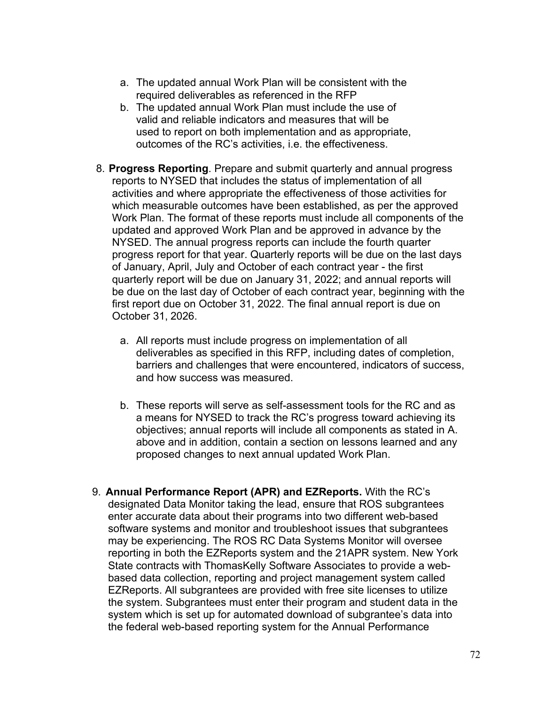- a. The updated annual Work Plan will be consistent with the required deliverables as referenced in the RFP
- b. The updated annual Work Plan must include the use of valid and reliable indicators and measures that will be used to report on both implementation and as appropriate, outcomes of the RC's activities, i.e. the effectiveness.
- 8. **Progress Reporting**. Prepare and submit quarterly and annual progress reports to NYSED that includes the status of implementation of all activities and where appropriate the effectiveness of those activities for which measurable outcomes have been established, as per the approved Work Plan. The format of these reports must include all components of the updated and approved Work Plan and be approved in advance by the NYSED. The annual progress reports can include the fourth quarter progress report for that year. Quarterly reports will be due on the last days of January, April, July and October of each contract year - the first quarterly report will be due on January 31, 2022; and annual reports will be due on the last day of October of each contract year, beginning with the first report due on October 31, 2022. The final annual report is due on October 31, 2026.
	- a. All reports must include progress on implementation of all deliverables as specified in this RFP, including dates of completion, barriers and challenges that were encountered, indicators of success, and how success was measured.
	- b. These reports will serve as self-assessment tools for the RC and as a means for NYSED to track the RC's progress toward achieving its objectives; annual reports will include all components as stated in A. above and in addition, contain a section on lessons learned and any proposed changes to next annual updated Work Plan.
- 9. **Annual Performance Report (APR) and EZReports.** With the RC's designated Data Monitor taking the lead, ensure that ROS subgrantees enter accurate data about their programs into two different web-based software systems and monitor and troubleshoot issues that subgrantees may be experiencing. The ROS RC Data Systems Monitor will oversee reporting in both the EZReports system and the 21APR system. New York State contracts with ThomasKelly Software Associates to provide a webbased data collection, reporting and project management system called EZReports. All subgrantees are provided with free site licenses to utilize the system. Subgrantees must enter their program and student data in the system which is set up for automated download of subgrantee's data into the federal web-based reporting system for the Annual Performance